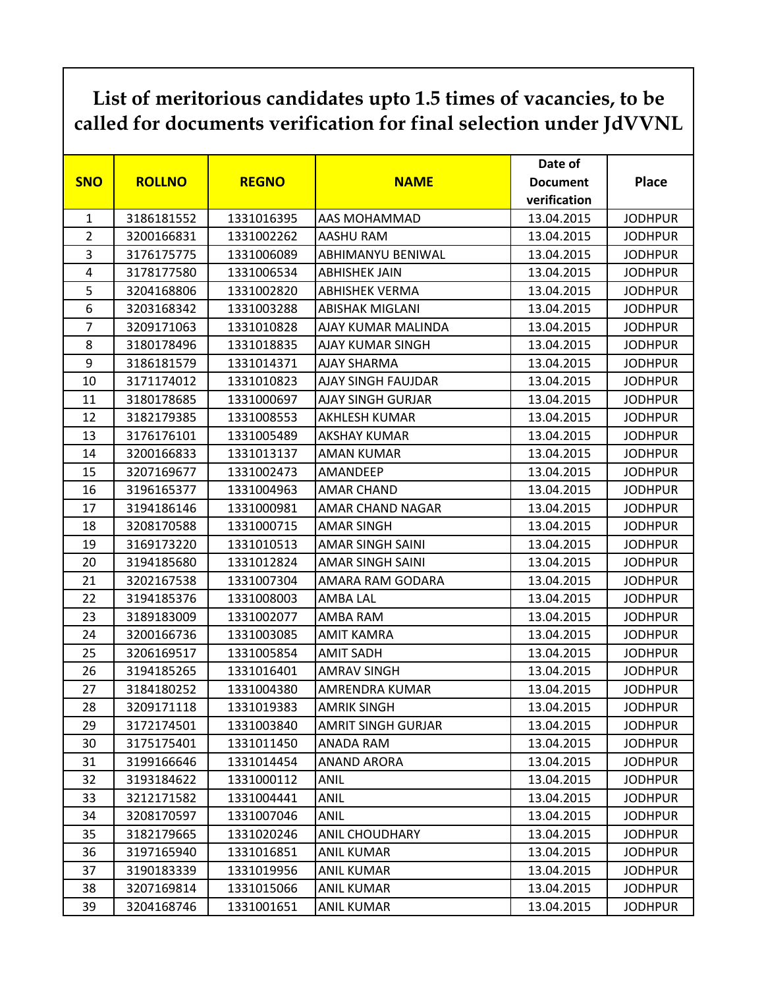## **List of meritorious candidates upto 1.5 times of vacancies, to be called for documents verification for final selection under JdVVNL**

|                |               |              |                           | Date of         |                |
|----------------|---------------|--------------|---------------------------|-----------------|----------------|
| <b>SNO</b>     | <b>ROLLNO</b> | <b>REGNO</b> | <b>NAME</b>               | <b>Document</b> | <b>Place</b>   |
|                |               |              |                           | verification    |                |
| $\mathbf{1}$   | 3186181552    | 1331016395   | AAS MOHAMMAD              | 13.04.2015      | <b>JODHPUR</b> |
| $\overline{2}$ | 3200166831    | 1331002262   | AASHU RAM                 | 13.04.2015      | <b>JODHPUR</b> |
| 3              | 3176175775    | 1331006089   | ABHIMANYU BENIWAL         | 13.04.2015      | <b>JODHPUR</b> |
| 4              | 3178177580    | 1331006534   | <b>ABHISHEK JAIN</b>      | 13.04.2015      | <b>JODHPUR</b> |
| 5              | 3204168806    | 1331002820   | <b>ABHISHEK VERMA</b>     | 13.04.2015      | <b>JODHPUR</b> |
| 6              | 3203168342    | 1331003288   | <b>ABISHAK MIGLANI</b>    | 13.04.2015      | <b>JODHPUR</b> |
| $\overline{7}$ | 3209171063    | 1331010828   | AJAY KUMAR MALINDA        | 13.04.2015      | <b>JODHPUR</b> |
| 8              | 3180178496    | 1331018835   | AJAY KUMAR SINGH          | 13.04.2015      | <b>JODHPUR</b> |
| 9              | 3186181579    | 1331014371   | AJAY SHARMA               | 13.04.2015      | <b>JODHPUR</b> |
| 10             | 3171174012    | 1331010823   | AJAY SINGH FAUJDAR        | 13.04.2015      | <b>JODHPUR</b> |
| 11             | 3180178685    | 1331000697   | <b>AJAY SINGH GURJAR</b>  | 13.04.2015      | <b>JODHPUR</b> |
| 12             | 3182179385    | 1331008553   | <b>AKHLESH KUMAR</b>      | 13.04.2015      | <b>JODHPUR</b> |
| 13             | 3176176101    | 1331005489   | <b>AKSHAY KUMAR</b>       | 13.04.2015      | <b>JODHPUR</b> |
| 14             | 3200166833    | 1331013137   | <b>AMAN KUMAR</b>         | 13.04.2015      | <b>JODHPUR</b> |
| 15             | 3207169677    | 1331002473   | <b>AMANDEEP</b>           | 13.04.2015      | <b>JODHPUR</b> |
| 16             | 3196165377    | 1331004963   | <b>AMAR CHAND</b>         | 13.04.2015      | <b>JODHPUR</b> |
| 17             | 3194186146    | 1331000981   | AMAR CHAND NAGAR          | 13.04.2015      | <b>JODHPUR</b> |
| 18             | 3208170588    | 1331000715   | <b>AMAR SINGH</b>         | 13.04.2015      | <b>JODHPUR</b> |
| 19             | 3169173220    | 1331010513   | AMAR SINGH SAINI          | 13.04.2015      | <b>JODHPUR</b> |
| 20             | 3194185680    | 1331012824   | AMAR SINGH SAINI          | 13.04.2015      | <b>JODHPUR</b> |
| 21             | 3202167538    | 1331007304   | AMARA RAM GODARA          | 13.04.2015      | <b>JODHPUR</b> |
| 22             | 3194185376    | 1331008003   | AMBA LAL                  | 13.04.2015      | <b>JODHPUR</b> |
| 23             | 3189183009    | 1331002077   | AMBA RAM                  | 13.04.2015      | <b>JODHPUR</b> |
| 24             | 3200166736    | 1331003085   | <b>AMIT KAMRA</b>         | 13.04.2015      | <b>JODHPUR</b> |
| 25             | 3206169517    | 1331005854   | <b>AMIT SADH</b>          | 13.04.2015      | <b>JODHPUR</b> |
| 26             | 3194185265    | 1331016401   | <b>AMRAV SINGH</b>        | 13.04.2015      | <b>JODHPUR</b> |
| 27             | 3184180252    | 1331004380   | AMRENDRA KUMAR            | 13.04.2015      | <b>JODHPUR</b> |
| 28             | 3209171118    | 1331019383   | <b>AMRIK SINGH</b>        | 13.04.2015      | <b>JODHPUR</b> |
| 29             | 3172174501    | 1331003840   | <b>AMRIT SINGH GURJAR</b> | 13.04.2015      | <b>JODHPUR</b> |
| 30             | 3175175401    | 1331011450   | ANADA RAM                 | 13.04.2015      | <b>JODHPUR</b> |
| 31             | 3199166646    | 1331014454   | ANAND ARORA               | 13.04.2015      | <b>JODHPUR</b> |
| 32             | 3193184622    | 1331000112   | <b>ANIL</b>               | 13.04.2015      | <b>JODHPUR</b> |
| 33             | 3212171582    | 1331004441   | ANIL                      | 13.04.2015      | <b>JODHPUR</b> |
| 34             | 3208170597    | 1331007046   | <b>ANIL</b>               | 13.04.2015      | <b>JODHPUR</b> |
| 35             | 3182179665    | 1331020246   | <b>ANIL CHOUDHARY</b>     | 13.04.2015      | <b>JODHPUR</b> |
| 36             | 3197165940    | 1331016851   | <b>ANIL KUMAR</b>         | 13.04.2015      | <b>JODHPUR</b> |
| 37             | 3190183339    | 1331019956   | <b>ANIL KUMAR</b>         | 13.04.2015      | <b>JODHPUR</b> |
| 38             | 3207169814    | 1331015066   | <b>ANIL KUMAR</b>         | 13.04.2015      | <b>JODHPUR</b> |
| 39             | 3204168746    | 1331001651   | <b>ANIL KUMAR</b>         | 13.04.2015      | <b>JODHPUR</b> |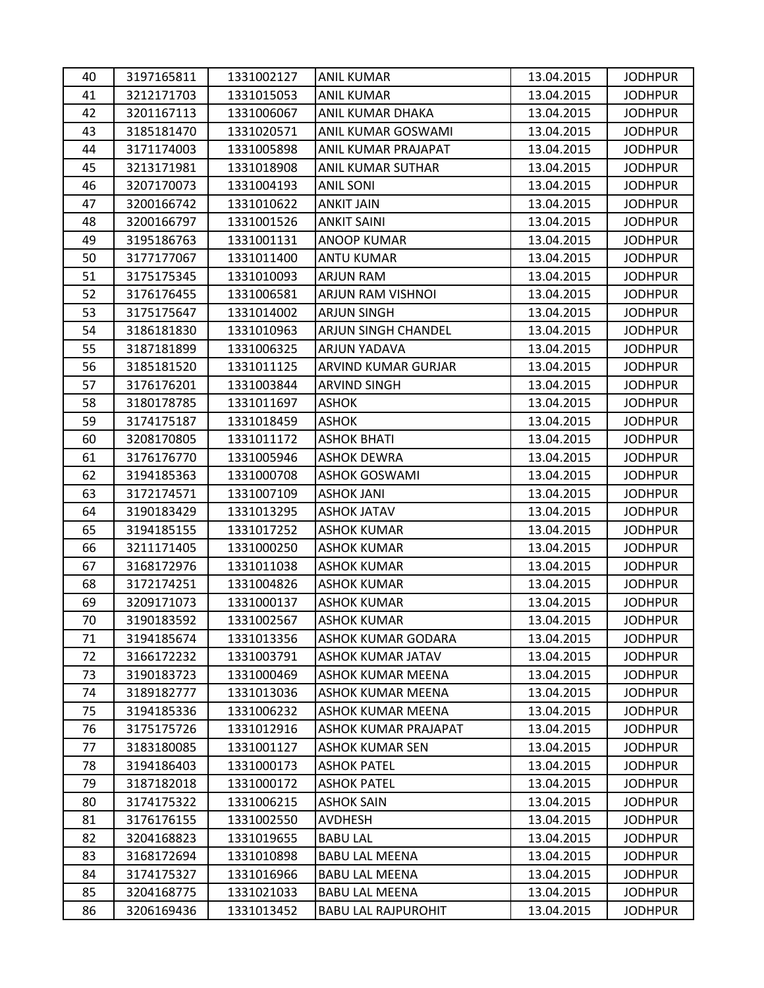| 40 | 3197165811 | 1331002127 | ANIL KUMAR                  | 13.04.2015 | <b>JODHPUR</b> |
|----|------------|------------|-----------------------------|------------|----------------|
| 41 | 3212171703 | 1331015053 | <b>ANIL KUMAR</b>           | 13.04.2015 | <b>JODHPUR</b> |
| 42 | 3201167113 | 1331006067 | ANIL KUMAR DHAKA            | 13.04.2015 | <b>JODHPUR</b> |
| 43 | 3185181470 | 1331020571 | ANIL KUMAR GOSWAMI          | 13.04.2015 | <b>JODHPUR</b> |
| 44 | 3171174003 | 1331005898 | ANIL KUMAR PRAJAPAT         | 13.04.2015 | <b>JODHPUR</b> |
| 45 | 3213171981 | 1331018908 | ANIL KUMAR SUTHAR           | 13.04.2015 | <b>JODHPUR</b> |
| 46 | 3207170073 | 1331004193 | <b>ANIL SONI</b>            | 13.04.2015 | <b>JODHPUR</b> |
| 47 | 3200166742 | 1331010622 | <b>ANKIT JAIN</b>           | 13.04.2015 | <b>JODHPUR</b> |
| 48 | 3200166797 | 1331001526 | <b>ANKIT SAINI</b>          | 13.04.2015 | <b>JODHPUR</b> |
| 49 | 3195186763 | 1331001131 | ANOOP KUMAR                 | 13.04.2015 | <b>JODHPUR</b> |
| 50 | 3177177067 | 1331011400 | <b>ANTU KUMAR</b>           | 13.04.2015 | <b>JODHPUR</b> |
| 51 | 3175175345 | 1331010093 | ARJUN RAM                   | 13.04.2015 | <b>JODHPUR</b> |
| 52 | 3176176455 | 1331006581 | ARJUN RAM VISHNOI           | 13.04.2015 | <b>JODHPUR</b> |
| 53 | 3175175647 | 1331014002 | <b>ARJUN SINGH</b>          | 13.04.2015 | <b>JODHPUR</b> |
| 54 | 3186181830 | 1331010963 | ARJUN SINGH CHANDEL         | 13.04.2015 | <b>JODHPUR</b> |
| 55 | 3187181899 | 1331006325 | ARJUN YADAVA                | 13.04.2015 | <b>JODHPUR</b> |
| 56 | 3185181520 | 1331011125 | ARVIND KUMAR GURJAR         | 13.04.2015 | <b>JODHPUR</b> |
| 57 | 3176176201 | 1331003844 | <b>ARVIND SINGH</b>         | 13.04.2015 | <b>JODHPUR</b> |
| 58 | 3180178785 | 1331011697 | <b>ASHOK</b>                | 13.04.2015 | <b>JODHPUR</b> |
| 59 | 3174175187 | 1331018459 | <b>ASHOK</b>                | 13.04.2015 | <b>JODHPUR</b> |
| 60 | 3208170805 | 1331011172 | <b>ASHOK BHATI</b>          | 13.04.2015 | <b>JODHPUR</b> |
| 61 | 3176176770 | 1331005946 | <b>ASHOK DEWRA</b>          | 13.04.2015 | <b>JODHPUR</b> |
| 62 | 3194185363 | 1331000708 | <b>ASHOK GOSWAMI</b>        | 13.04.2015 | <b>JODHPUR</b> |
| 63 | 3172174571 | 1331007109 | <b>ASHOK JANI</b>           | 13.04.2015 | <b>JODHPUR</b> |
| 64 | 3190183429 | 1331013295 | <b>ASHOK JATAV</b>          | 13.04.2015 | <b>JODHPUR</b> |
| 65 | 3194185155 | 1331017252 | <b>ASHOK KUMAR</b>          | 13.04.2015 | <b>JODHPUR</b> |
| 66 | 3211171405 | 1331000250 | <b>ASHOK KUMAR</b>          | 13.04.2015 | <b>JODHPUR</b> |
| 67 | 3168172976 | 1331011038 | <b>ASHOK KUMAR</b>          | 13.04.2015 | <b>JODHPUR</b> |
| 68 | 3172174251 | 1331004826 | <b>ASHOK KUMAR</b>          | 13.04.2015 | <b>JODHPUR</b> |
| 69 | 3209171073 | 1331000137 | <b>ASHOK KUMAR</b>          | 13.04.2015 | <b>JODHPUR</b> |
| 70 | 3190183592 | 1331002567 | <b>ASHOK KUMAR</b>          | 13.04.2015 | <b>JODHPUR</b> |
| 71 | 3194185674 | 1331013356 | <b>ASHOK KUMAR GODARA</b>   | 13.04.2015 | <b>JODHPUR</b> |
| 72 | 3166172232 | 1331003791 | <b>ASHOK KUMAR JATAV</b>    | 13.04.2015 | <b>JODHPUR</b> |
| 73 | 3190183723 | 1331000469 | ASHOK KUMAR MEENA           | 13.04.2015 | <b>JODHPUR</b> |
| 74 | 3189182777 | 1331013036 | <b>ASHOK KUMAR MEENA</b>    | 13.04.2015 | <b>JODHPUR</b> |
| 75 | 3194185336 | 1331006232 | ASHOK KUMAR MEENA           | 13.04.2015 | <b>JODHPUR</b> |
| 76 | 3175175726 | 1331012916 | <b>ASHOK KUMAR PRAJAPAT</b> | 13.04.2015 | <b>JODHPUR</b> |
| 77 | 3183180085 | 1331001127 | <b>ASHOK KUMAR SEN</b>      | 13.04.2015 | <b>JODHPUR</b> |
| 78 | 3194186403 | 1331000173 | <b>ASHOK PATEL</b>          | 13.04.2015 | <b>JODHPUR</b> |
| 79 | 3187182018 | 1331000172 | <b>ASHOK PATEL</b>          | 13.04.2015 | <b>JODHPUR</b> |
| 80 | 3174175322 | 1331006215 | <b>ASHOK SAIN</b>           | 13.04.2015 | <b>JODHPUR</b> |
| 81 | 3176176155 | 1331002550 | AVDHESH                     | 13.04.2015 | <b>JODHPUR</b> |
| 82 | 3204168823 | 1331019655 | <b>BABU LAL</b>             | 13.04.2015 | <b>JODHPUR</b> |
| 83 | 3168172694 | 1331010898 | <b>BABU LAL MEENA</b>       | 13.04.2015 | <b>JODHPUR</b> |
| 84 | 3174175327 | 1331016966 | <b>BABU LAL MEENA</b>       | 13.04.2015 | <b>JODHPUR</b> |
| 85 | 3204168775 | 1331021033 | <b>BABU LAL MEENA</b>       | 13.04.2015 | <b>JODHPUR</b> |
| 86 | 3206169436 | 1331013452 | <b>BABU LAL RAJPUROHIT</b>  | 13.04.2015 | <b>JODHPUR</b> |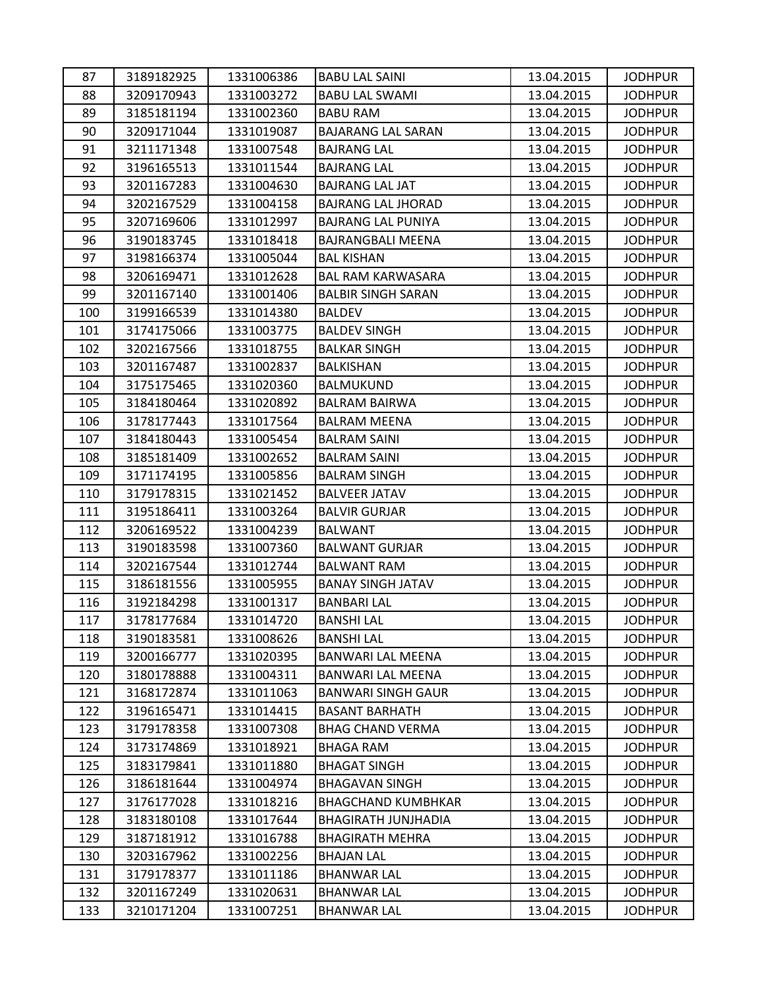| 87  | 3189182925 | 1331006386 | <b>BABU LAL SAINI</b>      | 13.04.2015 | <b>JODHPUR</b> |
|-----|------------|------------|----------------------------|------------|----------------|
| 88  | 3209170943 | 1331003272 | <b>BABU LAL SWAMI</b>      | 13.04.2015 | <b>JODHPUR</b> |
| 89  | 3185181194 | 1331002360 | <b>BABU RAM</b>            | 13.04.2015 | <b>JODHPUR</b> |
| 90  | 3209171044 | 1331019087 | <b>BAJARANG LAL SARAN</b>  | 13.04.2015 | <b>JODHPUR</b> |
| 91  | 3211171348 | 1331007548 | <b>BAJRANG LAL</b>         | 13.04.2015 | <b>JODHPUR</b> |
| 92  | 3196165513 | 1331011544 | BAJRANG LAL                | 13.04.2015 | <b>JODHPUR</b> |
| 93  | 3201167283 | 1331004630 | <b>BAJRANG LAL JAT</b>     | 13.04.2015 | <b>JODHPUR</b> |
| 94  | 3202167529 | 1331004158 | <b>BAJRANG LAL JHORAD</b>  | 13.04.2015 | <b>JODHPUR</b> |
| 95  | 3207169606 | 1331012997 | <b>BAJRANG LAL PUNIYA</b>  | 13.04.2015 | <b>JODHPUR</b> |
| 96  | 3190183745 | 1331018418 | <b>BAJRANGBALI MEENA</b>   | 13.04.2015 | <b>JODHPUR</b> |
| 97  | 3198166374 | 1331005044 | <b>BAL KISHAN</b>          | 13.04.2015 | <b>JODHPUR</b> |
| 98  | 3206169471 | 1331012628 | <b>BAL RAM KARWASARA</b>   | 13.04.2015 | <b>JODHPUR</b> |
| 99  | 3201167140 | 1331001406 | <b>BALBIR SINGH SARAN</b>  | 13.04.2015 | <b>JODHPUR</b> |
| 100 | 3199166539 | 1331014380 | <b>BALDEV</b>              | 13.04.2015 | <b>JODHPUR</b> |
| 101 | 3174175066 | 1331003775 | <b>BALDEV SINGH</b>        | 13.04.2015 | <b>JODHPUR</b> |
| 102 | 3202167566 | 1331018755 | <b>BALKAR SINGH</b>        | 13.04.2015 | <b>JODHPUR</b> |
| 103 | 3201167487 | 1331002837 | BALKISHAN                  | 13.04.2015 | <b>JODHPUR</b> |
| 104 | 3175175465 | 1331020360 | BALMUKUND                  | 13.04.2015 | <b>JODHPUR</b> |
| 105 | 3184180464 | 1331020892 | <b>BALRAM BAIRWA</b>       | 13.04.2015 | <b>JODHPUR</b> |
| 106 | 3178177443 | 1331017564 | <b>BALRAM MEENA</b>        | 13.04.2015 | <b>JODHPUR</b> |
| 107 | 3184180443 | 1331005454 | <b>BALRAM SAINI</b>        | 13.04.2015 | <b>JODHPUR</b> |
| 108 | 3185181409 | 1331002652 | <b>BALRAM SAINI</b>        | 13.04.2015 | <b>JODHPUR</b> |
| 109 | 3171174195 | 1331005856 | <b>BALRAM SINGH</b>        | 13.04.2015 | <b>JODHPUR</b> |
| 110 | 3179178315 | 1331021452 | <b>BALVEER JATAV</b>       | 13.04.2015 | <b>JODHPUR</b> |
| 111 | 3195186411 | 1331003264 | BALVIR GURJAR              | 13.04.2015 | <b>JODHPUR</b> |
| 112 | 3206169522 | 1331004239 | <b>BALWANT</b>             | 13.04.2015 | <b>JODHPUR</b> |
| 113 | 3190183598 | 1331007360 | <b>BALWANT GURJAR</b>      | 13.04.2015 | <b>JODHPUR</b> |
| 114 | 3202167544 | 1331012744 | <b>BALWANT RAM</b>         | 13.04.2015 | <b>JODHPUR</b> |
| 115 | 3186181556 | 1331005955 | <b>BANAY SINGH JATAV</b>   | 13.04.2015 | <b>JODHPUR</b> |
| 116 | 3192184298 | 1331001317 | <b>BANBARI LAL</b>         | 13.04.2015 | <b>JODHPUR</b> |
| 117 | 3178177684 | 1331014720 | <b>BANSHI LAL</b>          | 13.04.2015 | <b>JODHPUR</b> |
| 118 | 3190183581 | 1331008626 | <b>BANSHI LAL</b>          | 13.04.2015 | <b>JODHPUR</b> |
| 119 | 3200166777 | 1331020395 | <b>BANWARI LAL MEENA</b>   | 13.04.2015 | <b>JODHPUR</b> |
| 120 | 3180178888 | 1331004311 | BANWARI LAL MEENA          | 13.04.2015 | <b>JODHPUR</b> |
| 121 | 3168172874 | 1331011063 | <b>BANWARI SINGH GAUR</b>  | 13.04.2015 | <b>JODHPUR</b> |
| 122 | 3196165471 | 1331014415 | <b>BASANT BARHATH</b>      | 13.04.2015 | <b>JODHPUR</b> |
| 123 | 3179178358 | 1331007308 | <b>BHAG CHAND VERMA</b>    | 13.04.2015 | <b>JODHPUR</b> |
| 124 | 3173174869 | 1331018921 | <b>BHAGA RAM</b>           | 13.04.2015 | <b>JODHPUR</b> |
| 125 | 3183179841 | 1331011880 | <b>BHAGAT SINGH</b>        | 13.04.2015 | <b>JODHPUR</b> |
| 126 | 3186181644 | 1331004974 | <b>BHAGAVAN SINGH</b>      | 13.04.2015 | <b>JODHPUR</b> |
| 127 | 3176177028 | 1331018216 | <b>BHAGCHAND KUMBHKAR</b>  | 13.04.2015 | <b>JODHPUR</b> |
| 128 | 3183180108 | 1331017644 | <b>BHAGIRATH JUNJHADIA</b> | 13.04.2015 | <b>JODHPUR</b> |
| 129 | 3187181912 | 1331016788 | <b>BHAGIRATH MEHRA</b>     | 13.04.2015 | <b>JODHPUR</b> |
| 130 | 3203167962 | 1331002256 | <b>BHAJAN LAL</b>          | 13.04.2015 | <b>JODHPUR</b> |
| 131 | 3179178377 | 1331011186 | <b>BHANWAR LAL</b>         | 13.04.2015 | <b>JODHPUR</b> |
| 132 | 3201167249 | 1331020631 | <b>BHANWAR LAL</b>         | 13.04.2015 | <b>JODHPUR</b> |
| 133 | 3210171204 | 1331007251 | <b>BHANWAR LAL</b>         | 13.04.2015 | <b>JODHPUR</b> |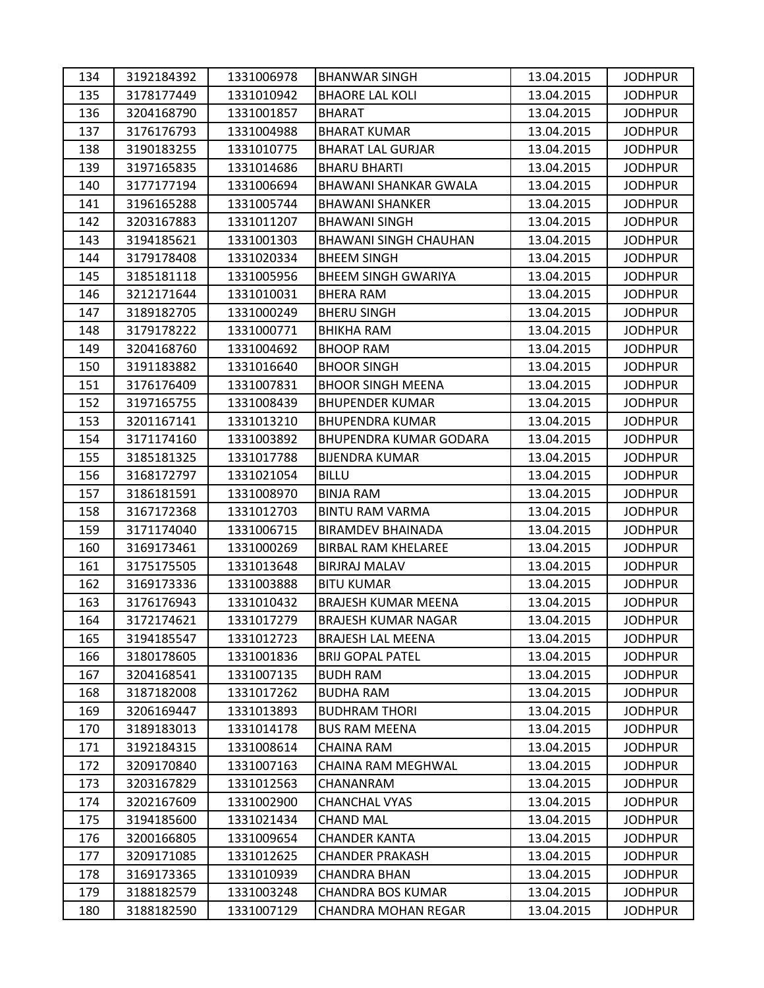| 134 | 3192184392 | 1331006978 | <b>BHANWAR SINGH</b>          | 13.04.2015 | <b>JODHPUR</b> |
|-----|------------|------------|-------------------------------|------------|----------------|
| 135 | 3178177449 | 1331010942 | <b>BHAORE LAL KOLI</b>        | 13.04.2015 | <b>JODHPUR</b> |
| 136 | 3204168790 | 1331001857 | <b>BHARAT</b>                 | 13.04.2015 | <b>JODHPUR</b> |
| 137 | 3176176793 | 1331004988 | <b>BHARAT KUMAR</b>           | 13.04.2015 | <b>JODHPUR</b> |
| 138 | 3190183255 | 1331010775 | <b>BHARAT LAL GURJAR</b>      | 13.04.2015 | <b>JODHPUR</b> |
| 139 | 3197165835 | 1331014686 | <b>BHARU BHARTI</b>           | 13.04.2015 | <b>JODHPUR</b> |
| 140 | 3177177194 | 1331006694 | <b>BHAWANI SHANKAR GWALA</b>  | 13.04.2015 | <b>JODHPUR</b> |
| 141 | 3196165288 | 1331005744 | <b>BHAWANI SHANKER</b>        | 13.04.2015 | <b>JODHPUR</b> |
| 142 | 3203167883 | 1331011207 | <b>BHAWANI SINGH</b>          | 13.04.2015 | <b>JODHPUR</b> |
| 143 | 3194185621 | 1331001303 | <b>BHAWANI SINGH CHAUHAN</b>  | 13.04.2015 | <b>JODHPUR</b> |
| 144 | 3179178408 | 1331020334 | <b>BHEEM SINGH</b>            | 13.04.2015 | <b>JODHPUR</b> |
| 145 | 3185181118 | 1331005956 | <b>BHEEM SINGH GWARIYA</b>    | 13.04.2015 | <b>JODHPUR</b> |
| 146 | 3212171644 | 1331010031 | <b>BHERA RAM</b>              | 13.04.2015 | <b>JODHPUR</b> |
| 147 | 3189182705 | 1331000249 | <b>BHERU SINGH</b>            | 13.04.2015 | <b>JODHPUR</b> |
| 148 | 3179178222 | 1331000771 | <b>BHIKHA RAM</b>             | 13.04.2015 | <b>JODHPUR</b> |
| 149 | 3204168760 | 1331004692 | <b>BHOOP RAM</b>              | 13.04.2015 | <b>JODHPUR</b> |
| 150 | 3191183882 | 1331016640 | <b>BHOOR SINGH</b>            | 13.04.2015 | <b>JODHPUR</b> |
| 151 | 3176176409 | 1331007831 | <b>BHOOR SINGH MEENA</b>      | 13.04.2015 | <b>JODHPUR</b> |
| 152 | 3197165755 | 1331008439 | <b>BHUPENDER KUMAR</b>        | 13.04.2015 | <b>JODHPUR</b> |
| 153 | 3201167141 | 1331013210 | <b>BHUPENDRA KUMAR</b>        | 13.04.2015 | <b>JODHPUR</b> |
| 154 | 3171174160 | 1331003892 | <b>BHUPENDRA KUMAR GODARA</b> | 13.04.2015 | <b>JODHPUR</b> |
| 155 | 3185181325 | 1331017788 | <b>BIJENDRA KUMAR</b>         | 13.04.2015 | <b>JODHPUR</b> |
| 156 | 3168172797 | 1331021054 | <b>BILLU</b>                  | 13.04.2015 | <b>JODHPUR</b> |
| 157 | 3186181591 | 1331008970 | <b>BINJA RAM</b>              | 13.04.2015 | <b>JODHPUR</b> |
| 158 | 3167172368 | 1331012703 | <b>BINTU RAM VARMA</b>        | 13.04.2015 | <b>JODHPUR</b> |
| 159 | 3171174040 | 1331006715 | <b>BIRAMDEV BHAINADA</b>      | 13.04.2015 | <b>JODHPUR</b> |
| 160 | 3169173461 | 1331000269 | <b>BIRBAL RAM KHELAREE</b>    | 13.04.2015 | <b>JODHPUR</b> |
| 161 | 3175175505 | 1331013648 | <b>BIRJRAJ MALAV</b>          | 13.04.2015 | <b>JODHPUR</b> |
| 162 | 3169173336 | 1331003888 | <b>BITU KUMAR</b>             | 13.04.2015 | <b>JODHPUR</b> |
| 163 | 3176176943 | 1331010432 | <b>BRAJESH KUMAR MEENA</b>    | 13.04.2015 | <b>JODHPUR</b> |
| 164 | 3172174621 | 1331017279 | <b>BRAJESH KUMAR NAGAR</b>    | 13.04.2015 | <b>JODHPUR</b> |
| 165 | 3194185547 | 1331012723 | <b>BRAJESH LAL MEENA</b>      | 13.04.2015 | <b>JODHPUR</b> |
| 166 | 3180178605 | 1331001836 | <b>BRIJ GOPAL PATEL</b>       | 13.04.2015 | <b>JODHPUR</b> |
| 167 | 3204168541 | 1331007135 | <b>BUDH RAM</b>               | 13.04.2015 | <b>JODHPUR</b> |
| 168 | 3187182008 | 1331017262 | <b>BUDHA RAM</b>              | 13.04.2015 | <b>JODHPUR</b> |
| 169 | 3206169447 | 1331013893 | <b>BUDHRAM THORI</b>          | 13.04.2015 | <b>JODHPUR</b> |
| 170 | 3189183013 | 1331014178 | <b>BUS RAM MEENA</b>          | 13.04.2015 | <b>JODHPUR</b> |
| 171 | 3192184315 | 1331008614 | <b>CHAINA RAM</b>             | 13.04.2015 | <b>JODHPUR</b> |
| 172 | 3209170840 | 1331007163 | CHAINA RAM MEGHWAL            | 13.04.2015 | <b>JODHPUR</b> |
| 173 | 3203167829 | 1331012563 | CHANANRAM                     | 13.04.2015 | <b>JODHPUR</b> |
| 174 | 3202167609 | 1331002900 | <b>CHANCHAL VYAS</b>          | 13.04.2015 | <b>JODHPUR</b> |
| 175 | 3194185600 | 1331021434 | <b>CHAND MAL</b>              | 13.04.2015 | <b>JODHPUR</b> |
| 176 | 3200166805 | 1331009654 | <b>CHANDER KANTA</b>          | 13.04.2015 | <b>JODHPUR</b> |
| 177 | 3209171085 | 1331012625 | <b>CHANDER PRAKASH</b>        | 13.04.2015 | <b>JODHPUR</b> |
| 178 | 3169173365 | 1331010939 | <b>CHANDRA BHAN</b>           | 13.04.2015 | <b>JODHPUR</b> |
| 179 | 3188182579 | 1331003248 | <b>CHANDRA BOS KUMAR</b>      | 13.04.2015 | <b>JODHPUR</b> |
| 180 | 3188182590 | 1331007129 | <b>CHANDRA MOHAN REGAR</b>    | 13.04.2015 | <b>JODHPUR</b> |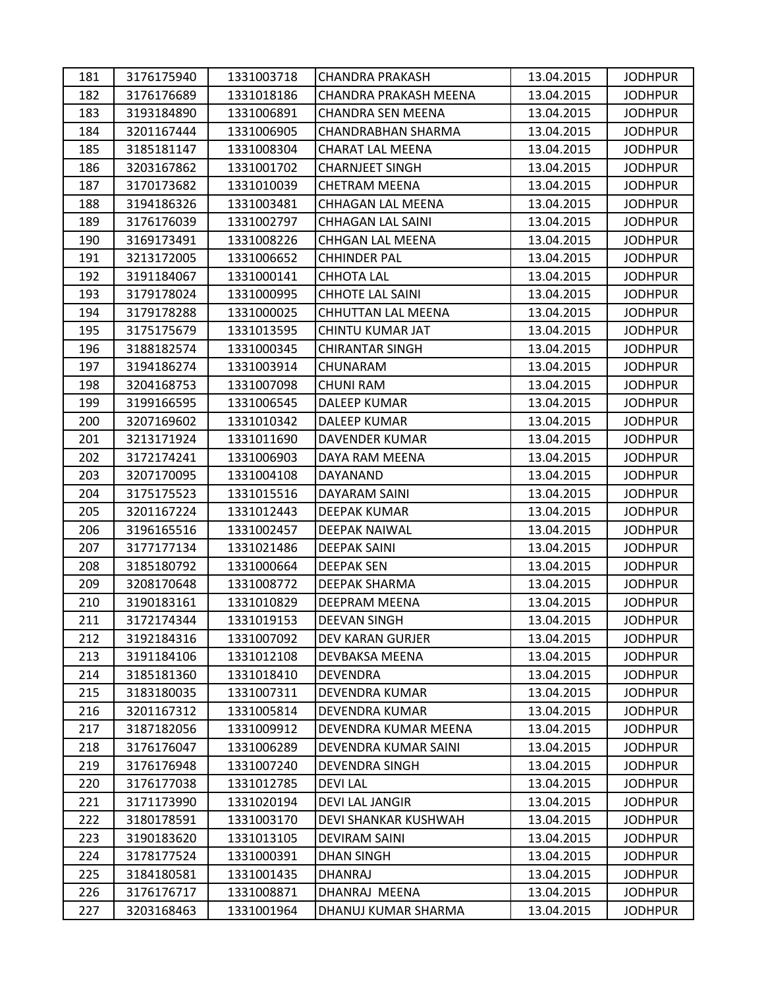| 181 | 3176175940 | 1331003718 | <b>CHANDRA PRAKASH</b>    | 13.04.2015 | <b>JODHPUR</b> |
|-----|------------|------------|---------------------------|------------|----------------|
| 182 | 3176176689 | 1331018186 | CHANDRA PRAKASH MEENA     | 13.04.2015 | <b>JODHPUR</b> |
| 183 | 3193184890 | 1331006891 | <b>CHANDRA SEN MEENA</b>  | 13.04.2015 | <b>JODHPUR</b> |
| 184 | 3201167444 | 1331006905 | CHANDRABHAN SHARMA        | 13.04.2015 | <b>JODHPUR</b> |
| 185 | 3185181147 | 1331008304 | <b>CHARAT LAL MEENA</b>   | 13.04.2015 | <b>JODHPUR</b> |
| 186 | 3203167862 | 1331001702 | <b>CHARNJEET SINGH</b>    | 13.04.2015 | <b>JODHPUR</b> |
| 187 | 3170173682 | 1331010039 | <b>CHETRAM MEENA</b>      | 13.04.2015 | <b>JODHPUR</b> |
| 188 | 3194186326 | 1331003481 | CHHAGAN LAL MEENA         | 13.04.2015 | <b>JODHPUR</b> |
| 189 | 3176176039 | 1331002797 | <b>CHHAGAN LAL SAINI</b>  | 13.04.2015 | <b>JODHPUR</b> |
| 190 | 3169173491 | 1331008226 | CHHGAN LAL MEENA          | 13.04.2015 | <b>JODHPUR</b> |
| 191 | 3213172005 | 1331006652 | <b>CHHINDER PAL</b>       | 13.04.2015 | <b>JODHPUR</b> |
| 192 | 3191184067 | 1331000141 | <b>CHHOTA LAL</b>         | 13.04.2015 | <b>JODHPUR</b> |
| 193 | 3179178024 | 1331000995 | <b>CHHOTE LAL SAINI</b>   | 13.04.2015 | <b>JODHPUR</b> |
| 194 | 3179178288 | 1331000025 | <b>CHHUTTAN LAL MEENA</b> | 13.04.2015 | <b>JODHPUR</b> |
| 195 | 3175175679 | 1331013595 | CHINTU KUMAR JAT          | 13.04.2015 | <b>JODHPUR</b> |
| 196 | 3188182574 | 1331000345 | <b>CHIRANTAR SINGH</b>    | 13.04.2015 | <b>JODHPUR</b> |
| 197 | 3194186274 | 1331003914 | CHUNARAM                  | 13.04.2015 | <b>JODHPUR</b> |
| 198 | 3204168753 | 1331007098 | <b>CHUNI RAM</b>          | 13.04.2015 | <b>JODHPUR</b> |
| 199 | 3199166595 | 1331006545 | <b>DALEEP KUMAR</b>       | 13.04.2015 | <b>JODHPUR</b> |
| 200 | 3207169602 | 1331010342 | DALEEP KUMAR              | 13.04.2015 | <b>JODHPUR</b> |
| 201 | 3213171924 | 1331011690 | DAVENDER KUMAR            | 13.04.2015 | <b>JODHPUR</b> |
| 202 | 3172174241 | 1331006903 | DAYA RAM MEENA            | 13.04.2015 | <b>JODHPUR</b> |
| 203 | 3207170095 | 1331004108 | DAYANAND                  | 13.04.2015 | <b>JODHPUR</b> |
| 204 | 3175175523 | 1331015516 | DAYARAM SAINI             | 13.04.2015 | <b>JODHPUR</b> |
| 205 | 3201167224 | 1331012443 | <b>DEEPAK KUMAR</b>       | 13.04.2015 | <b>JODHPUR</b> |
| 206 | 3196165516 | 1331002457 | <b>DEEPAK NAIWAL</b>      | 13.04.2015 | <b>JODHPUR</b> |
| 207 | 3177177134 | 1331021486 | <b>DEEPAK SAINI</b>       | 13.04.2015 | <b>JODHPUR</b> |
| 208 | 3185180792 | 1331000664 | <b>DEEPAK SEN</b>         | 13.04.2015 | <b>JODHPUR</b> |
| 209 | 3208170648 | 1331008772 | DEEPAK SHARMA             | 13.04.2015 | <b>JODHPUR</b> |
| 210 | 3190183161 | 1331010829 | DEEPRAM MEENA             | 13.04.2015 | <b>JODHPUR</b> |
| 211 | 3172174344 | 1331019153 | <b>DEEVAN SINGH</b>       | 13.04.2015 | <b>JODHPUR</b> |
| 212 | 3192184316 | 1331007092 | DEV KARAN GURJER          | 13.04.2015 | <b>JODHPUR</b> |
| 213 | 3191184106 | 1331012108 | DEVBAKSA MEENA            | 13.04.2015 | <b>JODHPUR</b> |
| 214 | 3185181360 | 1331018410 | DEVENDRA                  | 13.04.2015 | <b>JODHPUR</b> |
| 215 | 3183180035 | 1331007311 | DEVENDRA KUMAR            | 13.04.2015 | <b>JODHPUR</b> |
| 216 | 3201167312 | 1331005814 | DEVENDRA KUMAR            | 13.04.2015 | <b>JODHPUR</b> |
| 217 | 3187182056 | 1331009912 | DEVENDRA KUMAR MEENA      | 13.04.2015 | <b>JODHPUR</b> |
| 218 | 3176176047 | 1331006289 | DEVENDRA KUMAR SAINI      | 13.04.2015 | <b>JODHPUR</b> |
| 219 | 3176176948 | 1331007240 | DEVENDRA SINGH            | 13.04.2015 | <b>JODHPUR</b> |
| 220 | 3176177038 | 1331012785 | <b>DEVILAL</b>            | 13.04.2015 | <b>JODHPUR</b> |
| 221 | 3171173990 | 1331020194 | <b>DEVI LAL JANGIR</b>    | 13.04.2015 | <b>JODHPUR</b> |
| 222 | 3180178591 | 1331003170 | DEVI SHANKAR KUSHWAH      | 13.04.2015 | <b>JODHPUR</b> |
| 223 | 3190183620 | 1331013105 | <b>DEVIRAM SAINI</b>      | 13.04.2015 | <b>JODHPUR</b> |
| 224 | 3178177524 | 1331000391 | <b>DHAN SINGH</b>         | 13.04.2015 | <b>JODHPUR</b> |
| 225 | 3184180581 | 1331001435 | DHANRAJ                   | 13.04.2015 | <b>JODHPUR</b> |
| 226 | 3176176717 | 1331008871 | DHANRAJ MEENA             | 13.04.2015 | <b>JODHPUR</b> |
| 227 | 3203168463 | 1331001964 | DHANUJ KUMAR SHARMA       | 13.04.2015 | <b>JODHPUR</b> |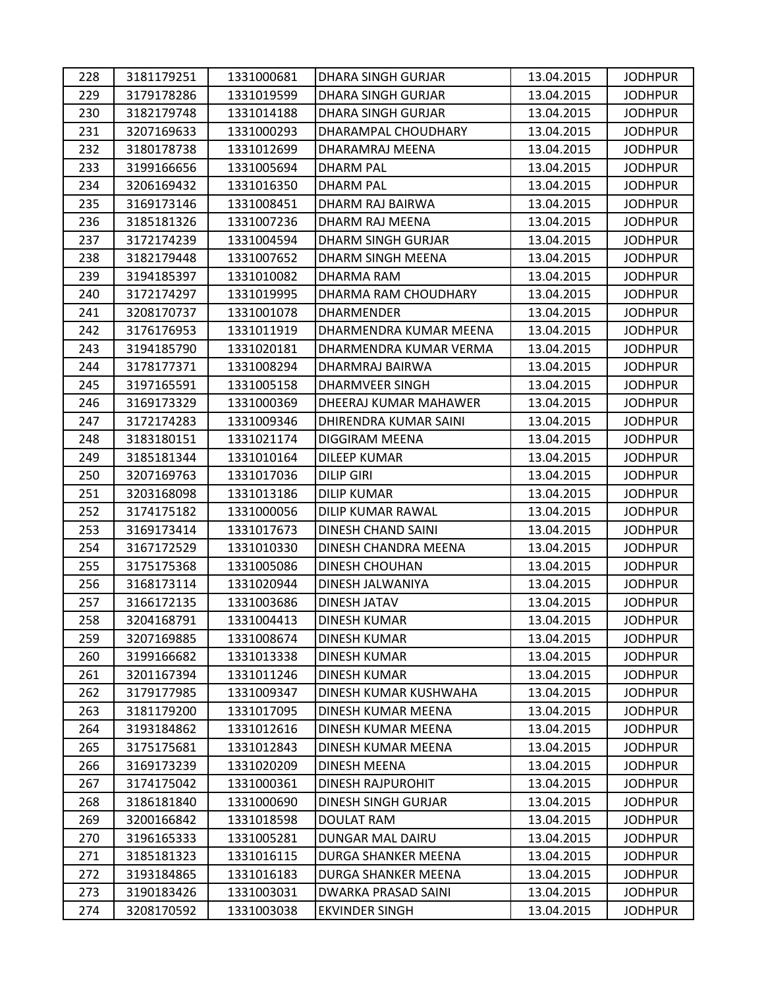| 228 | 3181179251 | 1331000681 | <b>DHARA SINGH GURJAR</b> | 13.04.2015 | <b>JODHPUR</b> |
|-----|------------|------------|---------------------------|------------|----------------|
| 229 | 3179178286 | 1331019599 | DHARA SINGH GURJAR        | 13.04.2015 | <b>JODHPUR</b> |
| 230 | 3182179748 | 1331014188 | <b>DHARA SINGH GURJAR</b> | 13.04.2015 | <b>JODHPUR</b> |
| 231 | 3207169633 | 1331000293 | DHARAMPAL CHOUDHARY       | 13.04.2015 | <b>JODHPUR</b> |
| 232 | 3180178738 | 1331012699 | DHARAMRAJ MEENA           | 13.04.2015 | <b>JODHPUR</b> |
| 233 | 3199166656 | 1331005694 | DHARM PAL                 | 13.04.2015 | <b>JODHPUR</b> |
| 234 | 3206169432 | 1331016350 | <b>DHARM PAL</b>          | 13.04.2015 | <b>JODHPUR</b> |
| 235 | 3169173146 | 1331008451 | DHARM RAJ BAIRWA          | 13.04.2015 | <b>JODHPUR</b> |
| 236 | 3185181326 | 1331007236 | DHARM RAJ MEENA           | 13.04.2015 | <b>JODHPUR</b> |
| 237 | 3172174239 | 1331004594 | <b>DHARM SINGH GURJAR</b> | 13.04.2015 | <b>JODHPUR</b> |
| 238 | 3182179448 | 1331007652 | DHARM SINGH MEENA         | 13.04.2015 | <b>JODHPUR</b> |
| 239 | 3194185397 | 1331010082 | DHARMA RAM                | 13.04.2015 | <b>JODHPUR</b> |
| 240 | 3172174297 | 1331019995 | DHARMA RAM CHOUDHARY      | 13.04.2015 | <b>JODHPUR</b> |
| 241 | 3208170737 | 1331001078 | <b>DHARMENDER</b>         | 13.04.2015 | <b>JODHPUR</b> |
| 242 | 3176176953 | 1331011919 | DHARMENDRA KUMAR MEENA    | 13.04.2015 | <b>JODHPUR</b> |
| 243 | 3194185790 | 1331020181 | DHARMENDRA KUMAR VERMA    | 13.04.2015 | <b>JODHPUR</b> |
| 244 | 3178177371 | 1331008294 | DHARMRAJ BAIRWA           | 13.04.2015 | <b>JODHPUR</b> |
| 245 | 3197165591 | 1331005158 | <b>DHARMVEER SINGH</b>    | 13.04.2015 | <b>JODHPUR</b> |
| 246 | 3169173329 | 1331000369 | DHEERAJ KUMAR MAHAWER     | 13.04.2015 | <b>JODHPUR</b> |
| 247 | 3172174283 | 1331009346 | DHIRENDRA KUMAR SAINI     | 13.04.2015 | <b>JODHPUR</b> |
| 248 | 3183180151 | 1331021174 | DIGGIRAM MEENA            | 13.04.2015 | <b>JODHPUR</b> |
| 249 | 3185181344 | 1331010164 | <b>DILEEP KUMAR</b>       | 13.04.2015 | <b>JODHPUR</b> |
| 250 | 3207169763 | 1331017036 | <b>DILIP GIRI</b>         | 13.04.2015 | <b>JODHPUR</b> |
| 251 | 3203168098 | 1331013186 | <b>DILIP KUMAR</b>        | 13.04.2015 | <b>JODHPUR</b> |
| 252 | 3174175182 | 1331000056 | DILIP KUMAR RAWAL         | 13.04.2015 | <b>JODHPUR</b> |
| 253 | 3169173414 | 1331017673 | DINESH CHAND SAINI        | 13.04.2015 | <b>JODHPUR</b> |
| 254 | 3167172529 | 1331010330 | DINESH CHANDRA MEENA      | 13.04.2015 | <b>JODHPUR</b> |
| 255 | 3175175368 | 1331005086 | <b>DINESH CHOUHAN</b>     | 13.04.2015 | <b>JODHPUR</b> |
| 256 | 3168173114 | 1331020944 | DINESH JALWANIYA          | 13.04.2015 | <b>JODHPUR</b> |
| 257 | 3166172135 | 1331003686 | DINESH JATAV              | 13.04.2015 | <b>JODHPUR</b> |
| 258 | 3204168791 | 1331004413 | <b>DINESH KUMAR</b>       | 13.04.2015 | <b>JODHPUR</b> |
| 259 | 3207169885 | 1331008674 | DINESH KUMAR              | 13.04.2015 | <b>JODHPUR</b> |
| 260 | 3199166682 | 1331013338 | <b>DINESH KUMAR</b>       | 13.04.2015 | <b>JODHPUR</b> |
| 261 | 3201167394 | 1331011246 | DINESH KUMAR              | 13.04.2015 | <b>JODHPUR</b> |
| 262 | 3179177985 | 1331009347 | DINESH KUMAR KUSHWAHA     | 13.04.2015 | <b>JODHPUR</b> |
| 263 | 3181179200 | 1331017095 | DINESH KUMAR MEENA        | 13.04.2015 | <b>JODHPUR</b> |
| 264 | 3193184862 | 1331012616 | DINESH KUMAR MEENA        | 13.04.2015 | <b>JODHPUR</b> |
| 265 | 3175175681 | 1331012843 | DINESH KUMAR MEENA        | 13.04.2015 | <b>JODHPUR</b> |
| 266 | 3169173239 | 1331020209 | <b>DINESH MEENA</b>       | 13.04.2015 | <b>JODHPUR</b> |
| 267 | 3174175042 | 1331000361 | <b>DINESH RAJPUROHIT</b>  | 13.04.2015 | <b>JODHPUR</b> |
| 268 | 3186181840 | 1331000690 | DINESH SINGH GURJAR       | 13.04.2015 | <b>JODHPUR</b> |
| 269 | 3200166842 | 1331018598 | <b>DOULAT RAM</b>         | 13.04.2015 | <b>JODHPUR</b> |
| 270 | 3196165333 | 1331005281 | DUNGAR MAL DAIRU          | 13.04.2015 | <b>JODHPUR</b> |
| 271 | 3185181323 | 1331016115 | DURGA SHANKER MEENA       | 13.04.2015 | <b>JODHPUR</b> |
| 272 | 3193184865 | 1331016183 | DURGA SHANKER MEENA       | 13.04.2015 | <b>JODHPUR</b> |
| 273 | 3190183426 | 1331003031 | DWARKA PRASAD SAINI       | 13.04.2015 | <b>JODHPUR</b> |
| 274 | 3208170592 | 1331003038 | <b>EKVINDER SINGH</b>     | 13.04.2015 | <b>JODHPUR</b> |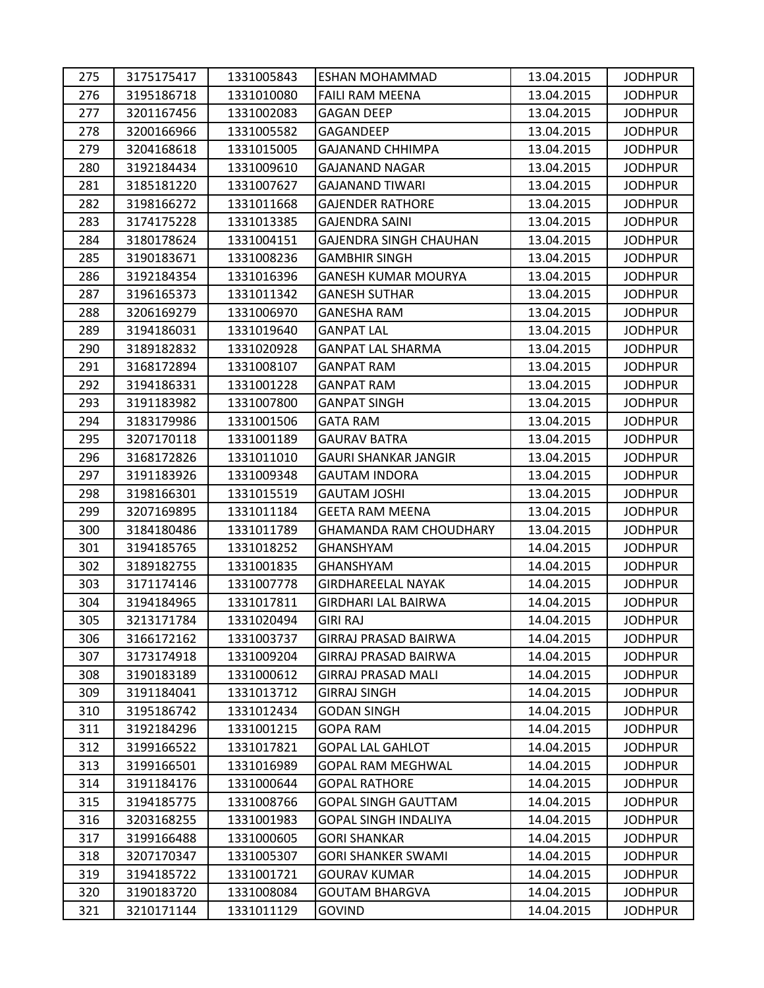| 275 | 3175175417 | 1331005843 | <b>ESHAN MOHAMMAD</b>         | 13.04.2015 | <b>JODHPUR</b> |
|-----|------------|------------|-------------------------------|------------|----------------|
| 276 | 3195186718 | 1331010080 | FAILI RAM MEENA               | 13.04.2015 | <b>JODHPUR</b> |
| 277 | 3201167456 | 1331002083 | <b>GAGAN DEEP</b>             | 13.04.2015 | <b>JODHPUR</b> |
| 278 | 3200166966 | 1331005582 | GAGANDEEP                     | 13.04.2015 | <b>JODHPUR</b> |
| 279 | 3204168618 | 1331015005 | <b>GAJANAND CHHIMPA</b>       | 13.04.2015 | <b>JODHPUR</b> |
| 280 | 3192184434 | 1331009610 | <b>GAJANAND NAGAR</b>         | 13.04.2015 | <b>JODHPUR</b> |
| 281 | 3185181220 | 1331007627 | <b>GAJANAND TIWARI</b>        | 13.04.2015 | <b>JODHPUR</b> |
| 282 | 3198166272 | 1331011668 | <b>GAJENDER RATHORE</b>       | 13.04.2015 | <b>JODHPUR</b> |
| 283 | 3174175228 | 1331013385 | <b>GAJENDRA SAINI</b>         | 13.04.2015 | <b>JODHPUR</b> |
| 284 | 3180178624 | 1331004151 | GAJENDRA SINGH CHAUHAN        | 13.04.2015 | <b>JODHPUR</b> |
| 285 | 3190183671 | 1331008236 | <b>GAMBHIR SINGH</b>          | 13.04.2015 | <b>JODHPUR</b> |
| 286 | 3192184354 | 1331016396 | <b>GANESH KUMAR MOURYA</b>    | 13.04.2015 | <b>JODHPUR</b> |
| 287 | 3196165373 | 1331011342 | <b>GANESH SUTHAR</b>          | 13.04.2015 | <b>JODHPUR</b> |
| 288 | 3206169279 | 1331006970 | <b>GANESHA RAM</b>            | 13.04.2015 | <b>JODHPUR</b> |
| 289 | 3194186031 | 1331019640 | <b>GANPAT LAL</b>             | 13.04.2015 | <b>JODHPUR</b> |
| 290 | 3189182832 | 1331020928 | <b>GANPAT LAL SHARMA</b>      | 13.04.2015 | <b>JODHPUR</b> |
| 291 | 3168172894 | 1331008107 | <b>GANPAT RAM</b>             | 13.04.2015 | <b>JODHPUR</b> |
| 292 | 3194186331 | 1331001228 | <b>GANPAT RAM</b>             | 13.04.2015 | <b>JODHPUR</b> |
| 293 | 3191183982 | 1331007800 | <b>GANPAT SINGH</b>           | 13.04.2015 | <b>JODHPUR</b> |
| 294 | 3183179986 | 1331001506 | <b>GATA RAM</b>               | 13.04.2015 | <b>JODHPUR</b> |
| 295 | 3207170118 | 1331001189 | <b>GAURAV BATRA</b>           | 13.04.2015 | <b>JODHPUR</b> |
| 296 | 3168172826 | 1331011010 | <b>GAURI SHANKAR JANGIR</b>   | 13.04.2015 | <b>JODHPUR</b> |
| 297 | 3191183926 | 1331009348 | <b>GAUTAM INDORA</b>          | 13.04.2015 | <b>JODHPUR</b> |
| 298 | 3198166301 | 1331015519 | <b>GAUTAM JOSHI</b>           | 13.04.2015 | <b>JODHPUR</b> |
| 299 | 3207169895 | 1331011184 | <b>GEETA RAM MEENA</b>        | 13.04.2015 | <b>JODHPUR</b> |
| 300 | 3184180486 | 1331011789 | <b>GHAMANDA RAM CHOUDHARY</b> | 13.04.2015 | <b>JODHPUR</b> |
| 301 | 3194185765 | 1331018252 | <b>GHANSHYAM</b>              | 14.04.2015 | <b>JODHPUR</b> |
| 302 | 3189182755 | 1331001835 | GHANSHYAM                     | 14.04.2015 | <b>JODHPUR</b> |
| 303 | 3171174146 | 1331007778 | <b>GIRDHAREELAL NAYAK</b>     | 14.04.2015 | <b>JODHPUR</b> |
| 304 | 3194184965 | 1331017811 | <b>GIRDHARI LAL BAIRWA</b>    | 14.04.2015 | <b>JODHPUR</b> |
| 305 | 3213171784 | 1331020494 | <b>GIRI RAJ</b>               | 14.04.2015 | <b>JODHPUR</b> |
| 306 | 3166172162 | 1331003737 | <b>GIRRAJ PRASAD BAIRWA</b>   | 14.04.2015 | <b>JODHPUR</b> |
| 307 | 3173174918 | 1331009204 | <b>GIRRAJ PRASAD BAIRWA</b>   | 14.04.2015 | <b>JODHPUR</b> |
| 308 | 3190183189 | 1331000612 | <b>GIRRAJ PRASAD MALI</b>     | 14.04.2015 | <b>JODHPUR</b> |
| 309 | 3191184041 | 1331013712 | <b>GIRRAJ SINGH</b>           | 14.04.2015 | <b>JODHPUR</b> |
| 310 | 3195186742 | 1331012434 | <b>GODAN SINGH</b>            | 14.04.2015 | <b>JODHPUR</b> |
| 311 | 3192184296 | 1331001215 | <b>GOPA RAM</b>               | 14.04.2015 | <b>JODHPUR</b> |
| 312 | 3199166522 | 1331017821 | <b>GOPAL LAL GAHLOT</b>       | 14.04.2015 | <b>JODHPUR</b> |
| 313 | 3199166501 | 1331016989 | GOPAL RAM MEGHWAL             | 14.04.2015 | <b>JODHPUR</b> |
| 314 | 3191184176 | 1331000644 | <b>GOPAL RATHORE</b>          | 14.04.2015 | <b>JODHPUR</b> |
| 315 | 3194185775 | 1331008766 | <b>GOPAL SINGH GAUTTAM</b>    | 14.04.2015 | <b>JODHPUR</b> |
| 316 | 3203168255 | 1331001983 | <b>GOPAL SINGH INDALIYA</b>   | 14.04.2015 | <b>JODHPUR</b> |
| 317 | 3199166488 | 1331000605 | <b>GORI SHANKAR</b>           | 14.04.2015 | <b>JODHPUR</b> |
| 318 | 3207170347 | 1331005307 | <b>GORI SHANKER SWAMI</b>     | 14.04.2015 | <b>JODHPUR</b> |
| 319 | 3194185722 | 1331001721 | <b>GOURAV KUMAR</b>           | 14.04.2015 | <b>JODHPUR</b> |
| 320 | 3190183720 | 1331008084 | <b>GOUTAM BHARGVA</b>         | 14.04.2015 | <b>JODHPUR</b> |
| 321 | 3210171144 | 1331011129 | <b>GOVIND</b>                 | 14.04.2015 | <b>JODHPUR</b> |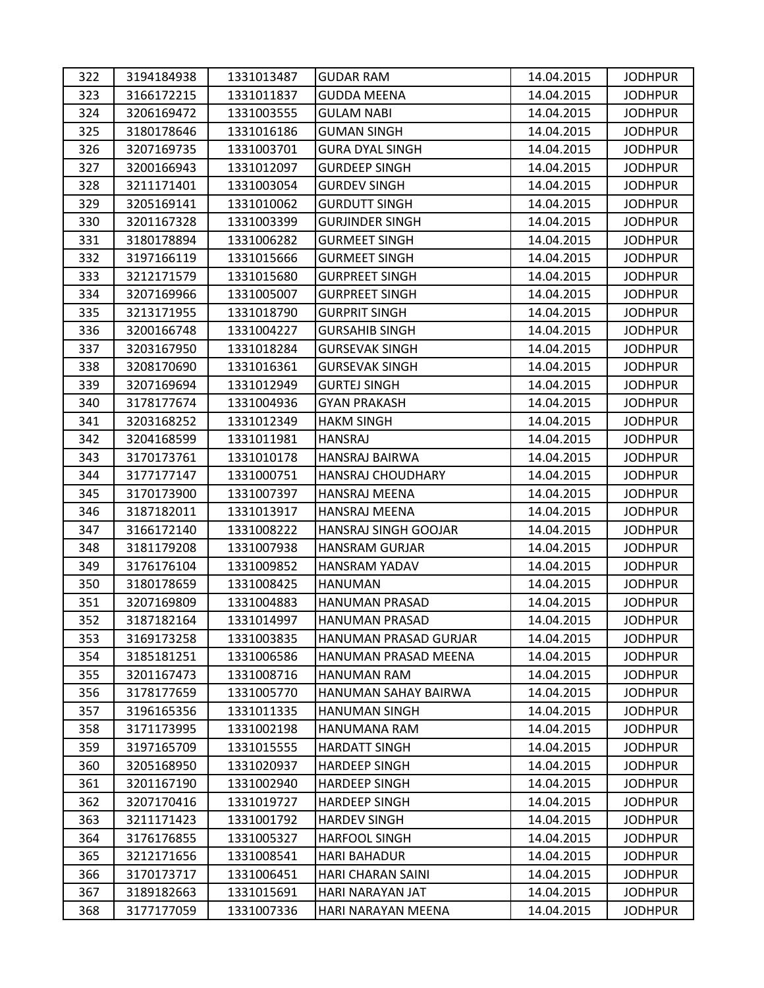| 322 | 3194184938 | 1331013487 | <b>GUDAR RAM</b>       | 14.04.2015 | <b>JODHPUR</b> |
|-----|------------|------------|------------------------|------------|----------------|
| 323 | 3166172215 | 1331011837 | <b>GUDDA MEENA</b>     | 14.04.2015 | <b>JODHPUR</b> |
| 324 | 3206169472 | 1331003555 | <b>GULAM NABI</b>      | 14.04.2015 | <b>JODHPUR</b> |
| 325 | 3180178646 | 1331016186 | <b>GUMAN SINGH</b>     | 14.04.2015 | <b>JODHPUR</b> |
| 326 | 3207169735 | 1331003701 | <b>GURA DYAL SINGH</b> | 14.04.2015 | <b>JODHPUR</b> |
| 327 | 3200166943 | 1331012097 | <b>GURDEEP SINGH</b>   | 14.04.2015 | <b>JODHPUR</b> |
| 328 | 3211171401 | 1331003054 | <b>GURDEV SINGH</b>    | 14.04.2015 | <b>JODHPUR</b> |
| 329 | 3205169141 | 1331010062 | <b>GURDUTT SINGH</b>   | 14.04.2015 | <b>JODHPUR</b> |
| 330 | 3201167328 | 1331003399 | <b>GURJINDER SINGH</b> | 14.04.2015 | <b>JODHPUR</b> |
| 331 | 3180178894 | 1331006282 | <b>GURMEET SINGH</b>   | 14.04.2015 | <b>JODHPUR</b> |
| 332 | 3197166119 | 1331015666 | <b>GURMEET SINGH</b>   | 14.04.2015 | <b>JODHPUR</b> |
| 333 | 3212171579 | 1331015680 | <b>GURPREET SINGH</b>  | 14.04.2015 | <b>JODHPUR</b> |
| 334 | 3207169966 | 1331005007 | <b>GURPREET SINGH</b>  | 14.04.2015 | <b>JODHPUR</b> |
| 335 | 3213171955 | 1331018790 | <b>GURPRIT SINGH</b>   | 14.04.2015 | <b>JODHPUR</b> |
| 336 | 3200166748 | 1331004227 | <b>GURSAHIB SINGH</b>  | 14.04.2015 | <b>JODHPUR</b> |
| 337 | 3203167950 | 1331018284 | <b>GURSEVAK SINGH</b>  | 14.04.2015 | <b>JODHPUR</b> |
| 338 | 3208170690 | 1331016361 | <b>GURSEVAK SINGH</b>  | 14.04.2015 | <b>JODHPUR</b> |
| 339 | 3207169694 | 1331012949 | <b>GURTEJ SINGH</b>    | 14.04.2015 | <b>JODHPUR</b> |
| 340 | 3178177674 | 1331004936 | <b>GYAN PRAKASH</b>    | 14.04.2015 | <b>JODHPUR</b> |
| 341 | 3203168252 | 1331012349 | <b>HAKM SINGH</b>      | 14.04.2015 | <b>JODHPUR</b> |
| 342 | 3204168599 | 1331011981 | <b>HANSRAJ</b>         | 14.04.2015 | <b>JODHPUR</b> |
| 343 | 3170173761 | 1331010178 | HANSRAJ BAIRWA         | 14.04.2015 | <b>JODHPUR</b> |
| 344 | 3177177147 | 1331000751 | HANSRAJ CHOUDHARY      | 14.04.2015 | <b>JODHPUR</b> |
| 345 | 3170173900 | 1331007397 | <b>HANSRAJ MEENA</b>   | 14.04.2015 | <b>JODHPUR</b> |
| 346 | 3187182011 | 1331013917 | HANSRAJ MEENA          | 14.04.2015 | <b>JODHPUR</b> |
| 347 | 3166172140 | 1331008222 | HANSRAJ SINGH GOOJAR   | 14.04.2015 | <b>JODHPUR</b> |
| 348 | 3181179208 | 1331007938 | HANSRAM GURJAR         | 14.04.2015 | <b>JODHPUR</b> |
| 349 | 3176176104 | 1331009852 | HANSRAM YADAV          | 14.04.2015 | <b>JODHPUR</b> |
| 350 | 3180178659 | 1331008425 | <b>HANUMAN</b>         | 14.04.2015 | <b>JODHPUR</b> |
| 351 | 3207169809 | 1331004883 | HANUMAN PRASAD         | 14.04.2015 | <b>JODHPUR</b> |
| 352 | 3187182164 | 1331014997 | <b>HANUMAN PRASAD</b>  | 14.04.2015 | <b>JODHPUR</b> |
| 353 | 3169173258 | 1331003835 | HANUMAN PRASAD GURJAR  | 14.04.2015 | <b>JODHPUR</b> |
| 354 | 3185181251 | 1331006586 | HANUMAN PRASAD MEENA   | 14.04.2015 | <b>JODHPUR</b> |
| 355 | 3201167473 | 1331008716 | HANUMAN RAM            | 14.04.2015 | <b>JODHPUR</b> |
| 356 | 3178177659 | 1331005770 | HANUMAN SAHAY BAIRWA   | 14.04.2015 | <b>JODHPUR</b> |
| 357 | 3196165356 | 1331011335 | <b>HANUMAN SINGH</b>   | 14.04.2015 | <b>JODHPUR</b> |
| 358 | 3171173995 | 1331002198 | HANUMANA RAM           | 14.04.2015 | <b>JODHPUR</b> |
| 359 | 3197165709 | 1331015555 | <b>HARDATT SINGH</b>   | 14.04.2015 | <b>JODHPUR</b> |
| 360 | 3205168950 | 1331020937 | <b>HARDEEP SINGH</b>   | 14.04.2015 | <b>JODHPUR</b> |
| 361 | 3201167190 | 1331002940 | <b>HARDEEP SINGH</b>   | 14.04.2015 | <b>JODHPUR</b> |
| 362 | 3207170416 | 1331019727 | <b>HARDEEP SINGH</b>   | 14.04.2015 | <b>JODHPUR</b> |
| 363 | 3211171423 | 1331001792 | <b>HARDEV SINGH</b>    | 14.04.2015 | <b>JODHPUR</b> |
| 364 | 3176176855 | 1331005327 | <b>HARFOOL SINGH</b>   | 14.04.2015 | <b>JODHPUR</b> |
| 365 | 3212171656 | 1331008541 | <b>HARI BAHADUR</b>    | 14.04.2015 | <b>JODHPUR</b> |
| 366 | 3170173717 | 1331006451 | HARI CHARAN SAINI      | 14.04.2015 | <b>JODHPUR</b> |
| 367 | 3189182663 | 1331015691 | HARI NARAYAN JAT       | 14.04.2015 | <b>JODHPUR</b> |
| 368 | 3177177059 | 1331007336 | HARI NARAYAN MEENA     | 14.04.2015 | <b>JODHPUR</b> |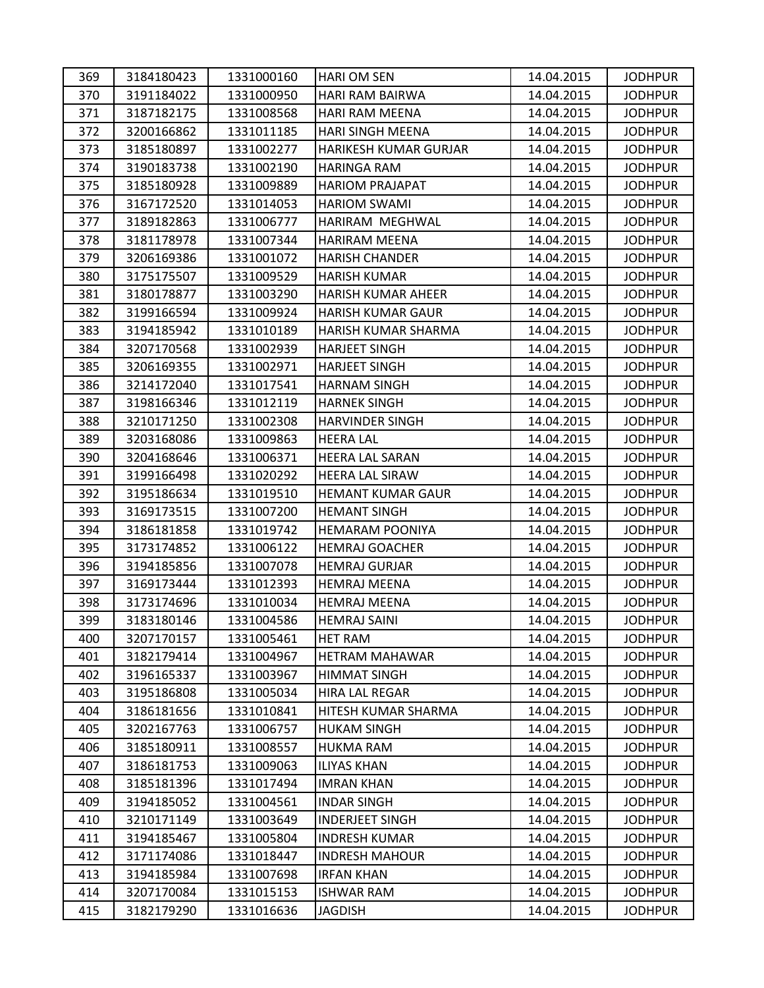| 369 | 3184180423 | 1331000160 | <b>HARI OM SEN</b>       | 14.04.2015 | <b>JODHPUR</b> |
|-----|------------|------------|--------------------------|------------|----------------|
| 370 | 3191184022 | 1331000950 | HARI RAM BAIRWA          | 14.04.2015 | <b>JODHPUR</b> |
| 371 | 3187182175 | 1331008568 | HARI RAM MEENA           | 14.04.2015 | <b>JODHPUR</b> |
| 372 | 3200166862 | 1331011185 | <b>HARI SINGH MEENA</b>  | 14.04.2015 | <b>JODHPUR</b> |
| 373 | 3185180897 | 1331002277 | HARIKESH KUMAR GURJAR    | 14.04.2015 | <b>JODHPUR</b> |
| 374 | 3190183738 | 1331002190 | HARINGA RAM              | 14.04.2015 | <b>JODHPUR</b> |
| 375 | 3185180928 | 1331009889 | <b>HARIOM PRAJAPAT</b>   | 14.04.2015 | <b>JODHPUR</b> |
| 376 | 3167172520 | 1331014053 | <b>HARIOM SWAMI</b>      | 14.04.2015 | <b>JODHPUR</b> |
| 377 | 3189182863 | 1331006777 | HARIRAM MEGHWAL          | 14.04.2015 | <b>JODHPUR</b> |
| 378 | 3181178978 | 1331007344 | <b>HARIRAM MEENA</b>     | 14.04.2015 | <b>JODHPUR</b> |
| 379 | 3206169386 | 1331001072 | <b>HARISH CHANDER</b>    | 14.04.2015 | <b>JODHPUR</b> |
| 380 | 3175175507 | 1331009529 | <b>HARISH KUMAR</b>      | 14.04.2015 | <b>JODHPUR</b> |
| 381 | 3180178877 | 1331003290 | HARISH KUMAR AHEER       | 14.04.2015 | <b>JODHPUR</b> |
| 382 | 3199166594 | 1331009924 | HARISH KUMAR GAUR        | 14.04.2015 | <b>JODHPUR</b> |
| 383 | 3194185942 | 1331010189 | HARISH KUMAR SHARMA      | 14.04.2015 | <b>JODHPUR</b> |
| 384 | 3207170568 | 1331002939 | <b>HARJEET SINGH</b>     | 14.04.2015 | <b>JODHPUR</b> |
| 385 | 3206169355 | 1331002971 | <b>HARJEET SINGH</b>     | 14.04.2015 | <b>JODHPUR</b> |
| 386 | 3214172040 | 1331017541 | <b>HARNAM SINGH</b>      | 14.04.2015 | <b>JODHPUR</b> |
| 387 | 3198166346 | 1331012119 | <b>HARNEK SINGH</b>      | 14.04.2015 | <b>JODHPUR</b> |
| 388 | 3210171250 | 1331002308 | <b>HARVINDER SINGH</b>   | 14.04.2015 | <b>JODHPUR</b> |
| 389 | 3203168086 | 1331009863 | <b>HEERA LAL</b>         | 14.04.2015 | <b>JODHPUR</b> |
| 390 | 3204168646 | 1331006371 | <b>HEERA LAL SARAN</b>   | 14.04.2015 | <b>JODHPUR</b> |
| 391 | 3199166498 | 1331020292 | HEERA LAL SIRAW          | 14.04.2015 | <b>JODHPUR</b> |
| 392 | 3195186634 | 1331019510 | <b>HEMANT KUMAR GAUR</b> | 14.04.2015 | <b>JODHPUR</b> |
| 393 | 3169173515 | 1331007200 | <b>HEMANT SINGH</b>      | 14.04.2015 | <b>JODHPUR</b> |
| 394 | 3186181858 | 1331019742 | <b>HEMARAM POONIYA</b>   | 14.04.2015 | <b>JODHPUR</b> |
| 395 | 3173174852 | 1331006122 | <b>HEMRAJ GOACHER</b>    | 14.04.2015 | <b>JODHPUR</b> |
| 396 | 3194185856 | 1331007078 | <b>HEMRAJ GURJAR</b>     | 14.04.2015 | <b>JODHPUR</b> |
| 397 | 3169173444 | 1331012393 | <b>HEMRAJ MEENA</b>      | 14.04.2015 | <b>JODHPUR</b> |
| 398 | 3173174696 | 1331010034 | <b>HEMRAJ MEENA</b>      | 14.04.2015 | <b>JODHPUR</b> |
| 399 | 3183180146 | 1331004586 | <b>HEMRAJ SAINI</b>      | 14.04.2015 | <b>JODHPUR</b> |
| 400 | 3207170157 | 1331005461 | <b>HET RAM</b>           | 14.04.2015 | <b>JODHPUR</b> |
| 401 | 3182179414 | 1331004967 | <b>HETRAM MAHAWAR</b>    | 14.04.2015 | <b>JODHPUR</b> |
| 402 | 3196165337 | 1331003967 | <b>HIMMAT SINGH</b>      | 14.04.2015 | <b>JODHPUR</b> |
| 403 | 3195186808 | 1331005034 | <b>HIRA LAL REGAR</b>    | 14.04.2015 | <b>JODHPUR</b> |
| 404 | 3186181656 | 1331010841 | HITESH KUMAR SHARMA      | 14.04.2015 | <b>JODHPUR</b> |
| 405 | 3202167763 | 1331006757 | <b>HUKAM SINGH</b>       | 14.04.2015 | <b>JODHPUR</b> |
| 406 | 3185180911 | 1331008557 | <b>HUKMA RAM</b>         | 14.04.2015 | <b>JODHPUR</b> |
| 407 | 3186181753 | 1331009063 | ILIYAS KHAN              | 14.04.2015 | <b>JODHPUR</b> |
| 408 | 3185181396 | 1331017494 | <b>IMRAN KHAN</b>        | 14.04.2015 | <b>JODHPUR</b> |
| 409 | 3194185052 | 1331004561 | INDAR SINGH              | 14.04.2015 | <b>JODHPUR</b> |
| 410 | 3210171149 | 1331003649 | <b>INDERJEET SINGH</b>   | 14.04.2015 | <b>JODHPUR</b> |
| 411 | 3194185467 | 1331005804 | <b>INDRESH KUMAR</b>     | 14.04.2015 | <b>JODHPUR</b> |
| 412 | 3171174086 | 1331018447 | <b>INDRESH MAHOUR</b>    | 14.04.2015 | <b>JODHPUR</b> |
| 413 | 3194185984 | 1331007698 | <b>IRFAN KHAN</b>        | 14.04.2015 | <b>JODHPUR</b> |
| 414 | 3207170084 | 1331015153 | <b>ISHWAR RAM</b>        | 14.04.2015 | <b>JODHPUR</b> |
| 415 | 3182179290 | 1331016636 | <b>JAGDISH</b>           | 14.04.2015 | <b>JODHPUR</b> |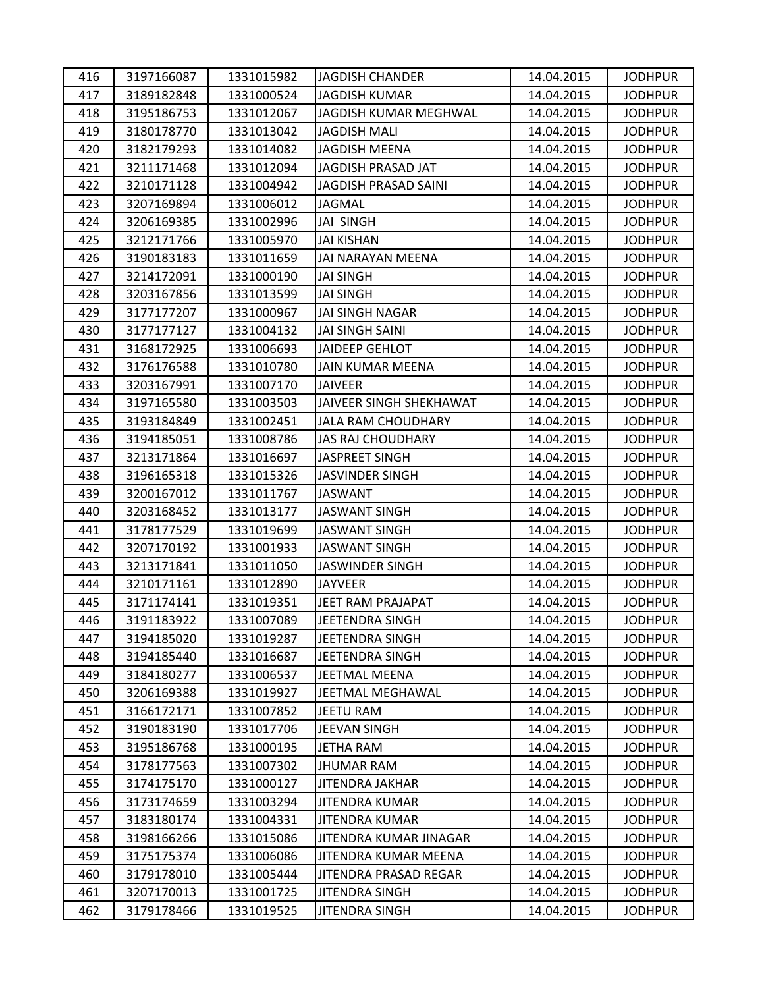| 416 | 3197166087 | 1331015982 | <b>JAGDISH CHANDER</b>      | 14.04.2015 | <b>JODHPUR</b> |
|-----|------------|------------|-----------------------------|------------|----------------|
| 417 | 3189182848 | 1331000524 | <b>JAGDISH KUMAR</b>        | 14.04.2015 | <b>JODHPUR</b> |
| 418 | 3195186753 | 1331012067 | JAGDISH KUMAR MEGHWAL       | 14.04.2015 | <b>JODHPUR</b> |
| 419 | 3180178770 | 1331013042 | <b>JAGDISH MALI</b>         | 14.04.2015 | <b>JODHPUR</b> |
| 420 | 3182179293 | 1331014082 | <b>JAGDISH MEENA</b>        | 14.04.2015 | <b>JODHPUR</b> |
| 421 | 3211171468 | 1331012094 | JAGDISH PRASAD JAT          | 14.04.2015 | <b>JODHPUR</b> |
| 422 | 3210171128 | 1331004942 | <b>JAGDISH PRASAD SAINI</b> | 14.04.2015 | <b>JODHPUR</b> |
| 423 | 3207169894 | 1331006012 | <b>JAGMAL</b>               | 14.04.2015 | <b>JODHPUR</b> |
| 424 | 3206169385 | 1331002996 | JAI SINGH                   | 14.04.2015 | <b>JODHPUR</b> |
| 425 | 3212171766 | 1331005970 | <b>JAI KISHAN</b>           | 14.04.2015 | <b>JODHPUR</b> |
| 426 | 3190183183 | 1331011659 | JAI NARAYAN MEENA           | 14.04.2015 | <b>JODHPUR</b> |
| 427 | 3214172091 | 1331000190 | <b>JAI SINGH</b>            | 14.04.2015 | <b>JODHPUR</b> |
| 428 | 3203167856 | 1331013599 | <b>JAI SINGH</b>            | 14.04.2015 | <b>JODHPUR</b> |
| 429 | 3177177207 | 1331000967 | <b>JAI SINGH NAGAR</b>      | 14.04.2015 | <b>JODHPUR</b> |
| 430 | 3177177127 | 1331004132 | <b>JAI SINGH SAINI</b>      | 14.04.2015 | <b>JODHPUR</b> |
| 431 | 3168172925 | 1331006693 | JAIDEEP GEHLOT              | 14.04.2015 | <b>JODHPUR</b> |
| 432 | 3176176588 | 1331010780 | JAIN KUMAR MEENA            | 14.04.2015 | <b>JODHPUR</b> |
| 433 | 3203167991 | 1331007170 | <b>JAIVEER</b>              | 14.04.2015 | <b>JODHPUR</b> |
| 434 | 3197165580 | 1331003503 | JAIVEER SINGH SHEKHAWAT     | 14.04.2015 | <b>JODHPUR</b> |
| 435 | 3193184849 | 1331002451 | <b>JALA RAM CHOUDHARY</b>   | 14.04.2015 | <b>JODHPUR</b> |
| 436 | 3194185051 | 1331008786 | <b>JAS RAJ CHOUDHARY</b>    | 14.04.2015 | <b>JODHPUR</b> |
| 437 | 3213171864 | 1331016697 | JASPREET SINGH              | 14.04.2015 | <b>JODHPUR</b> |
| 438 | 3196165318 | 1331015326 | JASVINDER SINGH             | 14.04.2015 | <b>JODHPUR</b> |
| 439 | 3200167012 | 1331011767 | <b>JASWANT</b>              | 14.04.2015 | <b>JODHPUR</b> |
| 440 | 3203168452 | 1331013177 | <b>JASWANT SINGH</b>        | 14.04.2015 | <b>JODHPUR</b> |
| 441 | 3178177529 | 1331019699 | <b>JASWANT SINGH</b>        | 14.04.2015 | <b>JODHPUR</b> |
| 442 | 3207170192 | 1331001933 | <b>JASWANT SINGH</b>        | 14.04.2015 | <b>JODHPUR</b> |
| 443 | 3213171841 | 1331011050 | <b>JASWINDER SINGH</b>      | 14.04.2015 | <b>JODHPUR</b> |
| 444 | 3210171161 | 1331012890 | <b>JAYVEER</b>              | 14.04.2015 | <b>JODHPUR</b> |
| 445 | 3171174141 | 1331019351 | JEET RAM PRAJAPAT           | 14.04.2015 | <b>JODHPUR</b> |
| 446 | 3191183922 | 1331007089 | JEETENDRA SINGH             | 14.04.2015 | <b>JODHPUR</b> |
| 447 | 3194185020 | 1331019287 | JEETENDRA SINGH             | 14.04.2015 | <b>JODHPUR</b> |
| 448 | 3194185440 | 1331016687 | JEETENDRA SINGH             | 14.04.2015 | <b>JODHPUR</b> |
| 449 | 3184180277 | 1331006537 | JEETMAL MEENA               | 14.04.2015 | <b>JODHPUR</b> |
| 450 | 3206169388 | 1331019927 | JEETMAL MEGHAWAL            | 14.04.2015 | <b>JODHPUR</b> |
| 451 | 3166172171 | 1331007852 | <b>JEETU RAM</b>            | 14.04.2015 | <b>JODHPUR</b> |
| 452 | 3190183190 | 1331017706 | <b>JEEVAN SINGH</b>         | 14.04.2015 | <b>JODHPUR</b> |
| 453 | 3195186768 | 1331000195 | <b>JETHA RAM</b>            | 14.04.2015 | <b>JODHPUR</b> |
| 454 | 3178177563 | 1331007302 | JHUMAR RAM                  | 14.04.2015 | <b>JODHPUR</b> |
| 455 | 3174175170 | 1331000127 | JITENDRA JAKHAR             | 14.04.2015 | <b>JODHPUR</b> |
| 456 | 3173174659 | 1331003294 | JITENDRA KUMAR              | 14.04.2015 | <b>JODHPUR</b> |
| 457 | 3183180174 | 1331004331 | <b>JITENDRA KUMAR</b>       | 14.04.2015 | <b>JODHPUR</b> |
| 458 | 3198166266 | 1331015086 | JITENDRA KUMAR JINAGAR      | 14.04.2015 | <b>JODHPUR</b> |
| 459 | 3175175374 | 1331006086 | JITENDRA KUMAR MEENA        | 14.04.2015 | <b>JODHPUR</b> |
| 460 | 3179178010 | 1331005444 | JITENDRA PRASAD REGAR       | 14.04.2015 | <b>JODHPUR</b> |
| 461 | 3207170013 | 1331001725 | JITENDRA SINGH              | 14.04.2015 | <b>JODHPUR</b> |
| 462 | 3179178466 | 1331019525 | <b>JITENDRA SINGH</b>       | 14.04.2015 | <b>JODHPUR</b> |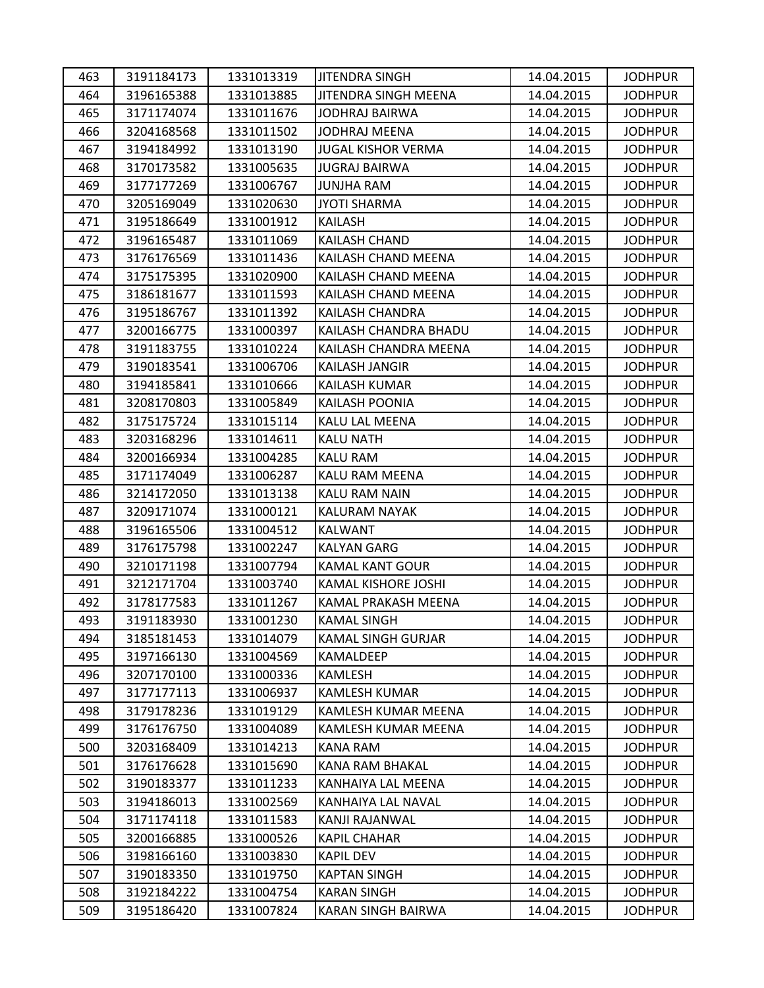| 463 | 3191184173 | 1331013319 | <b>JITENDRA SINGH</b>      | 14.04.2015 | <b>JODHPUR</b> |
|-----|------------|------------|----------------------------|------------|----------------|
| 464 | 3196165388 | 1331013885 | JITENDRA SINGH MEENA       | 14.04.2015 | <b>JODHPUR</b> |
| 465 | 3171174074 | 1331011676 | <b>JODHRAJ BAIRWA</b>      | 14.04.2015 | <b>JODHPUR</b> |
| 466 | 3204168568 | 1331011502 | <b>JODHRAJ MEENA</b>       | 14.04.2015 | <b>JODHPUR</b> |
| 467 | 3194184992 | 1331013190 | <b>JUGAL KISHOR VERMA</b>  | 14.04.2015 | <b>JODHPUR</b> |
| 468 | 3170173582 | 1331005635 | JUGRAJ BAIRWA              | 14.04.2015 | <b>JODHPUR</b> |
| 469 | 3177177269 | 1331006767 | <b>JUNJHA RAM</b>          | 14.04.2015 | <b>JODHPUR</b> |
| 470 | 3205169049 | 1331020630 | <b>JYOTI SHARMA</b>        | 14.04.2015 | <b>JODHPUR</b> |
| 471 | 3195186649 | 1331001912 | KAILASH                    | 14.04.2015 | <b>JODHPUR</b> |
| 472 | 3196165487 | 1331011069 | KAILASH CHAND              | 14.04.2015 | <b>JODHPUR</b> |
| 473 | 3176176569 | 1331011436 | KAILASH CHAND MEENA        | 14.04.2015 | <b>JODHPUR</b> |
| 474 | 3175175395 | 1331020900 | KAILASH CHAND MEENA        | 14.04.2015 | <b>JODHPUR</b> |
| 475 | 3186181677 | 1331011593 | KAILASH CHAND MEENA        | 14.04.2015 | <b>JODHPUR</b> |
| 476 | 3195186767 | 1331011392 | KAILASH CHANDRA            | 14.04.2015 | <b>JODHPUR</b> |
| 477 | 3200166775 | 1331000397 | KAILASH CHANDRA BHADU      | 14.04.2015 | <b>JODHPUR</b> |
| 478 | 3191183755 | 1331010224 | KAILASH CHANDRA MEENA      | 14.04.2015 | <b>JODHPUR</b> |
| 479 | 3190183541 | 1331006706 | KAILASH JANGIR             | 14.04.2015 | <b>JODHPUR</b> |
| 480 | 3194185841 | 1331010666 | <b>KAILASH KUMAR</b>       | 14.04.2015 | <b>JODHPUR</b> |
| 481 | 3208170803 | 1331005849 | KAILASH POONIA             | 14.04.2015 | <b>JODHPUR</b> |
| 482 | 3175175724 | 1331015114 | KALU LAL MEENA             | 14.04.2015 | <b>JODHPUR</b> |
| 483 | 3203168296 | 1331014611 | <b>KALU NATH</b>           | 14.04.2015 | <b>JODHPUR</b> |
| 484 | 3200166934 | 1331004285 | <b>KALU RAM</b>            | 14.04.2015 | <b>JODHPUR</b> |
| 485 | 3171174049 | 1331006287 | KALU RAM MEENA             | 14.04.2015 | <b>JODHPUR</b> |
| 486 | 3214172050 | 1331013138 | KALU RAM NAIN              | 14.04.2015 | <b>JODHPUR</b> |
| 487 | 3209171074 | 1331000121 | KALURAM NAYAK              | 14.04.2015 | <b>JODHPUR</b> |
| 488 | 3196165506 | 1331004512 | <b>KALWANT</b>             | 14.04.2015 | <b>JODHPUR</b> |
| 489 | 3176175798 | 1331002247 | <b>KALYAN GARG</b>         | 14.04.2015 | <b>JODHPUR</b> |
| 490 | 3210171198 | 1331007794 | <b>KAMAL KANT GOUR</b>     | 14.04.2015 | <b>JODHPUR</b> |
| 491 | 3212171704 | 1331003740 | KAMAL KISHORE JOSHI        | 14.04.2015 | <b>JODHPUR</b> |
| 492 | 3178177583 | 1331011267 | KAMAL PRAKASH MEENA        | 14.04.2015 | <b>JODHPUR</b> |
| 493 | 3191183930 | 1331001230 | <b>KAMAL SINGH</b>         | 14.04.2015 | <b>JODHPUR</b> |
| 494 | 3185181453 | 1331014079 | <b>KAMAL SINGH GURJAR</b>  | 14.04.2015 | <b>JODHPUR</b> |
| 495 | 3197166130 | 1331004569 | KAMALDEEP                  | 14.04.2015 | <b>JODHPUR</b> |
| 496 | 3207170100 | 1331000336 | <b>KAMLESH</b>             | 14.04.2015 | <b>JODHPUR</b> |
| 497 | 3177177113 | 1331006937 | <b>KAMLESH KUMAR</b>       | 14.04.2015 | <b>JODHPUR</b> |
| 498 | 3179178236 | 1331019129 | <b>KAMLESH KUMAR MEENA</b> | 14.04.2015 | <b>JODHPUR</b> |
| 499 | 3176176750 | 1331004089 | KAMLESH KUMAR MEENA        | 14.04.2015 | <b>JODHPUR</b> |
| 500 | 3203168409 | 1331014213 | KANA RAM                   | 14.04.2015 | <b>JODHPUR</b> |
| 501 | 3176176628 | 1331015690 | KANA RAM BHAKAL            | 14.04.2015 | <b>JODHPUR</b> |
| 502 | 3190183377 | 1331011233 | KANHAIYA LAL MEENA         | 14.04.2015 | <b>JODHPUR</b> |
| 503 | 3194186013 | 1331002569 | KANHAIYA LAL NAVAL         | 14.04.2015 | <b>JODHPUR</b> |
| 504 | 3171174118 | 1331011583 | KANJI RAJANWAL             | 14.04.2015 | <b>JODHPUR</b> |
| 505 | 3200166885 | 1331000526 | <b>KAPIL CHAHAR</b>        | 14.04.2015 | <b>JODHPUR</b> |
| 506 | 3198166160 | 1331003830 | <b>KAPIL DEV</b>           | 14.04.2015 | <b>JODHPUR</b> |
| 507 | 3190183350 | 1331019750 | <b>KAPTAN SINGH</b>        | 14.04.2015 | <b>JODHPUR</b> |
| 508 | 3192184222 | 1331004754 | <b>KARAN SINGH</b>         | 14.04.2015 | <b>JODHPUR</b> |
| 509 | 3195186420 | 1331007824 | KARAN SINGH BAIRWA         | 14.04.2015 | <b>JODHPUR</b> |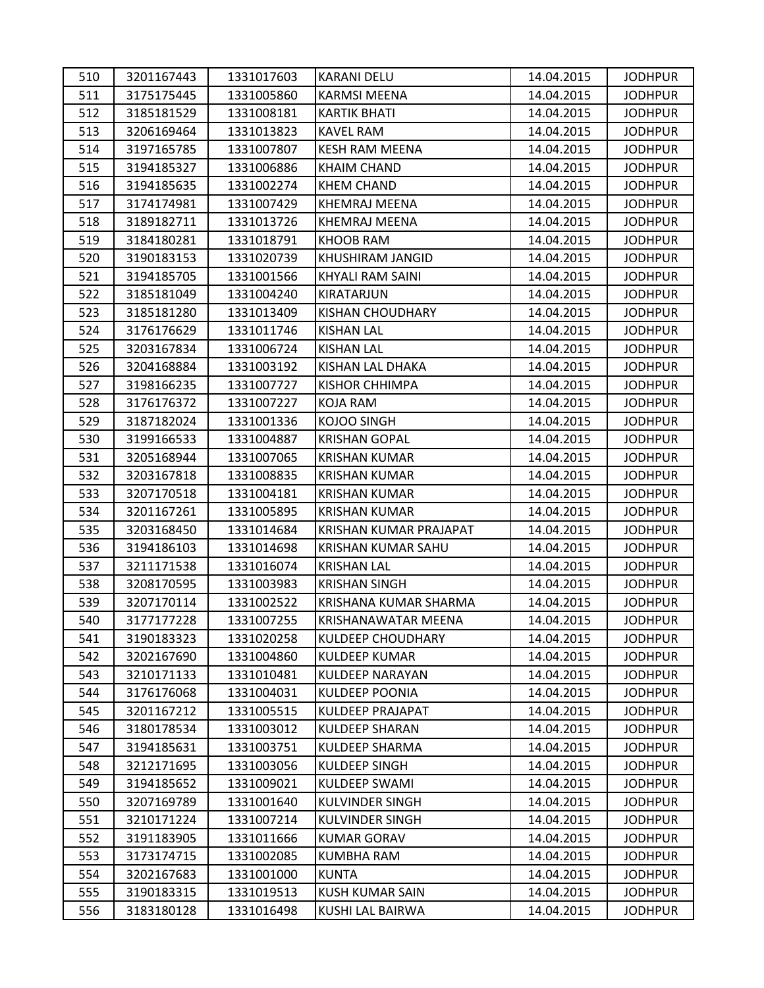| 510 | 3201167443 | 1331017603 | <b>KARANI DELU</b>       | 14.04.2015 | <b>JODHPUR</b> |
|-----|------------|------------|--------------------------|------------|----------------|
| 511 | 3175175445 | 1331005860 | <b>KARMSI MEENA</b>      | 14.04.2015 | <b>JODHPUR</b> |
| 512 | 3185181529 | 1331008181 | <b>KARTIK BHATI</b>      | 14.04.2015 | <b>JODHPUR</b> |
| 513 | 3206169464 | 1331013823 | <b>KAVEL RAM</b>         | 14.04.2015 | <b>JODHPUR</b> |
| 514 | 3197165785 | 1331007807 | <b>KESH RAM MEENA</b>    | 14.04.2015 | <b>JODHPUR</b> |
| 515 | 3194185327 | 1331006886 | <b>KHAIM CHAND</b>       | 14.04.2015 | <b>JODHPUR</b> |
| 516 | 3194185635 | 1331002274 | <b>KHEM CHAND</b>        | 14.04.2015 | <b>JODHPUR</b> |
| 517 | 3174174981 | 1331007429 | <b>KHEMRAJ MEENA</b>     | 14.04.2015 | <b>JODHPUR</b> |
| 518 | 3189182711 | 1331013726 | <b>KHEMRAJ MEENA</b>     | 14.04.2015 | <b>JODHPUR</b> |
| 519 | 3184180281 | 1331018791 | <b>KHOOB RAM</b>         | 14.04.2015 | <b>JODHPUR</b> |
| 520 | 3190183153 | 1331020739 | KHUSHIRAM JANGID         | 14.04.2015 | <b>JODHPUR</b> |
| 521 | 3194185705 | 1331001566 | KHYALI RAM SAINI         | 14.04.2015 | <b>JODHPUR</b> |
| 522 | 3185181049 | 1331004240 | KIRATARJUN               | 14.04.2015 | <b>JODHPUR</b> |
| 523 | 3185181280 | 1331013409 | <b>KISHAN CHOUDHARY</b>  | 14.04.2015 | <b>JODHPUR</b> |
| 524 | 3176176629 | 1331011746 | <b>KISHAN LAL</b>        | 14.04.2015 | <b>JODHPUR</b> |
| 525 | 3203167834 | 1331006724 | <b>KISHAN LAL</b>        | 14.04.2015 | <b>JODHPUR</b> |
| 526 | 3204168884 | 1331003192 | KISHAN LAL DHAKA         | 14.04.2015 | <b>JODHPUR</b> |
| 527 | 3198166235 | 1331007727 | KISHOR CHHIMPA           | 14.04.2015 | <b>JODHPUR</b> |
| 528 | 3176176372 | 1331007227 | <b>KOJA RAM</b>          | 14.04.2015 | <b>JODHPUR</b> |
| 529 | 3187182024 | 1331001336 | <b>KOJOO SINGH</b>       | 14.04.2015 | <b>JODHPUR</b> |
| 530 | 3199166533 | 1331004887 | <b>KRISHAN GOPAL</b>     | 14.04.2015 | <b>JODHPUR</b> |
| 531 | 3205168944 | 1331007065 | <b>KRISHAN KUMAR</b>     | 14.04.2015 | <b>JODHPUR</b> |
| 532 | 3203167818 | 1331008835 | <b>KRISHAN KUMAR</b>     | 14.04.2015 | <b>JODHPUR</b> |
| 533 | 3207170518 | 1331004181 | <b>KRISHAN KUMAR</b>     | 14.04.2015 | <b>JODHPUR</b> |
| 534 | 3201167261 | 1331005895 | <b>KRISHAN KUMAR</b>     | 14.04.2015 | <b>JODHPUR</b> |
| 535 | 3203168450 | 1331014684 | KRISHAN KUMAR PRAJAPAT   | 14.04.2015 | <b>JODHPUR</b> |
| 536 | 3194186103 | 1331014698 | KRISHAN KUMAR SAHU       | 14.04.2015 | <b>JODHPUR</b> |
| 537 | 3211171538 | 1331016074 | <b>KRISHAN LAL</b>       | 14.04.2015 | <b>JODHPUR</b> |
| 538 | 3208170595 | 1331003983 | <b>KRISHAN SINGH</b>     | 14.04.2015 | <b>JODHPUR</b> |
| 539 | 3207170114 | 1331002522 | KRISHANA KUMAR SHARMA    | 14.04.2015 | <b>JODHPUR</b> |
| 540 | 3177177228 | 1331007255 | KRISHANAWATAR MEENA      | 14.04.2015 | <b>JODHPUR</b> |
| 541 | 3190183323 | 1331020258 | <b>KULDEEP CHOUDHARY</b> | 14.04.2015 | <b>JODHPUR</b> |
| 542 | 3202167690 | 1331004860 | <b>KULDEEP KUMAR</b>     | 14.04.2015 | <b>JODHPUR</b> |
| 543 | 3210171133 | 1331010481 | <b>KULDEEP NARAYAN</b>   | 14.04.2015 | <b>JODHPUR</b> |
| 544 | 3176176068 | 1331004031 | <b>KULDEEP POONIA</b>    | 14.04.2015 | <b>JODHPUR</b> |
| 545 | 3201167212 | 1331005515 | <b>KULDEEP PRAJAPAT</b>  | 14.04.2015 | <b>JODHPUR</b> |
| 546 | 3180178534 | 1331003012 | <b>KULDEEP SHARAN</b>    | 14.04.2015 | <b>JODHPUR</b> |
| 547 | 3194185631 | 1331003751 | <b>KULDEEP SHARMA</b>    | 14.04.2015 | <b>JODHPUR</b> |
| 548 | 3212171695 | 1331003056 | <b>KULDEEP SINGH</b>     | 14.04.2015 | <b>JODHPUR</b> |
| 549 | 3194185652 | 1331009021 | <b>KULDEEP SWAMI</b>     | 14.04.2015 | <b>JODHPUR</b> |
| 550 | 3207169789 | 1331001640 | KULVINDER SINGH          | 14.04.2015 | <b>JODHPUR</b> |
| 551 | 3210171224 | 1331007214 | <b>KULVINDER SINGH</b>   | 14.04.2015 | <b>JODHPUR</b> |
| 552 | 3191183905 | 1331011666 | <b>KUMAR GORAV</b>       | 14.04.2015 | <b>JODHPUR</b> |
| 553 | 3173174715 | 1331002085 | <b>KUMBHA RAM</b>        | 14.04.2015 | <b>JODHPUR</b> |
| 554 | 3202167683 | 1331001000 | <b>KUNTA</b>             | 14.04.2015 | <b>JODHPUR</b> |
| 555 | 3190183315 | 1331019513 | KUSH KUMAR SAIN          | 14.04.2015 | <b>JODHPUR</b> |
| 556 | 3183180128 | 1331016498 | KUSHI LAL BAIRWA         | 14.04.2015 | <b>JODHPUR</b> |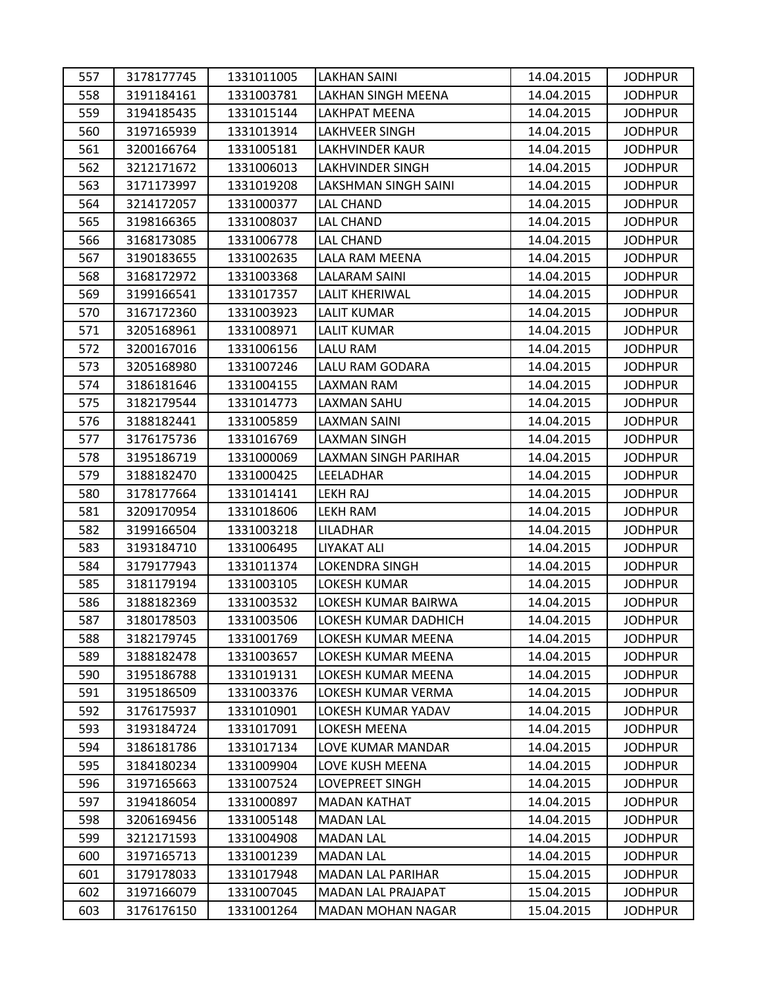| 557 | 3178177745 | 1331011005 | LAKHAN SAINI                | 14.04.2015 | <b>JODHPUR</b> |
|-----|------------|------------|-----------------------------|------------|----------------|
| 558 | 3191184161 | 1331003781 | LAKHAN SINGH MEENA          | 14.04.2015 | <b>JODHPUR</b> |
| 559 | 3194185435 | 1331015144 | LAKHPAT MEENA               | 14.04.2015 | <b>JODHPUR</b> |
| 560 | 3197165939 | 1331013914 | <b>LAKHVEER SINGH</b>       | 14.04.2015 | <b>JODHPUR</b> |
| 561 | 3200166764 | 1331005181 | <b>LAKHVINDER KAUR</b>      | 14.04.2015 | <b>JODHPUR</b> |
| 562 | 3212171672 | 1331006013 | <b>LAKHVINDER SINGH</b>     | 14.04.2015 | <b>JODHPUR</b> |
| 563 | 3171173997 | 1331019208 | <b>LAKSHMAN SINGH SAINI</b> | 14.04.2015 | <b>JODHPUR</b> |
| 564 | 3214172057 | 1331000377 | LAL CHAND                   | 14.04.2015 | <b>JODHPUR</b> |
| 565 | 3198166365 | 1331008037 | <b>LAL CHAND</b>            | 14.04.2015 | <b>JODHPUR</b> |
| 566 | 3168173085 | 1331006778 | LAL CHAND                   | 14.04.2015 | <b>JODHPUR</b> |
| 567 | 3190183655 | 1331002635 | LALA RAM MEENA              | 14.04.2015 | <b>JODHPUR</b> |
| 568 | 3168172972 | 1331003368 | LALARAM SAINI               | 14.04.2015 | <b>JODHPUR</b> |
| 569 | 3199166541 | 1331017357 | <b>LALIT KHERIWAL</b>       | 14.04.2015 | <b>JODHPUR</b> |
| 570 | 3167172360 | 1331003923 | <b>LALIT KUMAR</b>          | 14.04.2015 | <b>JODHPUR</b> |
| 571 | 3205168961 | 1331008971 | <b>LALIT KUMAR</b>          | 14.04.2015 | <b>JODHPUR</b> |
| 572 | 3200167016 | 1331006156 | LALU RAM                    | 14.04.2015 | <b>JODHPUR</b> |
| 573 | 3205168980 | 1331007246 | LALU RAM GODARA             | 14.04.2015 | <b>JODHPUR</b> |
| 574 | 3186181646 | 1331004155 | LAXMAN RAM                  | 14.04.2015 | <b>JODHPUR</b> |
| 575 | 3182179544 | 1331014773 | LAXMAN SAHU                 | 14.04.2015 | <b>JODHPUR</b> |
| 576 | 3188182441 | 1331005859 | LAXMAN SAINI                | 14.04.2015 | <b>JODHPUR</b> |
| 577 | 3176175736 | 1331016769 | <b>LAXMAN SINGH</b>         | 14.04.2015 | <b>JODHPUR</b> |
| 578 | 3195186719 | 1331000069 | LAXMAN SINGH PARIHAR        | 14.04.2015 | <b>JODHPUR</b> |
| 579 | 3188182470 | 1331000425 | LEELADHAR                   | 14.04.2015 | <b>JODHPUR</b> |
| 580 | 3178177664 | 1331014141 | <b>LEKH RAJ</b>             | 14.04.2015 | <b>JODHPUR</b> |
| 581 | 3209170954 | 1331018606 | LEKH RAM                    | 14.04.2015 | <b>JODHPUR</b> |
| 582 | 3199166504 | 1331003218 | LILADHAR                    | 14.04.2015 | <b>JODHPUR</b> |
| 583 | 3193184710 | 1331006495 | LIYAKAT ALI                 | 14.04.2015 | <b>JODHPUR</b> |
| 584 | 3179177943 | 1331011374 | <b>LOKENDRA SINGH</b>       | 14.04.2015 | <b>JODHPUR</b> |
| 585 | 3181179194 | 1331003105 | LOKESH KUMAR                | 14.04.2015 | <b>JODHPUR</b> |
| 586 | 3188182369 | 1331003532 | LOKESH KUMAR BAIRWA         | 14.04.2015 | <b>JODHPUR</b> |
| 587 | 3180178503 | 1331003506 | LOKESH KUMAR DADHICH        | 14.04.2015 | <b>JODHPUR</b> |
| 588 | 3182179745 | 1331001769 | LOKESH KUMAR MEENA          | 14.04.2015 | <b>JODHPUR</b> |
| 589 | 3188182478 | 1331003657 | LOKESH KUMAR MEENA          | 14.04.2015 | <b>JODHPUR</b> |
| 590 | 3195186788 | 1331019131 | LOKESH KUMAR MEENA          | 14.04.2015 | <b>JODHPUR</b> |
| 591 | 3195186509 | 1331003376 | LOKESH KUMAR VERMA          | 14.04.2015 | <b>JODHPUR</b> |
| 592 | 3176175937 | 1331010901 | LOKESH KUMAR YADAV          | 14.04.2015 | <b>JODHPUR</b> |
| 593 | 3193184724 | 1331017091 | LOKESH MEENA                | 14.04.2015 | <b>JODHPUR</b> |
| 594 | 3186181786 | 1331017134 | LOVE KUMAR MANDAR           | 14.04.2015 | <b>JODHPUR</b> |
| 595 | 3184180234 | 1331009904 | LOVE KUSH MEENA             | 14.04.2015 | <b>JODHPUR</b> |
| 596 | 3197165663 | 1331007524 | <b>LOVEPREET SINGH</b>      | 14.04.2015 | <b>JODHPUR</b> |
| 597 | 3194186054 | 1331000897 | <b>MADAN KATHAT</b>         | 14.04.2015 | <b>JODHPUR</b> |
| 598 | 3206169456 | 1331005148 | <b>MADAN LAL</b>            | 14.04.2015 | <b>JODHPUR</b> |
| 599 | 3212171593 | 1331004908 | <b>MADAN LAL</b>            | 14.04.2015 | <b>JODHPUR</b> |
| 600 | 3197165713 | 1331001239 | <b>MADAN LAL</b>            | 14.04.2015 | <b>JODHPUR</b> |
| 601 | 3179178033 | 1331017948 | MADAN LAL PARIHAR           | 15.04.2015 | <b>JODHPUR</b> |
| 602 | 3197166079 | 1331007045 | MADAN LAL PRAJAPAT          | 15.04.2015 | <b>JODHPUR</b> |
| 603 | 3176176150 | 1331001264 | MADAN MOHAN NAGAR           | 15.04.2015 | <b>JODHPUR</b> |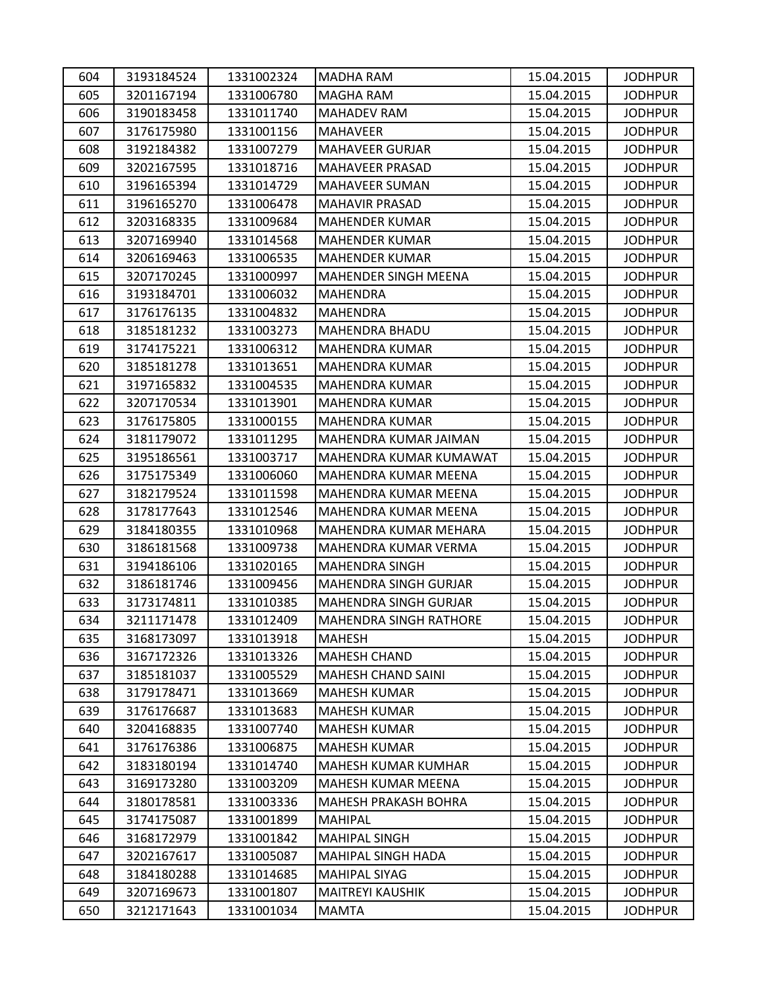| 604 | 3193184524 | 1331002324 | MADHA RAM                     | 15.04.2015 | <b>JODHPUR</b> |
|-----|------------|------------|-------------------------------|------------|----------------|
| 605 | 3201167194 | 1331006780 | MAGHA RAM                     | 15.04.2015 | <b>JODHPUR</b> |
| 606 | 3190183458 | 1331011740 | <b>MAHADEV RAM</b>            | 15.04.2015 | <b>JODHPUR</b> |
| 607 | 3176175980 | 1331001156 | <b>MAHAVEER</b>               | 15.04.2015 | <b>JODHPUR</b> |
| 608 | 3192184382 | 1331007279 | <b>MAHAVEER GURJAR</b>        | 15.04.2015 | <b>JODHPUR</b> |
| 609 | 3202167595 | 1331018716 | MAHAVEER PRASAD               | 15.04.2015 | <b>JODHPUR</b> |
| 610 | 3196165394 | 1331014729 | MAHAVEER SUMAN                | 15.04.2015 | <b>JODHPUR</b> |
| 611 | 3196165270 | 1331006478 | <b>MAHAVIR PRASAD</b>         | 15.04.2015 | <b>JODHPUR</b> |
| 612 | 3203168335 | 1331009684 | MAHENDER KUMAR                | 15.04.2015 | <b>JODHPUR</b> |
| 613 | 3207169940 | 1331014568 | <b>MAHENDER KUMAR</b>         | 15.04.2015 | <b>JODHPUR</b> |
| 614 | 3206169463 | 1331006535 | <b>MAHENDER KUMAR</b>         | 15.04.2015 | <b>JODHPUR</b> |
| 615 | 3207170245 | 1331000997 | MAHENDER SINGH MEENA          | 15.04.2015 | <b>JODHPUR</b> |
| 616 | 3193184701 | 1331006032 | MAHENDRA                      | 15.04.2015 | <b>JODHPUR</b> |
| 617 | 3176176135 | 1331004832 | <b>MAHENDRA</b>               | 15.04.2015 | <b>JODHPUR</b> |
| 618 | 3185181232 | 1331003273 | <b>MAHENDRA BHADU</b>         | 15.04.2015 | <b>JODHPUR</b> |
| 619 | 3174175221 | 1331006312 | MAHENDRA KUMAR                | 15.04.2015 | <b>JODHPUR</b> |
| 620 | 3185181278 | 1331013651 | <b>MAHENDRA KUMAR</b>         | 15.04.2015 | <b>JODHPUR</b> |
| 621 | 3197165832 | 1331004535 | <b>MAHENDRA KUMAR</b>         | 15.04.2015 | <b>JODHPUR</b> |
| 622 | 3207170534 | 1331013901 | <b>MAHENDRA KUMAR</b>         | 15.04.2015 | <b>JODHPUR</b> |
| 623 | 3176175805 | 1331000155 | <b>MAHENDRA KUMAR</b>         | 15.04.2015 | <b>JODHPUR</b> |
| 624 | 3181179072 | 1331011295 | MAHENDRA KUMAR JAIMAN         | 15.04.2015 | <b>JODHPUR</b> |
| 625 | 3195186561 | 1331003717 | MAHENDRA KUMAR KUMAWAT        | 15.04.2015 | <b>JODHPUR</b> |
| 626 | 3175175349 | 1331006060 | MAHENDRA KUMAR MEENA          | 15.04.2015 | <b>JODHPUR</b> |
| 627 | 3182179524 | 1331011598 | MAHENDRA KUMAR MEENA          | 15.04.2015 | <b>JODHPUR</b> |
| 628 | 3178177643 | 1331012546 | MAHENDRA KUMAR MEENA          | 15.04.2015 | <b>JODHPUR</b> |
| 629 | 3184180355 | 1331010968 | MAHENDRA KUMAR MEHARA         | 15.04.2015 | <b>JODHPUR</b> |
| 630 | 3186181568 | 1331009738 | MAHENDRA KUMAR VERMA          | 15.04.2015 | <b>JODHPUR</b> |
| 631 | 3194186106 | 1331020165 | <b>MAHENDRA SINGH</b>         | 15.04.2015 | <b>JODHPUR</b> |
| 632 | 3186181746 | 1331009456 | MAHENDRA SINGH GURJAR         | 15.04.2015 | <b>JODHPUR</b> |
| 633 | 3173174811 | 1331010385 | MAHENDRA SINGH GURJAR         | 15.04.2015 | <b>JODHPUR</b> |
| 634 | 3211171478 | 1331012409 | <b>MAHENDRA SINGH RATHORE</b> | 15.04.2015 | <b>JODHPUR</b> |
| 635 | 3168173097 | 1331013918 | MAHESH                        | 15.04.2015 | <b>JODHPUR</b> |
| 636 | 3167172326 | 1331013326 | <b>MAHESH CHAND</b>           | 15.04.2015 | <b>JODHPUR</b> |
| 637 | 3185181037 | 1331005529 | <b>MAHESH CHAND SAINI</b>     | 15.04.2015 | <b>JODHPUR</b> |
| 638 | 3179178471 | 1331013669 | <b>MAHESH KUMAR</b>           | 15.04.2015 | <b>JODHPUR</b> |
| 639 | 3176176687 | 1331013683 | <b>MAHESH KUMAR</b>           | 15.04.2015 | <b>JODHPUR</b> |
| 640 | 3204168835 | 1331007740 | <b>MAHESH KUMAR</b>           | 15.04.2015 | <b>JODHPUR</b> |
| 641 | 3176176386 | 1331006875 | <b>MAHESH KUMAR</b>           | 15.04.2015 | <b>JODHPUR</b> |
| 642 | 3183180194 | 1331014740 | MAHESH KUMAR KUMHAR           | 15.04.2015 | <b>JODHPUR</b> |
| 643 | 3169173280 | 1331003209 | MAHESH KUMAR MEENA            | 15.04.2015 | <b>JODHPUR</b> |
| 644 | 3180178581 | 1331003336 | <b>MAHESH PRAKASH BOHRA</b>   | 15.04.2015 | <b>JODHPUR</b> |
| 645 | 3174175087 | 1331001899 | <b>MAHIPAL</b>                | 15.04.2015 | <b>JODHPUR</b> |
| 646 | 3168172979 | 1331001842 | <b>MAHIPAL SINGH</b>          | 15.04.2015 | <b>JODHPUR</b> |
| 647 | 3202167617 | 1331005087 | MAHIPAL SINGH HADA            | 15.04.2015 | <b>JODHPUR</b> |
| 648 | 3184180288 | 1331014685 | <b>MAHIPAL SIYAG</b>          | 15.04.2015 | <b>JODHPUR</b> |
| 649 | 3207169673 | 1331001807 | <b>MAITREYI KAUSHIK</b>       | 15.04.2015 | <b>JODHPUR</b> |
| 650 | 3212171643 | 1331001034 | <b>MAMTA</b>                  | 15.04.2015 | <b>JODHPUR</b> |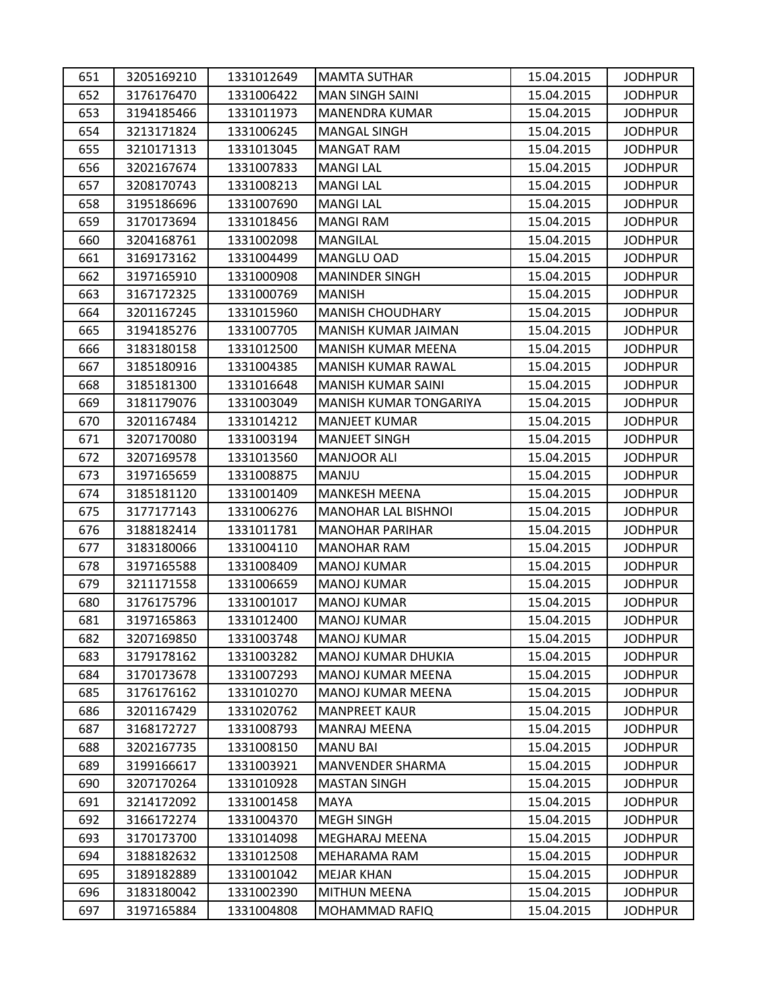| 651 | 3205169210 | 1331012649 | <b>MAMTA SUTHAR</b>        | 15.04.2015 | <b>JODHPUR</b> |
|-----|------------|------------|----------------------------|------------|----------------|
| 652 | 3176176470 | 1331006422 | <b>MAN SINGH SAINI</b>     | 15.04.2015 | <b>JODHPUR</b> |
| 653 | 3194185466 | 1331011973 | <b>MANENDRA KUMAR</b>      | 15.04.2015 | <b>JODHPUR</b> |
| 654 | 3213171824 | 1331006245 | <b>MANGAL SINGH</b>        | 15.04.2015 | <b>JODHPUR</b> |
| 655 | 3210171313 | 1331013045 | <b>MANGAT RAM</b>          | 15.04.2015 | <b>JODHPUR</b> |
| 656 | 3202167674 | 1331007833 | <b>MANGI LAL</b>           | 15.04.2015 | <b>JODHPUR</b> |
| 657 | 3208170743 | 1331008213 | <b>MANGI LAL</b>           | 15.04.2015 | <b>JODHPUR</b> |
| 658 | 3195186696 | 1331007690 | <b>MANGI LAL</b>           | 15.04.2015 | <b>JODHPUR</b> |
| 659 | 3170173694 | 1331018456 | <b>MANGI RAM</b>           | 15.04.2015 | <b>JODHPUR</b> |
| 660 | 3204168761 | 1331002098 | <b>MANGILAL</b>            | 15.04.2015 | <b>JODHPUR</b> |
| 661 | 3169173162 | 1331004499 | MANGLU OAD                 | 15.04.2015 | <b>JODHPUR</b> |
| 662 | 3197165910 | 1331000908 | <b>MANINDER SINGH</b>      | 15.04.2015 | <b>JODHPUR</b> |
| 663 | 3167172325 | 1331000769 | <b>MANISH</b>              | 15.04.2015 | <b>JODHPUR</b> |
| 664 | 3201167245 | 1331015960 | <b>MANISH CHOUDHARY</b>    | 15.04.2015 | <b>JODHPUR</b> |
| 665 | 3194185276 | 1331007705 | MANISH KUMAR JAIMAN        | 15.04.2015 | <b>JODHPUR</b> |
| 666 | 3183180158 | 1331012500 | MANISH KUMAR MEENA         | 15.04.2015 | <b>JODHPUR</b> |
| 667 | 3185180916 | 1331004385 | MANISH KUMAR RAWAL         | 15.04.2015 | <b>JODHPUR</b> |
| 668 | 3185181300 | 1331016648 | <b>MANISH KUMAR SAINI</b>  | 15.04.2015 | <b>JODHPUR</b> |
| 669 | 3181179076 | 1331003049 | MANISH KUMAR TONGARIYA     | 15.04.2015 | <b>JODHPUR</b> |
| 670 | 3201167484 | 1331014212 | <b>MANJEET KUMAR</b>       | 15.04.2015 | <b>JODHPUR</b> |
| 671 | 3207170080 | 1331003194 | <b>MANJEET SINGH</b>       | 15.04.2015 | <b>JODHPUR</b> |
| 672 | 3207169578 | 1331013560 | <b>MANJOOR ALI</b>         | 15.04.2015 | <b>JODHPUR</b> |
| 673 | 3197165659 | 1331008875 | MANJU                      | 15.04.2015 | <b>JODHPUR</b> |
| 674 | 3185181120 | 1331001409 | <b>MANKESH MEENA</b>       | 15.04.2015 | <b>JODHPUR</b> |
| 675 | 3177177143 | 1331006276 | <b>MANOHAR LAL BISHNOI</b> | 15.04.2015 | <b>JODHPUR</b> |
| 676 | 3188182414 | 1331011781 | <b>MANOHAR PARIHAR</b>     | 15.04.2015 | <b>JODHPUR</b> |
| 677 | 3183180066 | 1331004110 | <b>MANOHAR RAM</b>         | 15.04.2015 | <b>JODHPUR</b> |
| 678 | 3197165588 | 1331008409 | <b>MANOJ KUMAR</b>         | 15.04.2015 | <b>JODHPUR</b> |
| 679 | 3211171558 | 1331006659 | <b>MANOJ KUMAR</b>         | 15.04.2015 | <b>JODHPUR</b> |
| 680 | 3176175796 | 1331001017 | <b>MANOJ KUMAR</b>         | 15.04.2015 | <b>JODHPUR</b> |
| 681 | 3197165863 | 1331012400 | <b>MANOJ KUMAR</b>         | 15.04.2015 | <b>JODHPUR</b> |
| 682 | 3207169850 | 1331003748 | <b>MANOJ KUMAR</b>         | 15.04.2015 | <b>JODHPUR</b> |
| 683 | 3179178162 | 1331003282 | <b>MANOJ KUMAR DHUKIA</b>  | 15.04.2015 | <b>JODHPUR</b> |
| 684 | 3170173678 | 1331007293 | MANOJ KUMAR MEENA          | 15.04.2015 | <b>JODHPUR</b> |
| 685 | 3176176162 | 1331010270 | MANOJ KUMAR MEENA          | 15.04.2015 | <b>JODHPUR</b> |
| 686 | 3201167429 | 1331020762 | <b>MANPREET KAUR</b>       | 15.04.2015 | <b>JODHPUR</b> |
| 687 | 3168172727 | 1331008793 | <b>MANRAJ MEENA</b>        | 15.04.2015 | <b>JODHPUR</b> |
| 688 | 3202167735 | 1331008150 | <b>MANU BAI</b>            | 15.04.2015 | <b>JODHPUR</b> |
| 689 | 3199166617 | 1331003921 | <b>MANVENDER SHARMA</b>    | 15.04.2015 | <b>JODHPUR</b> |
| 690 | 3207170264 | 1331010928 | <b>MASTAN SINGH</b>        | 15.04.2015 | <b>JODHPUR</b> |
| 691 | 3214172092 | 1331001458 | MAYA                       | 15.04.2015 | <b>JODHPUR</b> |
| 692 | 3166172274 | 1331004370 | <b>MEGH SINGH</b>          | 15.04.2015 | <b>JODHPUR</b> |
| 693 | 3170173700 | 1331014098 | MEGHARAJ MEENA             | 15.04.2015 | <b>JODHPUR</b> |
| 694 | 3188182632 | 1331012508 | MEHARAMA RAM               | 15.04.2015 | <b>JODHPUR</b> |
| 695 | 3189182889 | 1331001042 | <b>MEJAR KHAN</b>          | 15.04.2015 | <b>JODHPUR</b> |
| 696 | 3183180042 | 1331002390 | <b>MITHUN MEENA</b>        | 15.04.2015 | <b>JODHPUR</b> |
| 697 | 3197165884 | 1331004808 | MOHAMMAD RAFIQ             | 15.04.2015 | <b>JODHPUR</b> |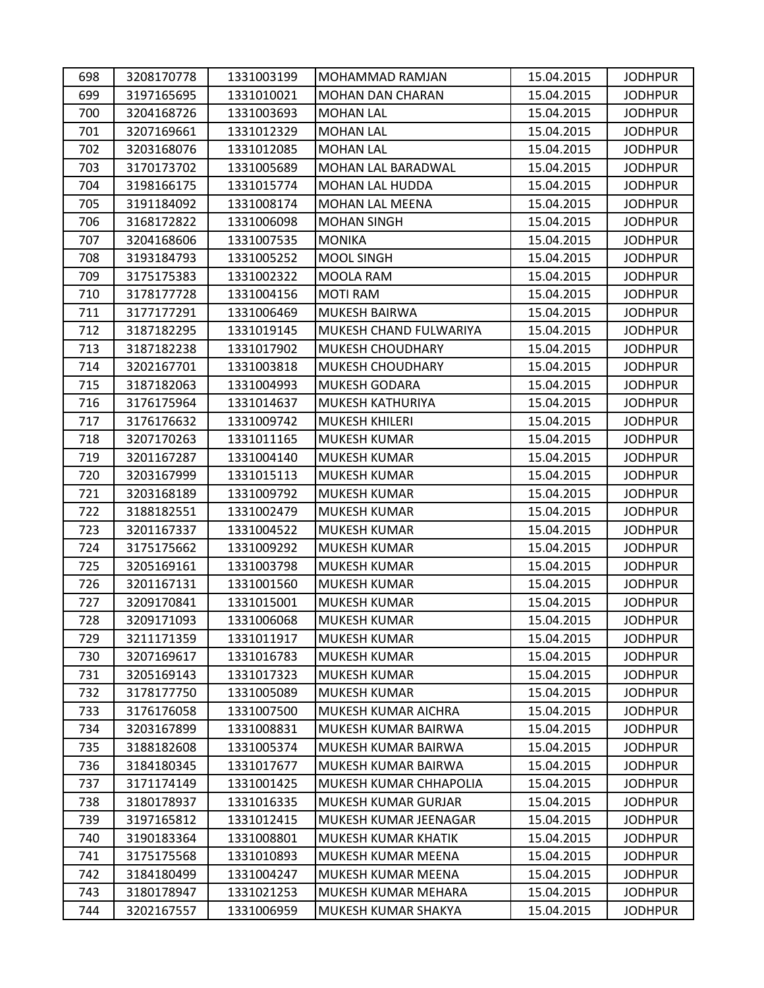| 698 | 3208170778 | 1331003199 | MOHAMMAD RAMJAN        | 15.04.2015 | <b>JODHPUR</b> |
|-----|------------|------------|------------------------|------------|----------------|
| 699 | 3197165695 | 1331010021 | MOHAN DAN CHARAN       | 15.04.2015 | <b>JODHPUR</b> |
| 700 | 3204168726 | 1331003693 | <b>MOHAN LAL</b>       | 15.04.2015 | <b>JODHPUR</b> |
| 701 | 3207169661 | 1331012329 | <b>MOHAN LAL</b>       | 15.04.2015 | <b>JODHPUR</b> |
| 702 | 3203168076 | 1331012085 | <b>MOHAN LAL</b>       | 15.04.2015 | <b>JODHPUR</b> |
| 703 | 3170173702 | 1331005689 | MOHAN LAL BARADWAL     | 15.04.2015 | <b>JODHPUR</b> |
| 704 | 3198166175 | 1331015774 | MOHAN LAL HUDDA        | 15.04.2015 | <b>JODHPUR</b> |
| 705 | 3191184092 | 1331008174 | <b>MOHAN LAL MEENA</b> | 15.04.2015 | <b>JODHPUR</b> |
| 706 | 3168172822 | 1331006098 | <b>MOHAN SINGH</b>     | 15.04.2015 | <b>JODHPUR</b> |
| 707 | 3204168606 | 1331007535 | <b>MONIKA</b>          | 15.04.2015 | <b>JODHPUR</b> |
| 708 | 3193184793 | 1331005252 | <b>MOOL SINGH</b>      | 15.04.2015 | <b>JODHPUR</b> |
| 709 | 3175175383 | 1331002322 | MOOLA RAM              | 15.04.2015 | <b>JODHPUR</b> |
| 710 | 3178177728 | 1331004156 | <b>MOTI RAM</b>        | 15.04.2015 | <b>JODHPUR</b> |
| 711 | 3177177291 | 1331006469 | <b>MUKESH BAIRWA</b>   | 15.04.2015 | <b>JODHPUR</b> |
| 712 | 3187182295 | 1331019145 | MUKESH CHAND FULWARIYA | 15.04.2015 | <b>JODHPUR</b> |
| 713 | 3187182238 | 1331017902 | MUKESH CHOUDHARY       | 15.04.2015 | <b>JODHPUR</b> |
| 714 | 3202167701 | 1331003818 | MUKESH CHOUDHARY       | 15.04.2015 | <b>JODHPUR</b> |
| 715 | 3187182063 | 1331004993 | <b>MUKESH GODARA</b>   | 15.04.2015 | <b>JODHPUR</b> |
| 716 | 3176175964 | 1331014637 | MUKESH KATHURIYA       | 15.04.2015 | <b>JODHPUR</b> |
| 717 | 3176176632 | 1331009742 | <b>MUKESH KHILERI</b>  | 15.04.2015 | <b>JODHPUR</b> |
| 718 | 3207170263 | 1331011165 | MUKESH KUMAR           | 15.04.2015 | <b>JODHPUR</b> |
| 719 | 3201167287 | 1331004140 | MUKESH KUMAR           | 15.04.2015 | <b>JODHPUR</b> |
| 720 | 3203167999 | 1331015113 | MUKESH KUMAR           | 15.04.2015 | <b>JODHPUR</b> |
| 721 | 3203168189 | 1331009792 | <b>MUKESH KUMAR</b>    | 15.04.2015 | <b>JODHPUR</b> |
| 722 | 3188182551 | 1331002479 | MUKESH KUMAR           | 15.04.2015 | <b>JODHPUR</b> |
| 723 | 3201167337 | 1331004522 | MUKESH KUMAR           | 15.04.2015 | <b>JODHPUR</b> |
| 724 | 3175175662 | 1331009292 | MUKESH KUMAR           | 15.04.2015 | <b>JODHPUR</b> |
| 725 | 3205169161 | 1331003798 | MUKESH KUMAR           | 15.04.2015 | <b>JODHPUR</b> |
| 726 | 3201167131 | 1331001560 | MUKESH KUMAR           | 15.04.2015 | <b>JODHPUR</b> |
| 727 | 3209170841 | 1331015001 | MUKESH KUMAR           | 15.04.2015 | <b>JODHPUR</b> |
| 728 | 3209171093 | 1331006068 | <b>MUKESH KUMAR</b>    | 15.04.2015 | <b>JODHPUR</b> |
| 729 | 3211171359 | 1331011917 | <b>MUKESH KUMAR</b>    | 15.04.2015 | <b>JODHPUR</b> |
| 730 | 3207169617 | 1331016783 | <b>MUKESH KUMAR</b>    | 15.04.2015 | <b>JODHPUR</b> |
| 731 | 3205169143 | 1331017323 | <b>MUKESH KUMAR</b>    | 15.04.2015 | <b>JODHPUR</b> |
| 732 | 3178177750 | 1331005089 | <b>MUKESH KUMAR</b>    | 15.04.2015 | <b>JODHPUR</b> |
| 733 | 3176176058 | 1331007500 | MUKESH KUMAR AICHRA    | 15.04.2015 | <b>JODHPUR</b> |
| 734 | 3203167899 | 1331008831 | MUKESH KUMAR BAIRWA    | 15.04.2015 | <b>JODHPUR</b> |
| 735 | 3188182608 | 1331005374 | MUKESH KUMAR BAIRWA    | 15.04.2015 | <b>JODHPUR</b> |
| 736 | 3184180345 | 1331017677 | MUKESH KUMAR BAIRWA    | 15.04.2015 | <b>JODHPUR</b> |
| 737 | 3171174149 | 1331001425 | MUKESH KUMAR CHHAPOLIA | 15.04.2015 | <b>JODHPUR</b> |
| 738 | 3180178937 | 1331016335 | MUKESH KUMAR GURJAR    | 15.04.2015 | <b>JODHPUR</b> |
| 739 | 3197165812 | 1331012415 | MUKESH KUMAR JEENAGAR  | 15.04.2015 | <b>JODHPUR</b> |
| 740 | 3190183364 | 1331008801 | MUKESH KUMAR KHATIK    | 15.04.2015 | <b>JODHPUR</b> |
| 741 | 3175175568 | 1331010893 | MUKESH KUMAR MEENA     | 15.04.2015 | <b>JODHPUR</b> |
| 742 | 3184180499 | 1331004247 | MUKESH KUMAR MEENA     | 15.04.2015 | <b>JODHPUR</b> |
| 743 | 3180178947 | 1331021253 | MUKESH KUMAR MEHARA    | 15.04.2015 | <b>JODHPUR</b> |
| 744 | 3202167557 | 1331006959 | MUKESH KUMAR SHAKYA    | 15.04.2015 | <b>JODHPUR</b> |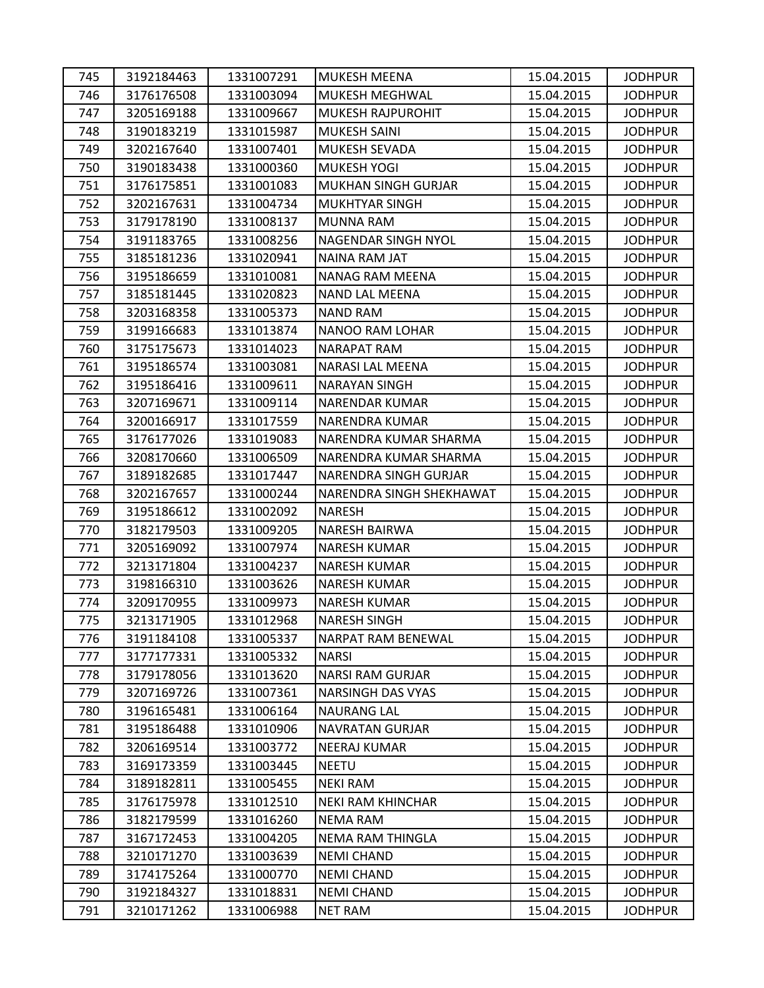| 745 | 3192184463 | 1331007291 | MUKESH MEENA               | 15.04.2015 | <b>JODHPUR</b> |
|-----|------------|------------|----------------------------|------------|----------------|
| 746 | 3176176508 | 1331003094 | MUKESH MEGHWAL             | 15.04.2015 | <b>JODHPUR</b> |
| 747 | 3205169188 | 1331009667 | <b>MUKESH RAJPUROHIT</b>   | 15.04.2015 | <b>JODHPUR</b> |
| 748 | 3190183219 | 1331015987 | <b>MUKESH SAINI</b>        | 15.04.2015 | <b>JODHPUR</b> |
| 749 | 3202167640 | 1331007401 | MUKESH SEVADA              | 15.04.2015 | <b>JODHPUR</b> |
| 750 | 3190183438 | 1331000360 | <b>MUKESH YOGI</b>         | 15.04.2015 | <b>JODHPUR</b> |
| 751 | 3176175851 | 1331001083 | <b>MUKHAN SINGH GURJAR</b> | 15.04.2015 | <b>JODHPUR</b> |
| 752 | 3202167631 | 1331004734 | <b>MUKHTYAR SINGH</b>      | 15.04.2015 | <b>JODHPUR</b> |
| 753 | 3179178190 | 1331008137 | <b>MUNNA RAM</b>           | 15.04.2015 | <b>JODHPUR</b> |
| 754 | 3191183765 | 1331008256 | NAGENDAR SINGH NYOL        | 15.04.2015 | <b>JODHPUR</b> |
| 755 | 3185181236 | 1331020941 | NAINA RAM JAT              | 15.04.2015 | <b>JODHPUR</b> |
| 756 | 3195186659 | 1331010081 | NANAG RAM MEENA            | 15.04.2015 | <b>JODHPUR</b> |
| 757 | 3185181445 | 1331020823 | <b>NAND LAL MEENA</b>      | 15.04.2015 | <b>JODHPUR</b> |
| 758 | 3203168358 | 1331005373 | <b>NAND RAM</b>            | 15.04.2015 | <b>JODHPUR</b> |
| 759 | 3199166683 | 1331013874 | NANOO RAM LOHAR            | 15.04.2015 | <b>JODHPUR</b> |
| 760 | 3175175673 | 1331014023 | <b>NARAPAT RAM</b>         | 15.04.2015 | <b>JODHPUR</b> |
| 761 | 3195186574 | 1331003081 | <b>NARASI LAL MEENA</b>    | 15.04.2015 | <b>JODHPUR</b> |
| 762 | 3195186416 | 1331009611 | <b>NARAYAN SINGH</b>       | 15.04.2015 | <b>JODHPUR</b> |
| 763 | 3207169671 | 1331009114 | <b>NARENDAR KUMAR</b>      | 15.04.2015 | <b>JODHPUR</b> |
| 764 | 3200166917 | 1331017559 | NARENDRA KUMAR             | 15.04.2015 | <b>JODHPUR</b> |
| 765 | 3176177026 | 1331019083 | NARENDRA KUMAR SHARMA      | 15.04.2015 | <b>JODHPUR</b> |
| 766 | 3208170660 | 1331006509 | NARENDRA KUMAR SHARMA      | 15.04.2015 | <b>JODHPUR</b> |
| 767 | 3189182685 | 1331017447 | NARENDRA SINGH GURJAR      | 15.04.2015 | <b>JODHPUR</b> |
| 768 | 3202167657 | 1331000244 | NARENDRA SINGH SHEKHAWAT   | 15.04.2015 | <b>JODHPUR</b> |
| 769 | 3195186612 | 1331002092 | <b>NARESH</b>              | 15.04.2015 | <b>JODHPUR</b> |
| 770 | 3182179503 | 1331009205 | <b>NARESH BAIRWA</b>       | 15.04.2015 | <b>JODHPUR</b> |
| 771 | 3205169092 | 1331007974 | <b>NARESH KUMAR</b>        | 15.04.2015 | <b>JODHPUR</b> |
| 772 | 3213171804 | 1331004237 | <b>NARESH KUMAR</b>        | 15.04.2015 | <b>JODHPUR</b> |
| 773 | 3198166310 | 1331003626 | <b>NARESH KUMAR</b>        | 15.04.2015 | <b>JODHPUR</b> |
| 774 | 3209170955 | 1331009973 | <b>NARESH KUMAR</b>        | 15.04.2015 | <b>JODHPUR</b> |
| 775 | 3213171905 | 1331012968 | <b>NARESH SINGH</b>        | 15.04.2015 | <b>JODHPUR</b> |
| 776 | 3191184108 | 1331005337 | NARPAT RAM BENEWAL         | 15.04.2015 | <b>JODHPUR</b> |
| 777 | 3177177331 | 1331005332 | <b>NARSI</b>               | 15.04.2015 | <b>JODHPUR</b> |
| 778 | 3179178056 | 1331013620 | <b>NARSI RAM GURJAR</b>    | 15.04.2015 | <b>JODHPUR</b> |
| 779 | 3207169726 | 1331007361 | <b>NARSINGH DAS VYAS</b>   | 15.04.2015 | <b>JODHPUR</b> |
| 780 | 3196165481 | 1331006164 | <b>NAURANG LAL</b>         | 15.04.2015 | <b>JODHPUR</b> |
| 781 | 3195186488 | 1331010906 | <b>NAVRATAN GURJAR</b>     | 15.04.2015 | <b>JODHPUR</b> |
| 782 | 3206169514 | 1331003772 | <b>NEERAJ KUMAR</b>        | 15.04.2015 | <b>JODHPUR</b> |
| 783 | 3169173359 | 1331003445 | <b>NEETU</b>               | 15.04.2015 | <b>JODHPUR</b> |
| 784 | 3189182811 | 1331005455 | <b>NEKI RAM</b>            | 15.04.2015 | <b>JODHPUR</b> |
| 785 | 3176175978 | 1331012510 | <b>NEKI RAM KHINCHAR</b>   | 15.04.2015 | <b>JODHPUR</b> |
| 786 | 3182179599 | 1331016260 | <b>NEMA RAM</b>            | 15.04.2015 | <b>JODHPUR</b> |
| 787 | 3167172453 | 1331004205 | NEMA RAM THINGLA           | 15.04.2015 | <b>JODHPUR</b> |
| 788 | 3210171270 | 1331003639 | <b>NEMI CHAND</b>          | 15.04.2015 | <b>JODHPUR</b> |
| 789 | 3174175264 | 1331000770 | <b>NEMI CHAND</b>          | 15.04.2015 | <b>JODHPUR</b> |
| 790 | 3192184327 | 1331018831 | <b>NEMI CHAND</b>          | 15.04.2015 | <b>JODHPUR</b> |
| 791 | 3210171262 | 1331006988 | <b>NET RAM</b>             | 15.04.2015 | <b>JODHPUR</b> |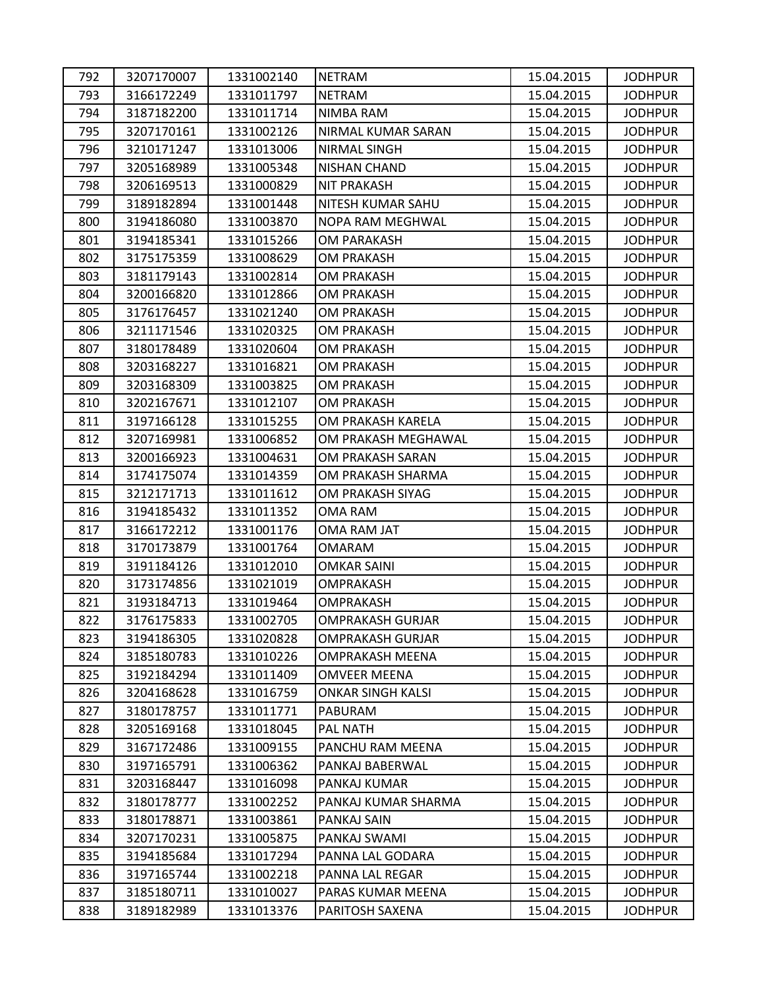| 792 | 3207170007 | 1331002140 | <b>NETRAM</b>            | 15.04.2015 | <b>JODHPUR</b> |
|-----|------------|------------|--------------------------|------------|----------------|
| 793 | 3166172249 | 1331011797 | <b>NETRAM</b>            | 15.04.2015 | <b>JODHPUR</b> |
| 794 | 3187182200 | 1331011714 | NIMBA RAM                | 15.04.2015 | <b>JODHPUR</b> |
| 795 | 3207170161 | 1331002126 | NIRMAL KUMAR SARAN       | 15.04.2015 | <b>JODHPUR</b> |
| 796 | 3210171247 | 1331013006 | NIRMAL SINGH             | 15.04.2015 | <b>JODHPUR</b> |
| 797 | 3205168989 | 1331005348 | <b>NISHAN CHAND</b>      | 15.04.2015 | <b>JODHPUR</b> |
| 798 | 3206169513 | 1331000829 | <b>NIT PRAKASH</b>       | 15.04.2015 | <b>JODHPUR</b> |
| 799 | 3189182894 | 1331001448 | NITESH KUMAR SAHU        | 15.04.2015 | <b>JODHPUR</b> |
| 800 | 3194186080 | 1331003870 | <b>NOPA RAM MEGHWAL</b>  | 15.04.2015 | <b>JODHPUR</b> |
| 801 | 3194185341 | 1331015266 | <b>OM PARAKASH</b>       | 15.04.2015 | <b>JODHPUR</b> |
| 802 | 3175175359 | 1331008629 | <b>OM PRAKASH</b>        | 15.04.2015 | <b>JODHPUR</b> |
| 803 | 3181179143 | 1331002814 | <b>OM PRAKASH</b>        | 15.04.2015 | <b>JODHPUR</b> |
| 804 | 3200166820 | 1331012866 | OM PRAKASH               | 15.04.2015 | <b>JODHPUR</b> |
| 805 | 3176176457 | 1331021240 | <b>OM PRAKASH</b>        | 15.04.2015 | <b>JODHPUR</b> |
| 806 | 3211171546 | 1331020325 | OM PRAKASH               | 15.04.2015 | <b>JODHPUR</b> |
| 807 | 3180178489 | 1331020604 | <b>OM PRAKASH</b>        | 15.04.2015 | <b>JODHPUR</b> |
| 808 | 3203168227 | 1331016821 | <b>OM PRAKASH</b>        | 15.04.2015 | <b>JODHPUR</b> |
| 809 | 3203168309 | 1331003825 | <b>OM PRAKASH</b>        | 15.04.2015 | <b>JODHPUR</b> |
| 810 | 3202167671 | 1331012107 | OM PRAKASH               | 15.04.2015 | <b>JODHPUR</b> |
| 811 | 3197166128 | 1331015255 | OM PRAKASH KARELA        | 15.04.2015 | <b>JODHPUR</b> |
| 812 | 3207169981 | 1331006852 | OM PRAKASH MEGHAWAL      | 15.04.2015 | <b>JODHPUR</b> |
| 813 | 3200166923 | 1331004631 | OM PRAKASH SARAN         | 15.04.2015 | <b>JODHPUR</b> |
| 814 | 3174175074 | 1331014359 | OM PRAKASH SHARMA        | 15.04.2015 | <b>JODHPUR</b> |
| 815 | 3212171713 | 1331011612 | OM PRAKASH SIYAG         | 15.04.2015 | <b>JODHPUR</b> |
| 816 | 3194185432 | 1331011352 | OMA RAM                  | 15.04.2015 | <b>JODHPUR</b> |
| 817 | 3166172212 | 1331001176 | <b>OMA RAM JAT</b>       | 15.04.2015 | <b>JODHPUR</b> |
| 818 | 3170173879 | 1331001764 | OMARAM                   | 15.04.2015 | <b>JODHPUR</b> |
| 819 | 3191184126 | 1331012010 | <b>OMKAR SAINI</b>       | 15.04.2015 | <b>JODHPUR</b> |
| 820 | 3173174856 | 1331021019 | <b>OMPRAKASH</b>         | 15.04.2015 | <b>JODHPUR</b> |
| 821 | 3193184713 | 1331019464 | OMPRAKASH                | 15.04.2015 | <b>JODHPUR</b> |
| 822 | 3176175833 | 1331002705 | <b>OMPRAKASH GURJAR</b>  | 15.04.2015 | <b>JODHPUR</b> |
| 823 | 3194186305 | 1331020828 | <b>OMPRAKASH GURJAR</b>  | 15.04.2015 | <b>JODHPUR</b> |
| 824 | 3185180783 | 1331010226 | OMPRAKASH MEENA          | 15.04.2015 | <b>JODHPUR</b> |
| 825 | 3192184294 | 1331011409 | OMVEER MEENA             | 15.04.2015 | <b>JODHPUR</b> |
| 826 | 3204168628 | 1331016759 | <b>ONKAR SINGH KALSI</b> | 15.04.2015 | <b>JODHPUR</b> |
| 827 | 3180178757 | 1331011771 | PABURAM                  | 15.04.2015 | <b>JODHPUR</b> |
| 828 | 3205169168 | 1331018045 | PAL NATH                 | 15.04.2015 | <b>JODHPUR</b> |
| 829 | 3167172486 | 1331009155 | PANCHU RAM MEENA         | 15.04.2015 | <b>JODHPUR</b> |
| 830 | 3197165791 | 1331006362 | PANKAJ BABERWAL          | 15.04.2015 | <b>JODHPUR</b> |
| 831 | 3203168447 | 1331016098 | PANKAJ KUMAR             | 15.04.2015 | <b>JODHPUR</b> |
| 832 | 3180178777 | 1331002252 | PANKAJ KUMAR SHARMA      | 15.04.2015 | <b>JODHPUR</b> |
| 833 | 3180178871 | 1331003861 | PANKAJ SAIN              | 15.04.2015 | <b>JODHPUR</b> |
| 834 | 3207170231 | 1331005875 | PANKAJ SWAMI             | 15.04.2015 | <b>JODHPUR</b> |
| 835 | 3194185684 | 1331017294 | PANNA LAL GODARA         | 15.04.2015 | <b>JODHPUR</b> |
| 836 | 3197165744 | 1331002218 | PANNA LAL REGAR          | 15.04.2015 | <b>JODHPUR</b> |
| 837 | 3185180711 | 1331010027 | PARAS KUMAR MEENA        | 15.04.2015 | <b>JODHPUR</b> |
| 838 | 3189182989 | 1331013376 | PARITOSH SAXENA          | 15.04.2015 | <b>JODHPUR</b> |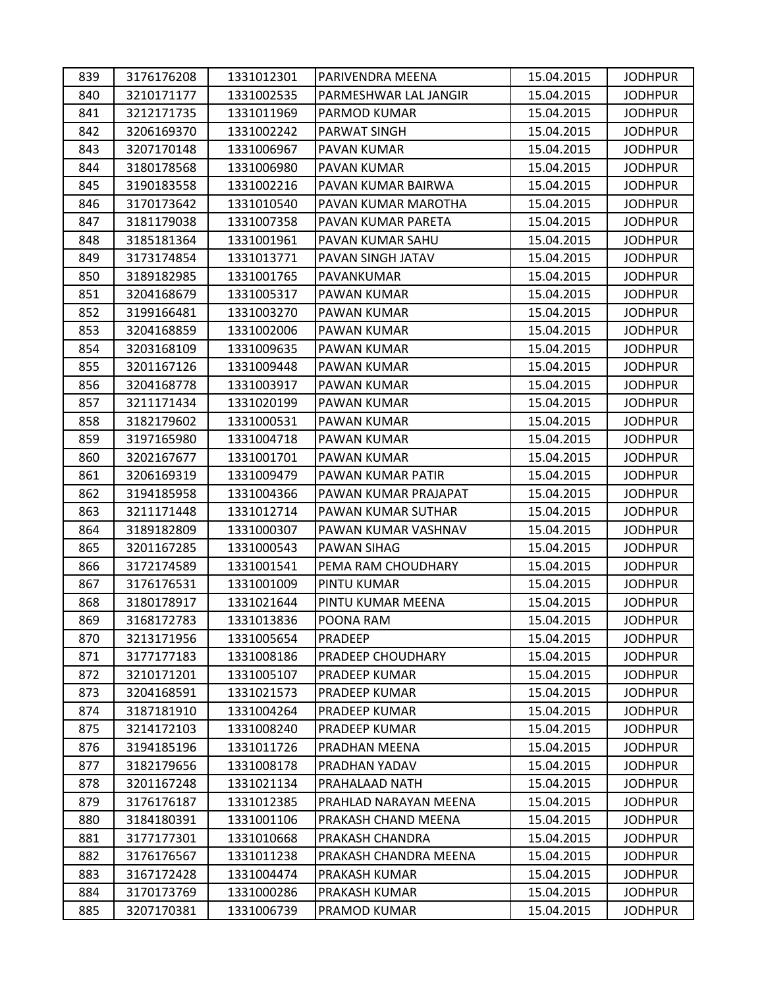| 839 | 3176176208 | 1331012301 | PARIVENDRA MEENA      | 15.04.2015 | <b>JODHPUR</b> |
|-----|------------|------------|-----------------------|------------|----------------|
| 840 | 3210171177 | 1331002535 | PARMESHWAR LAL JANGIR | 15.04.2015 | <b>JODHPUR</b> |
| 841 | 3212171735 | 1331011969 | PARMOD KUMAR          | 15.04.2015 | <b>JODHPUR</b> |
| 842 | 3206169370 | 1331002242 | PARWAT SINGH          | 15.04.2015 | <b>JODHPUR</b> |
| 843 | 3207170148 | 1331006967 | PAVAN KUMAR           | 15.04.2015 | <b>JODHPUR</b> |
| 844 | 3180178568 | 1331006980 | PAVAN KUMAR           | 15.04.2015 | <b>JODHPUR</b> |
| 845 | 3190183558 | 1331002216 | PAVAN KUMAR BAIRWA    | 15.04.2015 | <b>JODHPUR</b> |
| 846 | 3170173642 | 1331010540 | PAVAN KUMAR MAROTHA   | 15.04.2015 | <b>JODHPUR</b> |
| 847 | 3181179038 | 1331007358 | PAVAN KUMAR PARETA    | 15.04.2015 | <b>JODHPUR</b> |
| 848 | 3185181364 | 1331001961 | PAVAN KUMAR SAHU      | 15.04.2015 | <b>JODHPUR</b> |
| 849 | 3173174854 | 1331013771 | PAVAN SINGH JATAV     | 15.04.2015 | <b>JODHPUR</b> |
| 850 | 3189182985 | 1331001765 | PAVANKUMAR            | 15.04.2015 | <b>JODHPUR</b> |
| 851 | 3204168679 | 1331005317 | PAWAN KUMAR           | 15.04.2015 | <b>JODHPUR</b> |
| 852 | 3199166481 | 1331003270 | PAWAN KUMAR           | 15.04.2015 | <b>JODHPUR</b> |
| 853 | 3204168859 | 1331002006 | PAWAN KUMAR           | 15.04.2015 | <b>JODHPUR</b> |
| 854 | 3203168109 | 1331009635 | PAWAN KUMAR           | 15.04.2015 | <b>JODHPUR</b> |
| 855 | 3201167126 | 1331009448 | PAWAN KUMAR           | 15.04.2015 | <b>JODHPUR</b> |
| 856 | 3204168778 | 1331003917 | PAWAN KUMAR           | 15.04.2015 | <b>JODHPUR</b> |
| 857 | 3211171434 | 1331020199 | PAWAN KUMAR           | 15.04.2015 | <b>JODHPUR</b> |
| 858 | 3182179602 | 1331000531 | PAWAN KUMAR           | 15.04.2015 | <b>JODHPUR</b> |
| 859 | 3197165980 | 1331004718 | PAWAN KUMAR           | 15.04.2015 | <b>JODHPUR</b> |
| 860 | 3202167677 | 1331001701 | PAWAN KUMAR           | 15.04.2015 | <b>JODHPUR</b> |
| 861 | 3206169319 | 1331009479 | PAWAN KUMAR PATIR     | 15.04.2015 | <b>JODHPUR</b> |
| 862 | 3194185958 | 1331004366 | PAWAN KUMAR PRAJAPAT  | 15.04.2015 | <b>JODHPUR</b> |
| 863 | 3211171448 | 1331012714 | PAWAN KUMAR SUTHAR    | 15.04.2015 | <b>JODHPUR</b> |
| 864 | 3189182809 | 1331000307 | PAWAN KUMAR VASHNAV   | 15.04.2015 | <b>JODHPUR</b> |
| 865 | 3201167285 | 1331000543 | PAWAN SIHAG           | 15.04.2015 | <b>JODHPUR</b> |
| 866 | 3172174589 | 1331001541 | PEMA RAM CHOUDHARY    | 15.04.2015 | <b>JODHPUR</b> |
| 867 | 3176176531 | 1331001009 | PINTU KUMAR           | 15.04.2015 | <b>JODHPUR</b> |
| 868 | 3180178917 | 1331021644 | PINTU KUMAR MEENA     | 15.04.2015 | <b>JODHPUR</b> |
| 869 | 3168172783 | 1331013836 | POONA RAM             | 15.04.2015 | <b>JODHPUR</b> |
| 870 | 3213171956 | 1331005654 | PRADEEP               | 15.04.2015 | <b>JODHPUR</b> |
| 871 | 3177177183 | 1331008186 | PRADEEP CHOUDHARY     | 15.04.2015 | <b>JODHPUR</b> |
| 872 | 3210171201 | 1331005107 | PRADEEP KUMAR         | 15.04.2015 | <b>JODHPUR</b> |
| 873 | 3204168591 | 1331021573 | PRADEEP KUMAR         | 15.04.2015 | <b>JODHPUR</b> |
| 874 | 3187181910 | 1331004264 | PRADEEP KUMAR         | 15.04.2015 | <b>JODHPUR</b> |
| 875 | 3214172103 | 1331008240 | PRADEEP KUMAR         | 15.04.2015 | <b>JODHPUR</b> |
| 876 | 3194185196 | 1331011726 | PRADHAN MEENA         | 15.04.2015 | <b>JODHPUR</b> |
| 877 | 3182179656 | 1331008178 | PRADHAN YADAV         | 15.04.2015 | <b>JODHPUR</b> |
| 878 | 3201167248 | 1331021134 | PRAHALAAD NATH        | 15.04.2015 | <b>JODHPUR</b> |
| 879 | 3176176187 | 1331012385 | PRAHLAD NARAYAN MEENA | 15.04.2015 | <b>JODHPUR</b> |
| 880 | 3184180391 | 1331001106 | PRAKASH CHAND MEENA   | 15.04.2015 | <b>JODHPUR</b> |
| 881 | 3177177301 | 1331010668 | PRAKASH CHANDRA       | 15.04.2015 | <b>JODHPUR</b> |
| 882 | 3176176567 | 1331011238 | PRAKASH CHANDRA MEENA | 15.04.2015 | <b>JODHPUR</b> |
| 883 | 3167172428 | 1331004474 | PRAKASH KUMAR         | 15.04.2015 | <b>JODHPUR</b> |
| 884 | 3170173769 | 1331000286 | PRAKASH KUMAR         | 15.04.2015 | <b>JODHPUR</b> |
| 885 | 3207170381 | 1331006739 | PRAMOD KUMAR          | 15.04.2015 | <b>JODHPUR</b> |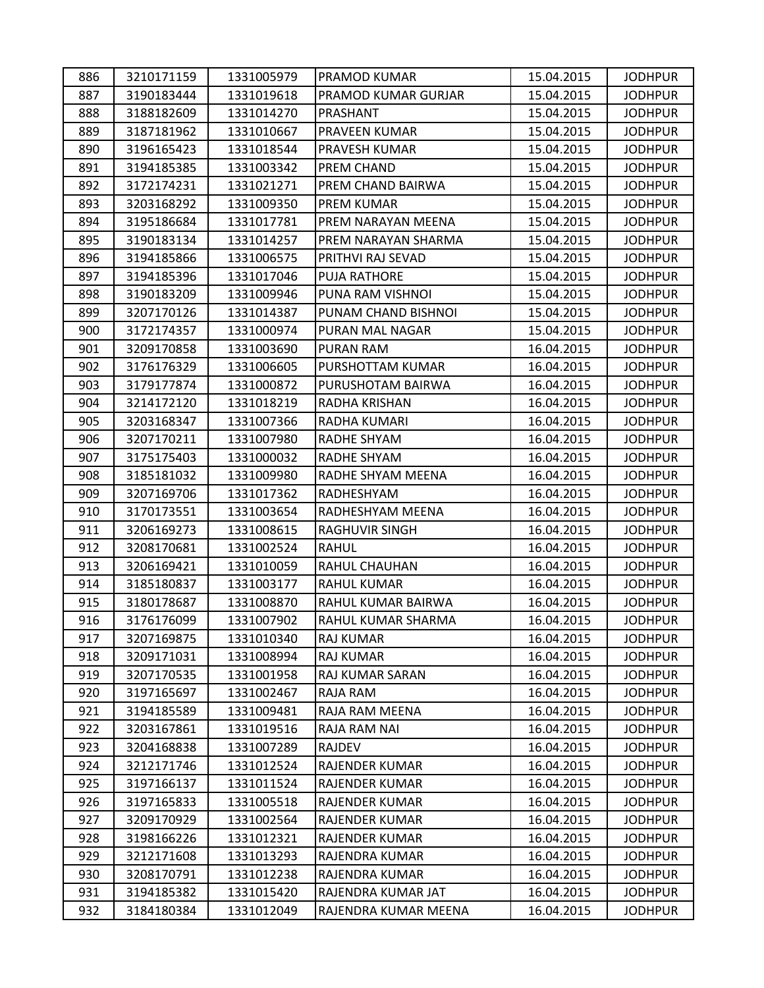| 886 | 3210171159 | 1331005979 | PRAMOD KUMAR          | 15.04.2015 | <b>JODHPUR</b> |
|-----|------------|------------|-----------------------|------------|----------------|
| 887 | 3190183444 | 1331019618 | PRAMOD KUMAR GURJAR   | 15.04.2015 | <b>JODHPUR</b> |
| 888 | 3188182609 | 1331014270 | PRASHANT              | 15.04.2015 | <b>JODHPUR</b> |
| 889 | 3187181962 | 1331010667 | PRAVEEN KUMAR         | 15.04.2015 | <b>JODHPUR</b> |
| 890 | 3196165423 | 1331018544 | PRAVESH KUMAR         | 15.04.2015 | <b>JODHPUR</b> |
| 891 | 3194185385 | 1331003342 | PREM CHAND            | 15.04.2015 | <b>JODHPUR</b> |
| 892 | 3172174231 | 1331021271 | PREM CHAND BAIRWA     | 15.04.2015 | <b>JODHPUR</b> |
| 893 | 3203168292 | 1331009350 | PREM KUMAR            | 15.04.2015 | <b>JODHPUR</b> |
| 894 | 3195186684 | 1331017781 | PREM NARAYAN MEENA    | 15.04.2015 | <b>JODHPUR</b> |
| 895 | 3190183134 | 1331014257 | PREM NARAYAN SHARMA   | 15.04.2015 | <b>JODHPUR</b> |
| 896 | 3194185866 | 1331006575 | PRITHVI RAJ SEVAD     | 15.04.2015 | <b>JODHPUR</b> |
| 897 | 3194185396 | 1331017046 | PUJA RATHORE          | 15.04.2015 | <b>JODHPUR</b> |
| 898 | 3190183209 | 1331009946 | PUNA RAM VISHNOI      | 15.04.2015 | <b>JODHPUR</b> |
| 899 | 3207170126 | 1331014387 | PUNAM CHAND BISHNOI   | 15.04.2015 | <b>JODHPUR</b> |
| 900 | 3172174357 | 1331000974 | PURAN MAL NAGAR       | 15.04.2015 | <b>JODHPUR</b> |
| 901 | 3209170858 | 1331003690 | PURAN RAM             | 16.04.2015 | <b>JODHPUR</b> |
| 902 | 3176176329 | 1331006605 | PURSHOTTAM KUMAR      | 16.04.2015 | <b>JODHPUR</b> |
| 903 | 3179177874 | 1331000872 | PURUSHOTAM BAIRWA     | 16.04.2015 | <b>JODHPUR</b> |
| 904 | 3214172120 | 1331018219 | RADHA KRISHAN         | 16.04.2015 | <b>JODHPUR</b> |
| 905 | 3203168347 | 1331007366 | RADHA KUMARI          | 16.04.2015 | <b>JODHPUR</b> |
| 906 | 3207170211 | 1331007980 | RADHE SHYAM           | 16.04.2015 | <b>JODHPUR</b> |
| 907 | 3175175403 | 1331000032 | RADHE SHYAM           | 16.04.2015 | <b>JODHPUR</b> |
| 908 | 3185181032 | 1331009980 | RADHE SHYAM MEENA     | 16.04.2015 | <b>JODHPUR</b> |
| 909 | 3207169706 | 1331017362 | RADHESHYAM            | 16.04.2015 | <b>JODHPUR</b> |
| 910 | 3170173551 | 1331003654 | RADHESHYAM MEENA      | 16.04.2015 | <b>JODHPUR</b> |
| 911 | 3206169273 | 1331008615 | <b>RAGHUVIR SINGH</b> | 16.04.2015 | <b>JODHPUR</b> |
| 912 | 3208170681 | 1331002524 | <b>RAHUL</b>          | 16.04.2015 | <b>JODHPUR</b> |
| 913 | 3206169421 | 1331010059 | RAHUL CHAUHAN         | 16.04.2015 | <b>JODHPUR</b> |
| 914 | 3185180837 | 1331003177 | <b>RAHUL KUMAR</b>    | 16.04.2015 | <b>JODHPUR</b> |
| 915 | 3180178687 | 1331008870 | RAHUL KUMAR BAIRWA    | 16.04.2015 | <b>JODHPUR</b> |
| 916 | 3176176099 | 1331007902 | RAHUL KUMAR SHARMA    | 16.04.2015 | <b>JODHPUR</b> |
| 917 | 3207169875 | 1331010340 | RAJ KUMAR             | 16.04.2015 | <b>JODHPUR</b> |
| 918 | 3209171031 | 1331008994 | <b>RAJ KUMAR</b>      | 16.04.2015 | <b>JODHPUR</b> |
| 919 | 3207170535 | 1331001958 | RAJ KUMAR SARAN       | 16.04.2015 | <b>JODHPUR</b> |
| 920 | 3197165697 | 1331002467 | RAJA RAM              | 16.04.2015 | <b>JODHPUR</b> |
| 921 | 3194185589 | 1331009481 | RAJA RAM MEENA        | 16.04.2015 | <b>JODHPUR</b> |
| 922 | 3203167861 | 1331019516 | RAJA RAM NAI          | 16.04.2015 | <b>JODHPUR</b> |
| 923 | 3204168838 | 1331007289 | RAJDEV                | 16.04.2015 | <b>JODHPUR</b> |
| 924 | 3212171746 | 1331012524 | RAJENDER KUMAR        | 16.04.2015 | <b>JODHPUR</b> |
| 925 | 3197166137 | 1331011524 | <b>RAJENDER KUMAR</b> | 16.04.2015 | <b>JODHPUR</b> |
| 926 | 3197165833 | 1331005518 | RAJENDER KUMAR        | 16.04.2015 | <b>JODHPUR</b> |
| 927 | 3209170929 | 1331002564 | RAJENDER KUMAR        | 16.04.2015 | <b>JODHPUR</b> |
| 928 | 3198166226 | 1331012321 | RAJENDER KUMAR        | 16.04.2015 | <b>JODHPUR</b> |
| 929 | 3212171608 | 1331013293 | RAJENDRA KUMAR        | 16.04.2015 | <b>JODHPUR</b> |
| 930 | 3208170791 | 1331012238 | RAJENDRA KUMAR        | 16.04.2015 | <b>JODHPUR</b> |
| 931 | 3194185382 | 1331015420 | RAJENDRA KUMAR JAT    | 16.04.2015 | <b>JODHPUR</b> |
| 932 | 3184180384 | 1331012049 | RAJENDRA KUMAR MEENA  | 16.04.2015 | <b>JODHPUR</b> |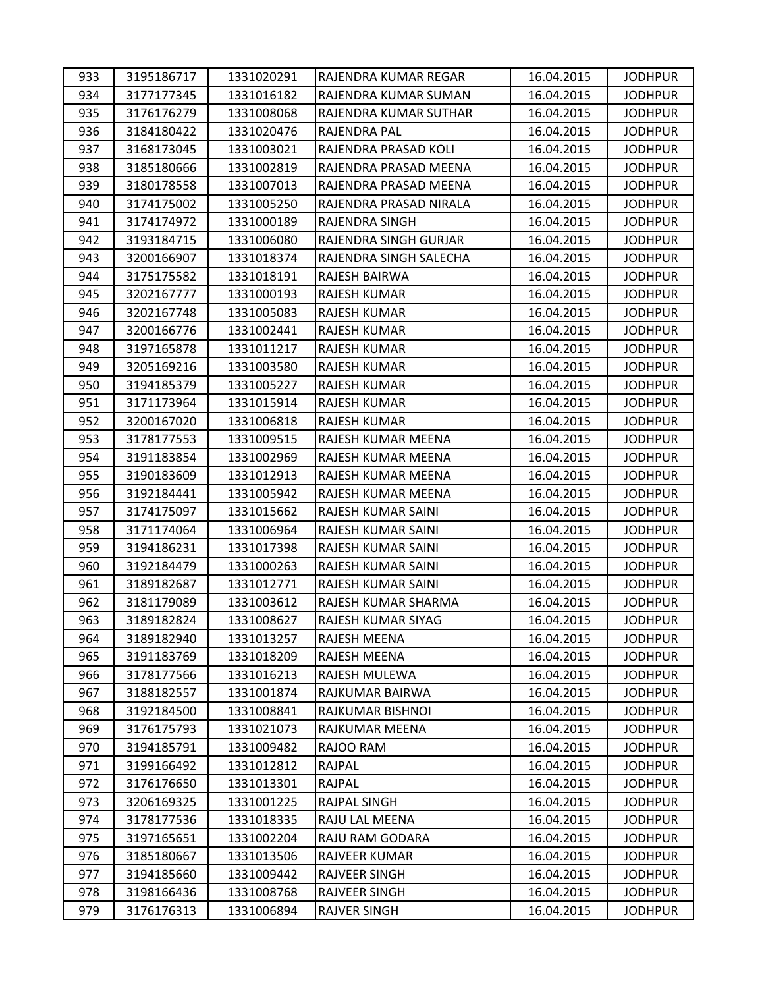| 933 | 3195186717 | 1331020291 | RAJENDRA KUMAR REGAR   | 16.04.2015 | <b>JODHPUR</b> |
|-----|------------|------------|------------------------|------------|----------------|
| 934 | 3177177345 | 1331016182 | RAJENDRA KUMAR SUMAN   | 16.04.2015 | <b>JODHPUR</b> |
| 935 | 3176176279 | 1331008068 | RAJENDRA KUMAR SUTHAR  | 16.04.2015 | <b>JODHPUR</b> |
| 936 | 3184180422 | 1331020476 | RAJENDRA PAL           | 16.04.2015 | <b>JODHPUR</b> |
| 937 | 3168173045 | 1331003021 | RAJENDRA PRASAD KOLI   | 16.04.2015 | <b>JODHPUR</b> |
| 938 | 3185180666 | 1331002819 | RAJENDRA PRASAD MEENA  | 16.04.2015 | <b>JODHPUR</b> |
| 939 | 3180178558 | 1331007013 | RAJENDRA PRASAD MEENA  | 16.04.2015 | <b>JODHPUR</b> |
| 940 | 3174175002 | 1331005250 | RAJENDRA PRASAD NIRALA | 16.04.2015 | <b>JODHPUR</b> |
| 941 | 3174174972 | 1331000189 | RAJENDRA SINGH         | 16.04.2015 | <b>JODHPUR</b> |
| 942 | 3193184715 | 1331006080 | RAJENDRA SINGH GURJAR  | 16.04.2015 | <b>JODHPUR</b> |
| 943 | 3200166907 | 1331018374 | RAJENDRA SINGH SALECHA | 16.04.2015 | <b>JODHPUR</b> |
| 944 | 3175175582 | 1331018191 | RAJESH BAIRWA          | 16.04.2015 | <b>JODHPUR</b> |
| 945 | 3202167777 | 1331000193 | RAJESH KUMAR           | 16.04.2015 | <b>JODHPUR</b> |
| 946 | 3202167748 | 1331005083 | RAJESH KUMAR           | 16.04.2015 | <b>JODHPUR</b> |
| 947 | 3200166776 | 1331002441 | RAJESH KUMAR           | 16.04.2015 | <b>JODHPUR</b> |
| 948 | 3197165878 | 1331011217 | RAJESH KUMAR           | 16.04.2015 | <b>JODHPUR</b> |
| 949 | 3205169216 | 1331003580 | RAJESH KUMAR           | 16.04.2015 | <b>JODHPUR</b> |
| 950 | 3194185379 | 1331005227 | RAJESH KUMAR           | 16.04.2015 | <b>JODHPUR</b> |
| 951 | 3171173964 | 1331015914 | RAJESH KUMAR           | 16.04.2015 | <b>JODHPUR</b> |
| 952 | 3200167020 | 1331006818 | RAJESH KUMAR           | 16.04.2015 | <b>JODHPUR</b> |
| 953 | 3178177553 | 1331009515 | RAJESH KUMAR MEENA     | 16.04.2015 | <b>JODHPUR</b> |
| 954 | 3191183854 | 1331002969 | RAJESH KUMAR MEENA     | 16.04.2015 | <b>JODHPUR</b> |
| 955 | 3190183609 | 1331012913 | RAJESH KUMAR MEENA     | 16.04.2015 | <b>JODHPUR</b> |
| 956 | 3192184441 | 1331005942 | RAJESH KUMAR MEENA     | 16.04.2015 | <b>JODHPUR</b> |
| 957 | 3174175097 | 1331015662 | RAJESH KUMAR SAINI     | 16.04.2015 | <b>JODHPUR</b> |
| 958 | 3171174064 | 1331006964 | RAJESH KUMAR SAINI     | 16.04.2015 | <b>JODHPUR</b> |
| 959 | 3194186231 | 1331017398 | RAJESH KUMAR SAINI     | 16.04.2015 | <b>JODHPUR</b> |
| 960 | 3192184479 | 1331000263 | RAJESH KUMAR SAINI     | 16.04.2015 | <b>JODHPUR</b> |
| 961 | 3189182687 | 1331012771 | RAJESH KUMAR SAINI     | 16.04.2015 | <b>JODHPUR</b> |
| 962 | 3181179089 | 1331003612 | RAJESH KUMAR SHARMA    | 16.04.2015 | <b>JODHPUR</b> |
| 963 | 3189182824 | 1331008627 | RAJESH KUMAR SIYAG     | 16.04.2015 | <b>JODHPUR</b> |
| 964 | 3189182940 | 1331013257 | RAJESH MEENA           | 16.04.2015 | <b>JODHPUR</b> |
| 965 | 3191183769 | 1331018209 | RAJESH MEENA           | 16.04.2015 | <b>JODHPUR</b> |
| 966 | 3178177566 | 1331016213 | RAJESH MULEWA          | 16.04.2015 | <b>JODHPUR</b> |
| 967 | 3188182557 | 1331001874 | RAJKUMAR BAIRWA        | 16.04.2015 | <b>JODHPUR</b> |
| 968 | 3192184500 | 1331008841 | RAJKUMAR BISHNOI       | 16.04.2015 | <b>JODHPUR</b> |
| 969 | 3176175793 | 1331021073 | RAJKUMAR MEENA         | 16.04.2015 | <b>JODHPUR</b> |
| 970 | 3194185791 | 1331009482 | RAJOO RAM              | 16.04.2015 | <b>JODHPUR</b> |
| 971 | 3199166492 | 1331012812 | RAJPAL                 | 16.04.2015 | <b>JODHPUR</b> |
| 972 | 3176176650 | 1331013301 | RAJPAL                 | 16.04.2015 | <b>JODHPUR</b> |
| 973 | 3206169325 | 1331001225 | RAJPAL SINGH           | 16.04.2015 | <b>JODHPUR</b> |
| 974 | 3178177536 | 1331018335 | RAJU LAL MEENA         | 16.04.2015 | <b>JODHPUR</b> |
| 975 | 3197165651 | 1331002204 | RAJU RAM GODARA        | 16.04.2015 | <b>JODHPUR</b> |
| 976 | 3185180667 | 1331013506 | RAJVEER KUMAR          | 16.04.2015 | <b>JODHPUR</b> |
| 977 | 3194185660 | 1331009442 | RAJVEER SINGH          | 16.04.2015 | <b>JODHPUR</b> |
| 978 | 3198166436 | 1331008768 | RAJVEER SINGH          | 16.04.2015 | <b>JODHPUR</b> |
| 979 | 3176176313 | 1331006894 | <b>RAJVER SINGH</b>    | 16.04.2015 | <b>JODHPUR</b> |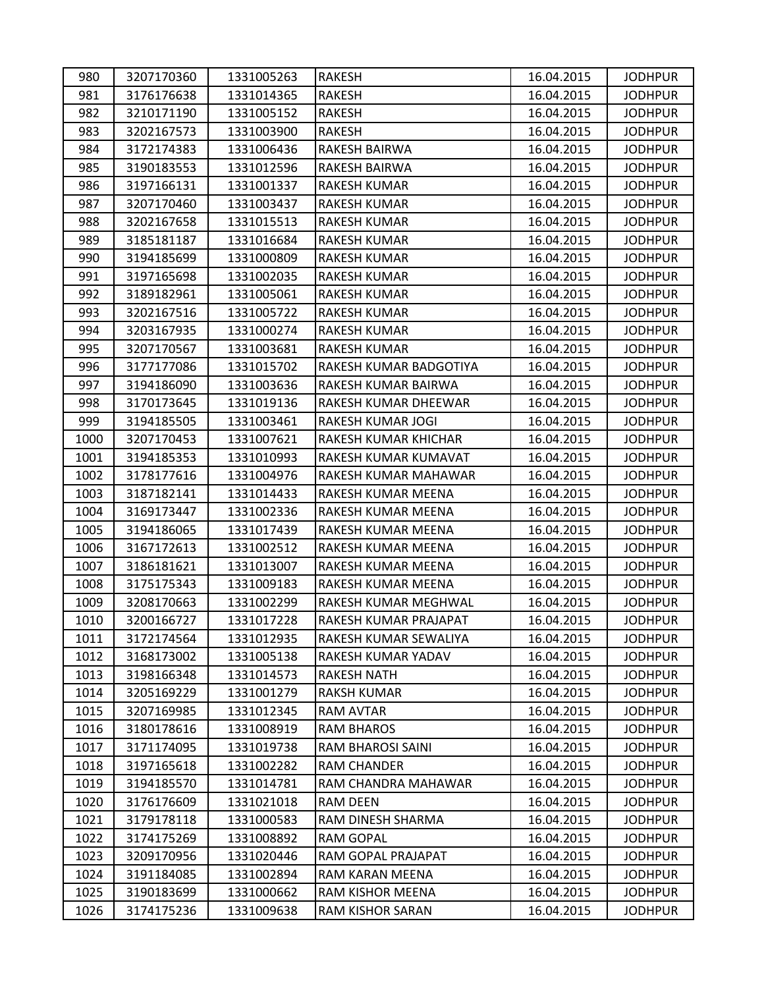| 980  | 3207170360 | 1331005263 | <b>RAKESH</b>          | 16.04.2015 | <b>JODHPUR</b> |
|------|------------|------------|------------------------|------------|----------------|
| 981  | 3176176638 | 1331014365 | <b>RAKESH</b>          | 16.04.2015 | <b>JODHPUR</b> |
| 982  | 3210171190 | 1331005152 | <b>RAKESH</b>          | 16.04.2015 | <b>JODHPUR</b> |
| 983  | 3202167573 | 1331003900 | <b>RAKESH</b>          | 16.04.2015 | <b>JODHPUR</b> |
| 984  | 3172174383 | 1331006436 | RAKESH BAIRWA          | 16.04.2015 | <b>JODHPUR</b> |
| 985  | 3190183553 | 1331012596 | RAKESH BAIRWA          | 16.04.2015 | <b>JODHPUR</b> |
| 986  | 3197166131 | 1331001337 | <b>RAKESH KUMAR</b>    | 16.04.2015 | <b>JODHPUR</b> |
| 987  | 3207170460 | 1331003437 | RAKESH KUMAR           | 16.04.2015 | <b>JODHPUR</b> |
| 988  | 3202167658 | 1331015513 | RAKESH KUMAR           | 16.04.2015 | <b>JODHPUR</b> |
| 989  | 3185181187 | 1331016684 | RAKESH KUMAR           | 16.04.2015 | <b>JODHPUR</b> |
| 990  | 3194185699 | 1331000809 | RAKESH KUMAR           | 16.04.2015 | <b>JODHPUR</b> |
| 991  | 3197165698 | 1331002035 | RAKESH KUMAR           | 16.04.2015 | <b>JODHPUR</b> |
| 992  | 3189182961 | 1331005061 | RAKESH KUMAR           | 16.04.2015 | <b>JODHPUR</b> |
| 993  | 3202167516 | 1331005722 | <b>RAKESH KUMAR</b>    | 16.04.2015 | <b>JODHPUR</b> |
| 994  | 3203167935 | 1331000274 | RAKESH KUMAR           | 16.04.2015 | <b>JODHPUR</b> |
| 995  | 3207170567 | 1331003681 | RAKESH KUMAR           | 16.04.2015 | <b>JODHPUR</b> |
| 996  | 3177177086 | 1331015702 | RAKESH KUMAR BADGOTIYA | 16.04.2015 | <b>JODHPUR</b> |
| 997  | 3194186090 | 1331003636 | RAKESH KUMAR BAIRWA    | 16.04.2015 | <b>JODHPUR</b> |
| 998  | 3170173645 | 1331019136 | RAKESH KUMAR DHEEWAR   | 16.04.2015 | <b>JODHPUR</b> |
| 999  | 3194185505 | 1331003461 | RAKESH KUMAR JOGI      | 16.04.2015 | <b>JODHPUR</b> |
| 1000 | 3207170453 | 1331007621 | RAKESH KUMAR KHICHAR   | 16.04.2015 | <b>JODHPUR</b> |
| 1001 | 3194185353 | 1331010993 | RAKESH KUMAR KUMAVAT   | 16.04.2015 | <b>JODHPUR</b> |
| 1002 | 3178177616 | 1331004976 | RAKESH KUMAR MAHAWAR   | 16.04.2015 | <b>JODHPUR</b> |
| 1003 | 3187182141 | 1331014433 | RAKESH KUMAR MEENA     | 16.04.2015 | <b>JODHPUR</b> |
| 1004 | 3169173447 | 1331002336 | RAKESH KUMAR MEENA     | 16.04.2015 | <b>JODHPUR</b> |
| 1005 | 3194186065 | 1331017439 | RAKESH KUMAR MEENA     | 16.04.2015 | <b>JODHPUR</b> |
| 1006 | 3167172613 | 1331002512 | RAKESH KUMAR MEENA     | 16.04.2015 | <b>JODHPUR</b> |
| 1007 | 3186181621 | 1331013007 | RAKESH KUMAR MEENA     | 16.04.2015 | <b>JODHPUR</b> |
| 1008 | 3175175343 | 1331009183 | RAKESH KUMAR MEENA     | 16.04.2015 | <b>JODHPUR</b> |
| 1009 | 3208170663 | 1331002299 | RAKESH KUMAR MEGHWAL   | 16.04.2015 | <b>JODHPUR</b> |
| 1010 | 3200166727 | 1331017228 | RAKESH KUMAR PRAJAPAT  | 16.04.2015 | <b>JODHPUR</b> |
| 1011 | 3172174564 | 1331012935 | RAKESH KUMAR SEWALIYA  | 16.04.2015 | <b>JODHPUR</b> |
| 1012 | 3168173002 | 1331005138 | RAKESH KUMAR YADAV     | 16.04.2015 | <b>JODHPUR</b> |
| 1013 | 3198166348 | 1331014573 | <b>RAKESH NATH</b>     | 16.04.2015 | <b>JODHPUR</b> |
| 1014 | 3205169229 | 1331001279 | <b>RAKSH KUMAR</b>     | 16.04.2015 | <b>JODHPUR</b> |
| 1015 | 3207169985 | 1331012345 | RAM AVTAR              | 16.04.2015 | <b>JODHPUR</b> |
| 1016 | 3180178616 | 1331008919 | <b>RAM BHAROS</b>      | 16.04.2015 | <b>JODHPUR</b> |
| 1017 | 3171174095 | 1331019738 | RAM BHAROSI SAINI      | 16.04.2015 | <b>JODHPUR</b> |
| 1018 | 3197165618 | 1331002282 | RAM CHANDER            | 16.04.2015 | <b>JODHPUR</b> |
| 1019 | 3194185570 | 1331014781 | RAM CHANDRA MAHAWAR    | 16.04.2015 | <b>JODHPUR</b> |
| 1020 | 3176176609 | 1331021018 | RAM DEEN               | 16.04.2015 | <b>JODHPUR</b> |
| 1021 | 3179178118 | 1331000583 | RAM DINESH SHARMA      | 16.04.2015 | <b>JODHPUR</b> |
| 1022 | 3174175269 | 1331008892 | <b>RAM GOPAL</b>       | 16.04.2015 | <b>JODHPUR</b> |
| 1023 | 3209170956 | 1331020446 | RAM GOPAL PRAJAPAT     | 16.04.2015 | <b>JODHPUR</b> |
| 1024 | 3191184085 | 1331002894 | RAM KARAN MEENA        | 16.04.2015 | <b>JODHPUR</b> |
| 1025 | 3190183699 | 1331000662 | RAM KISHOR MEENA       | 16.04.2015 | <b>JODHPUR</b> |
| 1026 | 3174175236 | 1331009638 | RAM KISHOR SARAN       | 16.04.2015 | <b>JODHPUR</b> |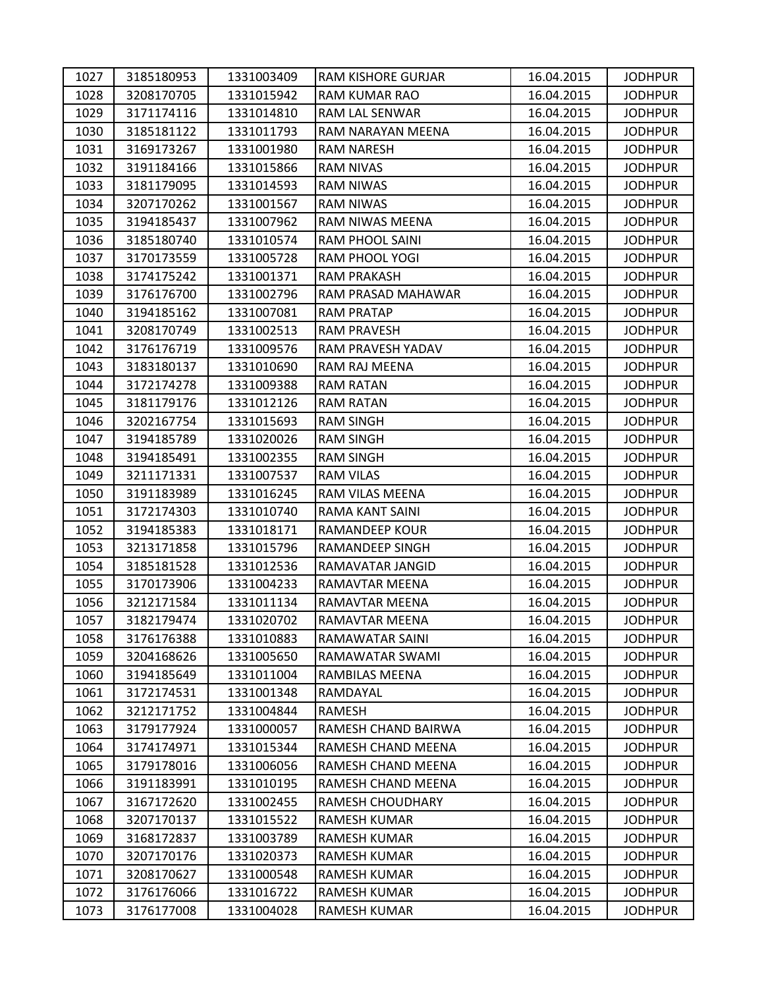| 1027 | 3185180953 | 1331003409 | RAM KISHORE GURJAR  | 16.04.2015 | <b>JODHPUR</b> |
|------|------------|------------|---------------------|------------|----------------|
| 1028 | 3208170705 | 1331015942 | RAM KUMAR RAO       | 16.04.2015 | <b>JODHPUR</b> |
| 1029 | 3171174116 | 1331014810 | RAM LAL SENWAR      | 16.04.2015 | <b>JODHPUR</b> |
| 1030 | 3185181122 | 1331011793 | RAM NARAYAN MEENA   | 16.04.2015 | <b>JODHPUR</b> |
| 1031 | 3169173267 | 1331001980 | <b>RAM NARESH</b>   | 16.04.2015 | <b>JODHPUR</b> |
| 1032 | 3191184166 | 1331015866 | RAM NIVAS           | 16.04.2015 | <b>JODHPUR</b> |
| 1033 | 3181179095 | 1331014593 | RAM NIWAS           | 16.04.2015 | <b>JODHPUR</b> |
| 1034 | 3207170262 | 1331001567 | <b>RAM NIWAS</b>    | 16.04.2015 | <b>JODHPUR</b> |
| 1035 | 3194185437 | 1331007962 | RAM NIWAS MEENA     | 16.04.2015 | <b>JODHPUR</b> |
| 1036 | 3185180740 | 1331010574 | RAM PHOOL SAINI     | 16.04.2015 | <b>JODHPUR</b> |
| 1037 | 3170173559 | 1331005728 | RAM PHOOL YOGI      | 16.04.2015 | <b>JODHPUR</b> |
| 1038 | 3174175242 | 1331001371 | <b>RAM PRAKASH</b>  | 16.04.2015 | <b>JODHPUR</b> |
| 1039 | 3176176700 | 1331002796 | RAM PRASAD MAHAWAR  | 16.04.2015 | <b>JODHPUR</b> |
| 1040 | 3194185162 | 1331007081 | <b>RAM PRATAP</b>   | 16.04.2015 | <b>JODHPUR</b> |
| 1041 | 3208170749 | 1331002513 | <b>RAM PRAVESH</b>  | 16.04.2015 | <b>JODHPUR</b> |
| 1042 | 3176176719 | 1331009576 | RAM PRAVESH YADAV   | 16.04.2015 | <b>JODHPUR</b> |
| 1043 | 3183180137 | 1331010690 | RAM RAJ MEENA       | 16.04.2015 | <b>JODHPUR</b> |
| 1044 | 3172174278 | 1331009388 | <b>RAM RATAN</b>    | 16.04.2015 | <b>JODHPUR</b> |
| 1045 | 3181179176 | 1331012126 | <b>RAM RATAN</b>    | 16.04.2015 | <b>JODHPUR</b> |
| 1046 | 3202167754 | 1331015693 | <b>RAM SINGH</b>    | 16.04.2015 | <b>JODHPUR</b> |
| 1047 | 3194185789 | 1331020026 | <b>RAM SINGH</b>    | 16.04.2015 | <b>JODHPUR</b> |
| 1048 | 3194185491 | 1331002355 | <b>RAM SINGH</b>    | 16.04.2015 | <b>JODHPUR</b> |
| 1049 | 3211171331 | 1331007537 | <b>RAM VILAS</b>    | 16.04.2015 | <b>JODHPUR</b> |
| 1050 | 3191183989 | 1331016245 | RAM VILAS MEENA     | 16.04.2015 | <b>JODHPUR</b> |
| 1051 | 3172174303 | 1331010740 | RAMA KANT SAINI     | 16.04.2015 | <b>JODHPUR</b> |
| 1052 | 3194185383 | 1331018171 | RAMANDEEP KOUR      | 16.04.2015 | <b>JODHPUR</b> |
| 1053 | 3213171858 | 1331015796 | RAMANDEEP SINGH     | 16.04.2015 | <b>JODHPUR</b> |
| 1054 | 3185181528 | 1331012536 | RAMAVATAR JANGID    | 16.04.2015 | <b>JODHPUR</b> |
| 1055 | 3170173906 | 1331004233 | RAMAVTAR MEENA      | 16.04.2015 | <b>JODHPUR</b> |
| 1056 | 3212171584 | 1331011134 | RAMAVTAR MEENA      | 16.04.2015 | <b>JODHPUR</b> |
| 1057 | 3182179474 | 1331020702 | RAMAVTAR MEENA      | 16.04.2015 | <b>JODHPUR</b> |
| 1058 | 3176176388 | 1331010883 | RAMAWATAR SAINI     | 16.04.2015 | <b>JODHPUR</b> |
| 1059 | 3204168626 | 1331005650 | RAMAWATAR SWAMI     | 16.04.2015 | <b>JODHPUR</b> |
| 1060 | 3194185649 | 1331011004 | RAMBILAS MEENA      | 16.04.2015 | <b>JODHPUR</b> |
| 1061 | 3172174531 | 1331001348 | RAMDAYAL            | 16.04.2015 | <b>JODHPUR</b> |
| 1062 | 3212171752 | 1331004844 | RAMESH              | 16.04.2015 | <b>JODHPUR</b> |
| 1063 | 3179177924 | 1331000057 | RAMESH CHAND BAIRWA | 16.04.2015 | <b>JODHPUR</b> |
| 1064 | 3174174971 | 1331015344 | RAMESH CHAND MEENA  | 16.04.2015 | <b>JODHPUR</b> |
| 1065 | 3179178016 | 1331006056 | RAMESH CHAND MEENA  | 16.04.2015 | <b>JODHPUR</b> |
| 1066 | 3191183991 | 1331010195 | RAMESH CHAND MEENA  | 16.04.2015 | <b>JODHPUR</b> |
| 1067 | 3167172620 | 1331002455 | RAMESH CHOUDHARY    | 16.04.2015 | <b>JODHPUR</b> |
| 1068 | 3207170137 | 1331015522 | <b>RAMESH KUMAR</b> | 16.04.2015 | <b>JODHPUR</b> |
| 1069 | 3168172837 | 1331003789 | RAMESH KUMAR        | 16.04.2015 | <b>JODHPUR</b> |
| 1070 | 3207170176 | 1331020373 | <b>RAMESH KUMAR</b> | 16.04.2015 | <b>JODHPUR</b> |
| 1071 | 3208170627 | 1331000548 | RAMESH KUMAR        | 16.04.2015 | <b>JODHPUR</b> |
| 1072 | 3176176066 | 1331016722 | RAMESH KUMAR        | 16.04.2015 | <b>JODHPUR</b> |
| 1073 | 3176177008 | 1331004028 | RAMESH KUMAR        | 16.04.2015 | <b>JODHPUR</b> |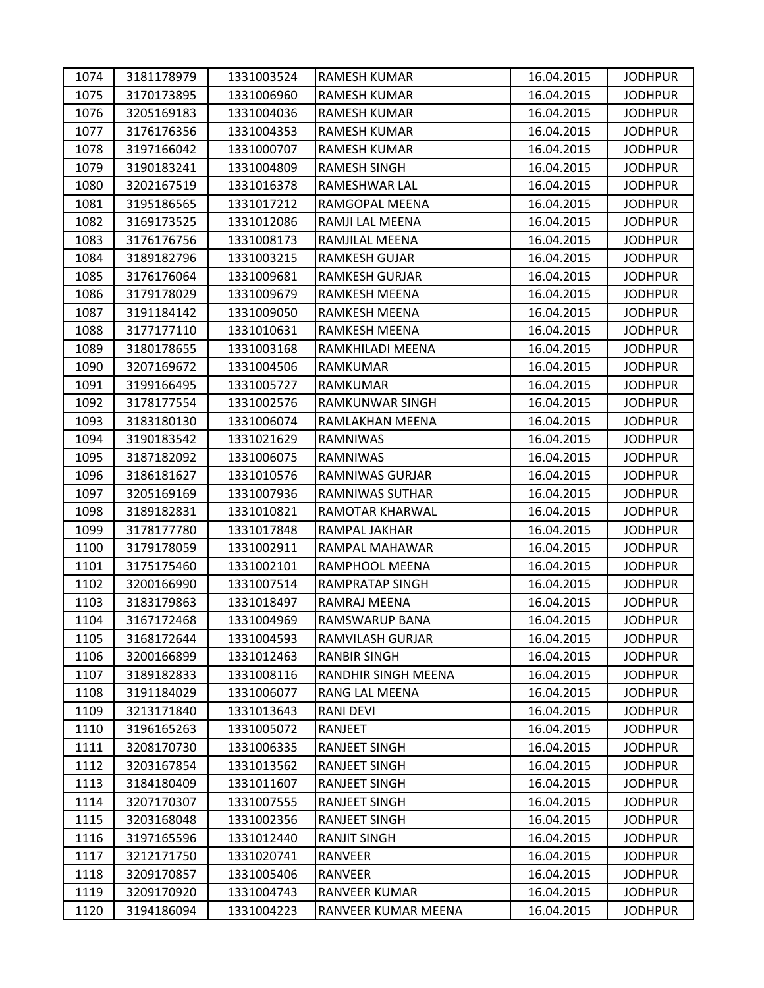| 1074 | 3181178979 | 1331003524 | RAMESH KUMAR           | 16.04.2015 | <b>JODHPUR</b> |
|------|------------|------------|------------------------|------------|----------------|
| 1075 | 3170173895 | 1331006960 | <b>RAMESH KUMAR</b>    | 16.04.2015 | <b>JODHPUR</b> |
| 1076 | 3205169183 | 1331004036 | RAMESH KUMAR           | 16.04.2015 | <b>JODHPUR</b> |
| 1077 | 3176176356 | 1331004353 | RAMESH KUMAR           | 16.04.2015 | <b>JODHPUR</b> |
| 1078 | 3197166042 | 1331000707 | <b>RAMESH KUMAR</b>    | 16.04.2015 | <b>JODHPUR</b> |
| 1079 | 3190183241 | 1331004809 | RAMESH SINGH           | 16.04.2015 | <b>JODHPUR</b> |
| 1080 | 3202167519 | 1331016378 | RAMESHWAR LAL          | 16.04.2015 | <b>JODHPUR</b> |
| 1081 | 3195186565 | 1331017212 | RAMGOPAL MEENA         | 16.04.2015 | <b>JODHPUR</b> |
| 1082 | 3169173525 | 1331012086 | RAMJI LAL MEENA        | 16.04.2015 | <b>JODHPUR</b> |
| 1083 | 3176176756 | 1331008173 | RAMJILAL MEENA         | 16.04.2015 | <b>JODHPUR</b> |
| 1084 | 3189182796 | 1331003215 | RAMKESH GUJAR          | 16.04.2015 | <b>JODHPUR</b> |
| 1085 | 3176176064 | 1331009681 | <b>RAMKESH GURJAR</b>  | 16.04.2015 | <b>JODHPUR</b> |
| 1086 | 3179178029 | 1331009679 | RAMKESH MEENA          | 16.04.2015 | <b>JODHPUR</b> |
| 1087 | 3191184142 | 1331009050 | RAMKESH MEENA          | 16.04.2015 | <b>JODHPUR</b> |
| 1088 | 3177177110 | 1331010631 | RAMKESH MEENA          | 16.04.2015 | <b>JODHPUR</b> |
| 1089 | 3180178655 | 1331003168 | RAMKHILADI MEENA       | 16.04.2015 | <b>JODHPUR</b> |
| 1090 | 3207169672 | 1331004506 | RAMKUMAR               | 16.04.2015 | <b>JODHPUR</b> |
| 1091 | 3199166495 | 1331005727 | RAMKUMAR               | 16.04.2015 | <b>JODHPUR</b> |
| 1092 | 3178177554 | 1331002576 | <b>RAMKUNWAR SINGH</b> | 16.04.2015 | <b>JODHPUR</b> |
| 1093 | 3183180130 | 1331006074 | RAMLAKHAN MEENA        | 16.04.2015 | <b>JODHPUR</b> |
| 1094 | 3190183542 | 1331021629 | RAMNIWAS               | 16.04.2015 | <b>JODHPUR</b> |
| 1095 | 3187182092 | 1331006075 | RAMNIWAS               | 16.04.2015 | <b>JODHPUR</b> |
| 1096 | 3186181627 | 1331010576 | RAMNIWAS GURJAR        | 16.04.2015 | <b>JODHPUR</b> |
| 1097 | 3205169169 | 1331007936 | RAMNIWAS SUTHAR        | 16.04.2015 | <b>JODHPUR</b> |
| 1098 | 3189182831 | 1331010821 | RAMOTAR KHARWAL        | 16.04.2015 | <b>JODHPUR</b> |
| 1099 | 3178177780 | 1331017848 | RAMPAL JAKHAR          | 16.04.2015 | <b>JODHPUR</b> |
| 1100 | 3179178059 | 1331002911 | RAMPAL MAHAWAR         | 16.04.2015 | <b>JODHPUR</b> |
| 1101 | 3175175460 | 1331002101 | RAMPHOOL MEENA         | 16.04.2015 | <b>JODHPUR</b> |
| 1102 | 3200166990 | 1331007514 | <b>RAMPRATAP SINGH</b> | 16.04.2015 | <b>JODHPUR</b> |
| 1103 | 3183179863 | 1331018497 | RAMRAJ MEENA           | 16.04.2015 | <b>JODHPUR</b> |
| 1104 | 3167172468 | 1331004969 | RAMSWARUP BANA         | 16.04.2015 | <b>JODHPUR</b> |
| 1105 | 3168172644 | 1331004593 | RAMVILASH GURJAR       | 16.04.2015 | <b>JODHPUR</b> |
| 1106 | 3200166899 | 1331012463 | <b>RANBIR SINGH</b>    | 16.04.2015 | <b>JODHPUR</b> |
| 1107 | 3189182833 | 1331008116 | RANDHIR SINGH MEENA    | 16.04.2015 | <b>JODHPUR</b> |
| 1108 | 3191184029 | 1331006077 | RANG LAL MEENA         | 16.04.2015 | <b>JODHPUR</b> |
| 1109 | 3213171840 | 1331013643 | <b>RANI DEVI</b>       | 16.04.2015 | <b>JODHPUR</b> |
| 1110 | 3196165263 | 1331005072 | RANJEET                | 16.04.2015 | <b>JODHPUR</b> |
| 1111 | 3208170730 | 1331006335 | RANJEET SINGH          | 16.04.2015 | <b>JODHPUR</b> |
| 1112 | 3203167854 | 1331013562 | RANJEET SINGH          | 16.04.2015 | <b>JODHPUR</b> |
| 1113 | 3184180409 | 1331011607 | <b>RANJEET SINGH</b>   | 16.04.2015 | <b>JODHPUR</b> |
| 1114 | 3207170307 | 1331007555 | RANJEET SINGH          | 16.04.2015 | <b>JODHPUR</b> |
| 1115 | 3203168048 | 1331002356 | <b>RANJEET SINGH</b>   | 16.04.2015 | <b>JODHPUR</b> |
| 1116 | 3197165596 | 1331012440 | <b>RANJIT SINGH</b>    | 16.04.2015 | <b>JODHPUR</b> |
| 1117 | 3212171750 | 1331020741 | RANVEER                | 16.04.2015 | <b>JODHPUR</b> |
| 1118 | 3209170857 | 1331005406 | RANVEER                | 16.04.2015 | <b>JODHPUR</b> |
| 1119 | 3209170920 | 1331004743 | RANVEER KUMAR          | 16.04.2015 | <b>JODHPUR</b> |
| 1120 | 3194186094 | 1331004223 | RANVEER KUMAR MEENA    | 16.04.2015 | <b>JODHPUR</b> |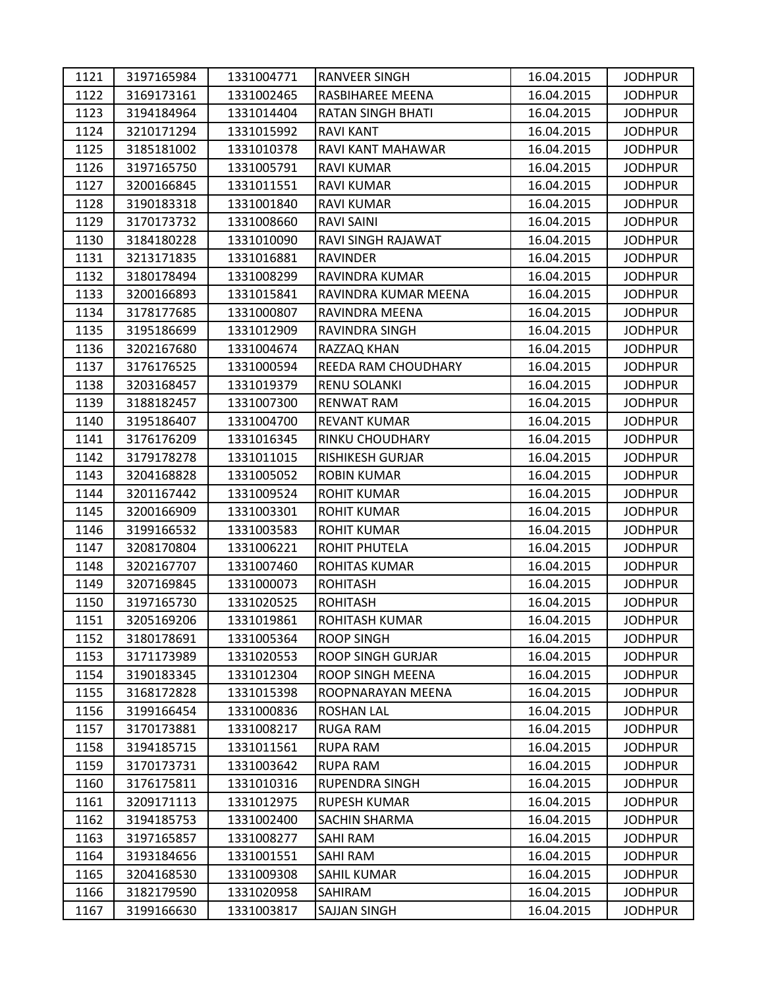| 1121 | 3197165984 | 1331004771 | <b>RANVEER SINGH</b>       | 16.04.2015 | <b>JODHPUR</b> |
|------|------------|------------|----------------------------|------------|----------------|
| 1122 | 3169173161 | 1331002465 | RASBIHAREE MEENA           | 16.04.2015 | <b>JODHPUR</b> |
| 1123 | 3194184964 | 1331014404 | <b>RATAN SINGH BHATI</b>   | 16.04.2015 | <b>JODHPUR</b> |
| 1124 | 3210171294 | 1331015992 | <b>RAVI KANT</b>           | 16.04.2015 | <b>JODHPUR</b> |
| 1125 | 3185181002 | 1331010378 | RAVI KANT MAHAWAR          | 16.04.2015 | <b>JODHPUR</b> |
| 1126 | 3197165750 | 1331005791 | RAVI KUMAR                 | 16.04.2015 | <b>JODHPUR</b> |
| 1127 | 3200166845 | 1331011551 | <b>RAVI KUMAR</b>          | 16.04.2015 | <b>JODHPUR</b> |
| 1128 | 3190183318 | 1331001840 | RAVI KUMAR                 | 16.04.2015 | <b>JODHPUR</b> |
| 1129 | 3170173732 | 1331008660 | <b>RAVI SAINI</b>          | 16.04.2015 | <b>JODHPUR</b> |
| 1130 | 3184180228 | 1331010090 | RAVI SINGH RAJAWAT         | 16.04.2015 | <b>JODHPUR</b> |
| 1131 | 3213171835 | 1331016881 | <b>RAVINDER</b>            | 16.04.2015 | <b>JODHPUR</b> |
| 1132 | 3180178494 | 1331008299 | RAVINDRA KUMAR             | 16.04.2015 | <b>JODHPUR</b> |
| 1133 | 3200166893 | 1331015841 | RAVINDRA KUMAR MEENA       | 16.04.2015 | <b>JODHPUR</b> |
| 1134 | 3178177685 | 1331000807 | RAVINDRA MEENA             | 16.04.2015 | <b>JODHPUR</b> |
| 1135 | 3195186699 | 1331012909 | RAVINDRA SINGH             | 16.04.2015 | <b>JODHPUR</b> |
| 1136 | 3202167680 | 1331004674 | RAZZAQ KHAN                | 16.04.2015 | <b>JODHPUR</b> |
| 1137 | 3176176525 | 1331000594 | <b>REEDA RAM CHOUDHARY</b> | 16.04.2015 | <b>JODHPUR</b> |
| 1138 | 3203168457 | 1331019379 | RENU SOLANKI               | 16.04.2015 | <b>JODHPUR</b> |
| 1139 | 3188182457 | 1331007300 | <b>RENWAT RAM</b>          | 16.04.2015 | <b>JODHPUR</b> |
| 1140 | 3195186407 | 1331004700 | <b>REVANT KUMAR</b>        | 16.04.2015 | <b>JODHPUR</b> |
| 1141 | 3176176209 | 1331016345 | RINKU CHOUDHARY            | 16.04.2015 | <b>JODHPUR</b> |
| 1142 | 3179178278 | 1331011015 | <b>RISHIKESH GURJAR</b>    | 16.04.2015 | <b>JODHPUR</b> |
| 1143 | 3204168828 | 1331005052 | <b>ROBIN KUMAR</b>         | 16.04.2015 | <b>JODHPUR</b> |
| 1144 | 3201167442 | 1331009524 | <b>ROHIT KUMAR</b>         | 16.04.2015 | <b>JODHPUR</b> |
| 1145 | 3200166909 | 1331003301 | <b>ROHIT KUMAR</b>         | 16.04.2015 | <b>JODHPUR</b> |
| 1146 | 3199166532 | 1331003583 | <b>ROHIT KUMAR</b>         | 16.04.2015 | <b>JODHPUR</b> |
| 1147 | 3208170804 | 1331006221 | ROHIT PHUTELA              | 16.04.2015 | <b>JODHPUR</b> |
| 1148 | 3202167707 | 1331007460 | ROHITAS KUMAR              | 16.04.2015 | <b>JODHPUR</b> |
| 1149 | 3207169845 | 1331000073 | <b>ROHITASH</b>            | 16.04.2015 | <b>JODHPUR</b> |
| 1150 | 3197165730 | 1331020525 | <b>ROHITASH</b>            | 16.04.2015 | <b>JODHPUR</b> |
| 1151 | 3205169206 | 1331019861 | <b>ROHITASH KUMAR</b>      | 16.04.2015 | <b>JODHPUR</b> |
| 1152 | 3180178691 | 1331005364 | <b>ROOP SINGH</b>          | 16.04.2015 | <b>JODHPUR</b> |
| 1153 | 3171173989 | 1331020553 | <b>ROOP SINGH GURJAR</b>   | 16.04.2015 | <b>JODHPUR</b> |
| 1154 | 3190183345 | 1331012304 | ROOP SINGH MEENA           | 16.04.2015 | <b>JODHPUR</b> |
| 1155 | 3168172828 | 1331015398 | ROOPNARAYAN MEENA          | 16.04.2015 | <b>JODHPUR</b> |
| 1156 | 3199166454 | 1331000836 | <b>ROSHAN LAL</b>          | 16.04.2015 | <b>JODHPUR</b> |
| 1157 | 3170173881 | 1331008217 | <b>RUGA RAM</b>            | 16.04.2015 | <b>JODHPUR</b> |
| 1158 | 3194185715 | 1331011561 | <b>RUPA RAM</b>            | 16.04.2015 | <b>JODHPUR</b> |
| 1159 | 3170173731 | 1331003642 | <b>RUPA RAM</b>            | 16.04.2015 | <b>JODHPUR</b> |
| 1160 | 3176175811 | 1331010316 | <b>RUPENDRA SINGH</b>      | 16.04.2015 | <b>JODHPUR</b> |
| 1161 | 3209171113 | 1331012975 | <b>RUPESH KUMAR</b>        | 16.04.2015 | <b>JODHPUR</b> |
| 1162 | 3194185753 | 1331002400 | <b>SACHIN SHARMA</b>       | 16.04.2015 | <b>JODHPUR</b> |
| 1163 | 3197165857 | 1331008277 | <b>SAHI RAM</b>            | 16.04.2015 | <b>JODHPUR</b> |
| 1164 | 3193184656 | 1331001551 | SAHI RAM                   | 16.04.2015 | <b>JODHPUR</b> |
| 1165 | 3204168530 | 1331009308 | SAHIL KUMAR                | 16.04.2015 | <b>JODHPUR</b> |
| 1166 | 3182179590 | 1331020958 | SAHIRAM                    | 16.04.2015 | <b>JODHPUR</b> |
| 1167 | 3199166630 | 1331003817 | SAJJAN SINGH               | 16.04.2015 | <b>JODHPUR</b> |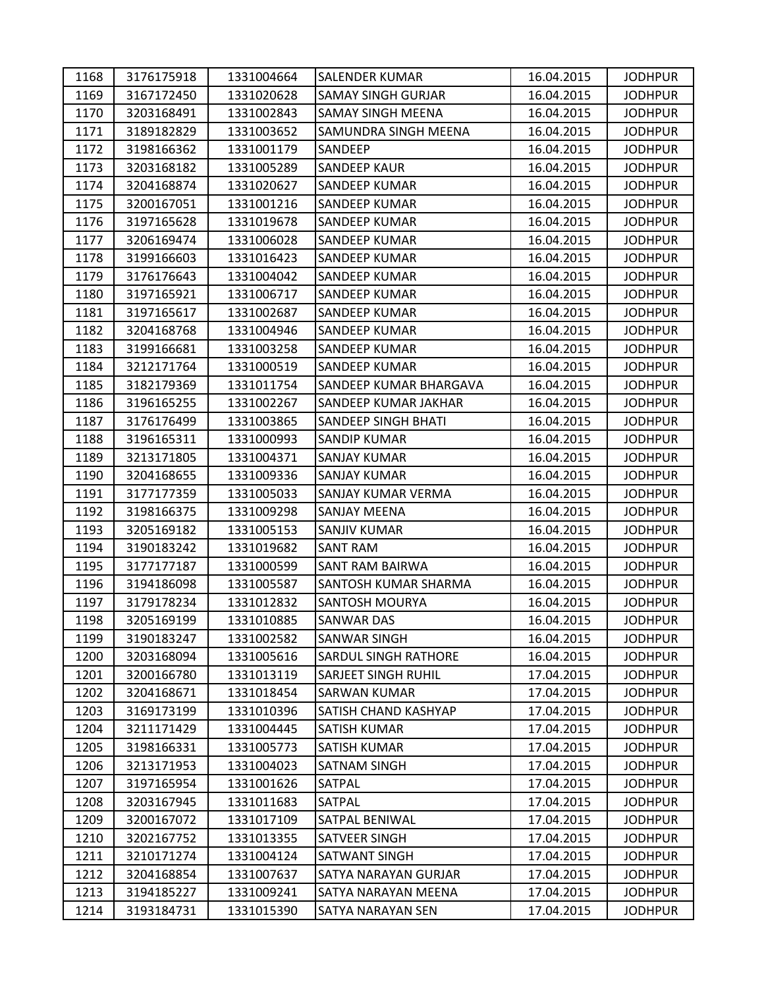| 1168 | 3176175918 | 1331004664 | <b>SALENDER KUMAR</b>       | 16.04.2015 | <b>JODHPUR</b> |
|------|------------|------------|-----------------------------|------------|----------------|
| 1169 | 3167172450 | 1331020628 | <b>SAMAY SINGH GURJAR</b>   | 16.04.2015 | <b>JODHPUR</b> |
| 1170 | 3203168491 | 1331002843 | <b>SAMAY SINGH MEENA</b>    | 16.04.2015 | <b>JODHPUR</b> |
| 1171 | 3189182829 | 1331003652 | <b>SAMUNDRA SINGH MEENA</b> | 16.04.2015 | <b>JODHPUR</b> |
| 1172 | 3198166362 | 1331001179 | SANDEEP                     | 16.04.2015 | <b>JODHPUR</b> |
| 1173 | 3203168182 | 1331005289 | <b>SANDEEP KAUR</b>         | 16.04.2015 | <b>JODHPUR</b> |
| 1174 | 3204168874 | 1331020627 | <b>SANDEEP KUMAR</b>        | 16.04.2015 | <b>JODHPUR</b> |
| 1175 | 3200167051 | 1331001216 | SANDEEP KUMAR               | 16.04.2015 | <b>JODHPUR</b> |
| 1176 | 3197165628 | 1331019678 | <b>SANDEEP KUMAR</b>        | 16.04.2015 | <b>JODHPUR</b> |
| 1177 | 3206169474 | 1331006028 | <b>SANDEEP KUMAR</b>        | 16.04.2015 | <b>JODHPUR</b> |
| 1178 | 3199166603 | 1331016423 | <b>SANDEEP KUMAR</b>        | 16.04.2015 | <b>JODHPUR</b> |
| 1179 | 3176176643 | 1331004042 | <b>SANDEEP KUMAR</b>        | 16.04.2015 | <b>JODHPUR</b> |
| 1180 | 3197165921 | 1331006717 | SANDEEP KUMAR               | 16.04.2015 | <b>JODHPUR</b> |
| 1181 | 3197165617 | 1331002687 | <b>SANDEEP KUMAR</b>        | 16.04.2015 | <b>JODHPUR</b> |
| 1182 | 3204168768 | 1331004946 | <b>SANDEEP KUMAR</b>        | 16.04.2015 | <b>JODHPUR</b> |
| 1183 | 3199166681 | 1331003258 | <b>SANDEEP KUMAR</b>        | 16.04.2015 | <b>JODHPUR</b> |
| 1184 | 3212171764 | 1331000519 | SANDEEP KUMAR               | 16.04.2015 | <b>JODHPUR</b> |
| 1185 | 3182179369 | 1331011754 | SANDEEP KUMAR BHARGAVA      | 16.04.2015 | <b>JODHPUR</b> |
| 1186 | 3196165255 | 1331002267 | SANDEEP KUMAR JAKHAR        | 16.04.2015 | <b>JODHPUR</b> |
| 1187 | 3176176499 | 1331003865 | SANDEEP SINGH BHATI         | 16.04.2015 | <b>JODHPUR</b> |
| 1188 | 3196165311 | 1331000993 | <b>SANDIP KUMAR</b>         | 16.04.2015 | <b>JODHPUR</b> |
| 1189 | 3213171805 | 1331004371 | <b>SANJAY KUMAR</b>         | 16.04.2015 | <b>JODHPUR</b> |
| 1190 | 3204168655 | 1331009336 | <b>SANJAY KUMAR</b>         | 16.04.2015 | <b>JODHPUR</b> |
| 1191 | 3177177359 | 1331005033 | SANJAY KUMAR VERMA          | 16.04.2015 | <b>JODHPUR</b> |
| 1192 | 3198166375 | 1331009298 | SANJAY MEENA                | 16.04.2015 | <b>JODHPUR</b> |
| 1193 | 3205169182 | 1331005153 | <b>SANJIV KUMAR</b>         | 16.04.2015 | <b>JODHPUR</b> |
| 1194 | 3190183242 | 1331019682 | SANT RAM                    | 16.04.2015 | <b>JODHPUR</b> |
| 1195 | 3177177187 | 1331000599 | SANT RAM BAIRWA             | 16.04.2015 | <b>JODHPUR</b> |
| 1196 | 3194186098 | 1331005587 | SANTOSH KUMAR SHARMA        | 16.04.2015 | <b>JODHPUR</b> |
| 1197 | 3179178234 | 1331012832 | <b>SANTOSH MOURYA</b>       | 16.04.2015 | <b>JODHPUR</b> |
| 1198 | 3205169199 | 1331010885 | <b>SANWAR DAS</b>           | 16.04.2015 | <b>JODHPUR</b> |
| 1199 | 3190183247 | 1331002582 | <b>SANWAR SINGH</b>         | 16.04.2015 | <b>JODHPUR</b> |
| 1200 | 3203168094 | 1331005616 | <b>SARDUL SINGH RATHORE</b> | 16.04.2015 | <b>JODHPUR</b> |
| 1201 | 3200166780 | 1331013119 | <b>SARJEET SINGH RUHIL</b>  | 17.04.2015 | <b>JODHPUR</b> |
| 1202 | 3204168671 | 1331018454 | <b>SARWAN KUMAR</b>         | 17.04.2015 | <b>JODHPUR</b> |
| 1203 | 3169173199 | 1331010396 | <b>SATISH CHAND KASHYAP</b> | 17.04.2015 | <b>JODHPUR</b> |
| 1204 | 3211171429 | 1331004445 | SATISH KUMAR                | 17.04.2015 | <b>JODHPUR</b> |
| 1205 | 3198166331 | 1331005773 | <b>SATISH KUMAR</b>         | 17.04.2015 | <b>JODHPUR</b> |
| 1206 | 3213171953 | 1331004023 | SATNAM SINGH                | 17.04.2015 | <b>JODHPUR</b> |
| 1207 | 3197165954 | 1331001626 | SATPAL                      | 17.04.2015 | <b>JODHPUR</b> |
| 1208 | 3203167945 | 1331011683 | SATPAL                      | 17.04.2015 | <b>JODHPUR</b> |
| 1209 | 3200167072 | 1331017109 | <b>SATPAL BENIWAL</b>       | 17.04.2015 | <b>JODHPUR</b> |
| 1210 | 3202167752 | 1331013355 | SATVEER SINGH               | 17.04.2015 | <b>JODHPUR</b> |
| 1211 | 3210171274 | 1331004124 | SATWANT SINGH               | 17.04.2015 | <b>JODHPUR</b> |
| 1212 | 3204168854 | 1331007637 | SATYA NARAYAN GURJAR        | 17.04.2015 | <b>JODHPUR</b> |
| 1213 | 3194185227 | 1331009241 | SATYA NARAYAN MEENA         | 17.04.2015 | <b>JODHPUR</b> |
| 1214 | 3193184731 | 1331015390 | SATYA NARAYAN SEN           | 17.04.2015 | <b>JODHPUR</b> |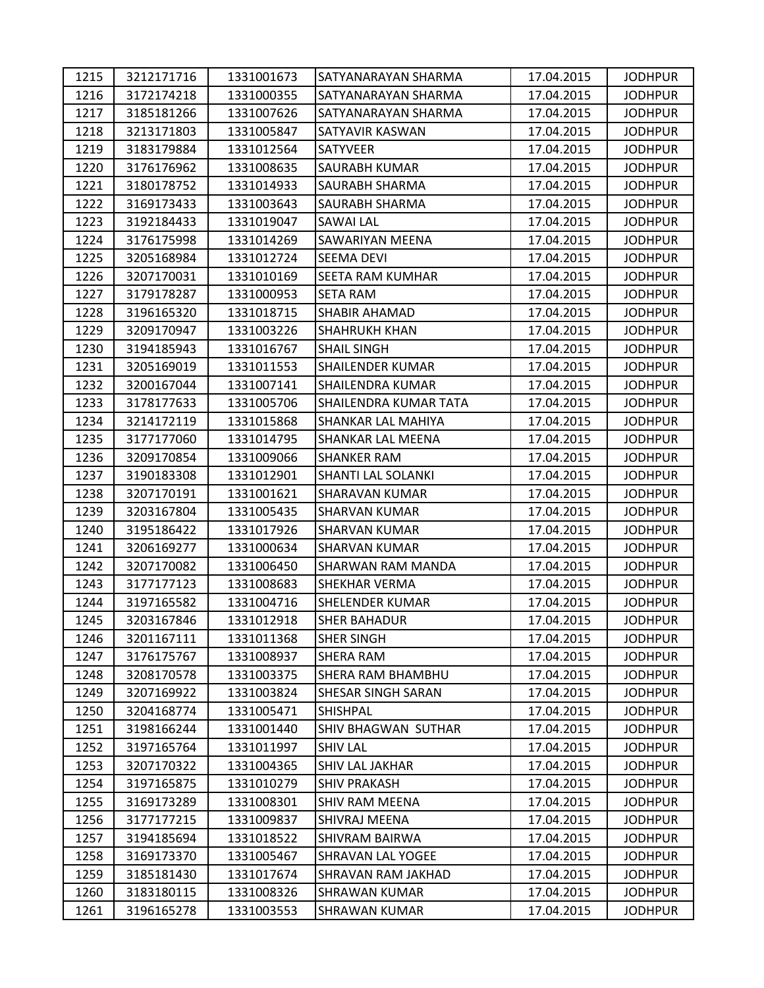| 1215 | 3212171716 | 1331001673 | SATYANARAYAN SHARMA     | 17.04.2015 | <b>JODHPUR</b> |
|------|------------|------------|-------------------------|------------|----------------|
| 1216 | 3172174218 | 1331000355 | SATYANARAYAN SHARMA     | 17.04.2015 | <b>JODHPUR</b> |
| 1217 | 3185181266 | 1331007626 | SATYANARAYAN SHARMA     | 17.04.2015 | <b>JODHPUR</b> |
| 1218 | 3213171803 | 1331005847 | SATYAVIR KASWAN         | 17.04.2015 | <b>JODHPUR</b> |
| 1219 | 3183179884 | 1331012564 | <b>SATYVEER</b>         | 17.04.2015 | <b>JODHPUR</b> |
| 1220 | 3176176962 | 1331008635 | SAURABH KUMAR           | 17.04.2015 | <b>JODHPUR</b> |
| 1221 | 3180178752 | 1331014933 | SAURABH SHARMA          | 17.04.2015 | <b>JODHPUR</b> |
| 1222 | 3169173433 | 1331003643 | SAURABH SHARMA          | 17.04.2015 | <b>JODHPUR</b> |
| 1223 | 3192184433 | 1331019047 | <b>SAWAI LAL</b>        | 17.04.2015 | <b>JODHPUR</b> |
| 1224 | 3176175998 | 1331014269 | SAWARIYAN MEENA         | 17.04.2015 | <b>JODHPUR</b> |
| 1225 | 3205168984 | 1331012724 | <b>SEEMA DEVI</b>       | 17.04.2015 | <b>JODHPUR</b> |
| 1226 | 3207170031 | 1331010169 | SEETA RAM KUMHAR        | 17.04.2015 | <b>JODHPUR</b> |
| 1227 | 3179178287 | 1331000953 | SETA RAM                | 17.04.2015 | <b>JODHPUR</b> |
| 1228 | 3196165320 | 1331018715 | <b>SHABIR AHAMAD</b>    | 17.04.2015 | <b>JODHPUR</b> |
| 1229 | 3209170947 | 1331003226 | <b>SHAHRUKH KHAN</b>    | 17.04.2015 | <b>JODHPUR</b> |
| 1230 | 3194185943 | 1331016767 | <b>SHAIL SINGH</b>      | 17.04.2015 | <b>JODHPUR</b> |
| 1231 | 3205169019 | 1331011553 | <b>SHAILENDER KUMAR</b> | 17.04.2015 | <b>JODHPUR</b> |
| 1232 | 3200167044 | 1331007141 | SHAILENDRA KUMAR        | 17.04.2015 | <b>JODHPUR</b> |
| 1233 | 3178177633 | 1331005706 | SHAILENDRA KUMAR TATA   | 17.04.2015 | <b>JODHPUR</b> |
| 1234 | 3214172119 | 1331015868 | SHANKAR LAL MAHIYA      | 17.04.2015 | <b>JODHPUR</b> |
| 1235 | 3177177060 | 1331014795 | SHANKAR LAL MEENA       | 17.04.2015 | <b>JODHPUR</b> |
| 1236 | 3209170854 | 1331009066 | SHANKER RAM             | 17.04.2015 | <b>JODHPUR</b> |
| 1237 | 3190183308 | 1331012901 | SHANTI LAL SOLANKI      | 17.04.2015 | <b>JODHPUR</b> |
| 1238 | 3207170191 | 1331001621 | <b>SHARAVAN KUMAR</b>   | 17.04.2015 | <b>JODHPUR</b> |
| 1239 | 3203167804 | 1331005435 | SHARVAN KUMAR           | 17.04.2015 | <b>JODHPUR</b> |
| 1240 | 3195186422 | 1331017926 | <b>SHARVAN KUMAR</b>    | 17.04.2015 | <b>JODHPUR</b> |
| 1241 | 3206169277 | 1331000634 | <b>SHARVAN KUMAR</b>    | 17.04.2015 | <b>JODHPUR</b> |
| 1242 | 3207170082 | 1331006450 | SHARWAN RAM MANDA       | 17.04.2015 | <b>JODHPUR</b> |
| 1243 | 3177177123 | 1331008683 | <b>SHEKHAR VERMA</b>    | 17.04.2015 | <b>JODHPUR</b> |
| 1244 | 3197165582 | 1331004716 | <b>SHELENDER KUMAR</b>  | 17.04.2015 | <b>JODHPUR</b> |
| 1245 | 3203167846 | 1331012918 | <b>SHER BAHADUR</b>     | 17.04.2015 | <b>JODHPUR</b> |
| 1246 | 3201167111 | 1331011368 | <b>SHER SINGH</b>       | 17.04.2015 | <b>JODHPUR</b> |
| 1247 | 3176175767 | 1331008937 | SHERA RAM               | 17.04.2015 | <b>JODHPUR</b> |
| 1248 | 3208170578 | 1331003375 | SHERA RAM BHAMBHU       | 17.04.2015 | <b>JODHPUR</b> |
| 1249 | 3207169922 | 1331003824 | SHESAR SINGH SARAN      | 17.04.2015 | <b>JODHPUR</b> |
| 1250 | 3204168774 | 1331005471 | <b>SHISHPAL</b>         | 17.04.2015 | <b>JODHPUR</b> |
| 1251 | 3198166244 | 1331001440 | SHIV BHAGWAN SUTHAR     | 17.04.2015 | <b>JODHPUR</b> |
| 1252 | 3197165764 | 1331011997 | <b>SHIV LAL</b>         | 17.04.2015 | <b>JODHPUR</b> |
| 1253 | 3207170322 | 1331004365 | SHIV LAL JAKHAR         | 17.04.2015 | <b>JODHPUR</b> |
| 1254 | 3197165875 | 1331010279 | <b>SHIV PRAKASH</b>     | 17.04.2015 | <b>JODHPUR</b> |
| 1255 | 3169173289 | 1331008301 | SHIV RAM MEENA          | 17.04.2015 | <b>JODHPUR</b> |
| 1256 | 3177177215 | 1331009837 | SHIVRAJ MEENA           | 17.04.2015 | <b>JODHPUR</b> |
| 1257 | 3194185694 | 1331018522 | <b>SHIVRAM BAIRWA</b>   | 17.04.2015 | <b>JODHPUR</b> |
| 1258 | 3169173370 | 1331005467 | SHRAVAN LAL YOGEE       | 17.04.2015 | <b>JODHPUR</b> |
| 1259 | 3185181430 | 1331017674 | SHRAVAN RAM JAKHAD      | 17.04.2015 | <b>JODHPUR</b> |
| 1260 | 3183180115 | 1331008326 | SHRAWAN KUMAR           | 17.04.2015 | <b>JODHPUR</b> |
| 1261 | 3196165278 | 1331003553 | <b>SHRAWAN KUMAR</b>    | 17.04.2015 | <b>JODHPUR</b> |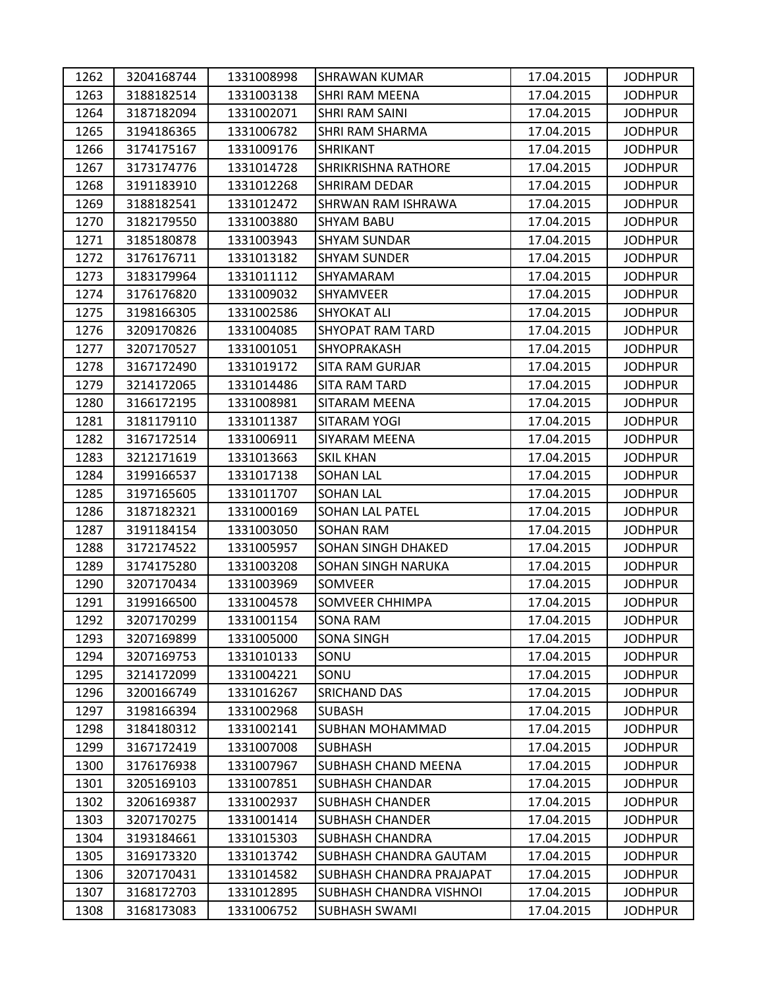| 1262 | 3204168744 | 1331008998 | SHRAWAN KUMAR              | 17.04.2015 | <b>JODHPUR</b> |
|------|------------|------------|----------------------------|------------|----------------|
| 1263 | 3188182514 | 1331003138 | <b>SHRI RAM MEENA</b>      | 17.04.2015 | <b>JODHPUR</b> |
| 1264 | 3187182094 | 1331002071 | SHRI RAM SAINI             | 17.04.2015 | <b>JODHPUR</b> |
| 1265 | 3194186365 | 1331006782 | SHRI RAM SHARMA            | 17.04.2015 | <b>JODHPUR</b> |
| 1266 | 3174175167 | 1331009176 | <b>SHRIKANT</b>            | 17.04.2015 | <b>JODHPUR</b> |
| 1267 | 3173174776 | 1331014728 | <b>SHRIKRISHNA RATHORE</b> | 17.04.2015 | <b>JODHPUR</b> |
| 1268 | 3191183910 | 1331012268 | SHRIRAM DEDAR              | 17.04.2015 | <b>JODHPUR</b> |
| 1269 | 3188182541 | 1331012472 | SHRWAN RAM ISHRAWA         | 17.04.2015 | <b>JODHPUR</b> |
| 1270 | 3182179550 | 1331003880 | <b>SHYAM BABU</b>          | 17.04.2015 | <b>JODHPUR</b> |
| 1271 | 3185180878 | 1331003943 | <b>SHYAM SUNDAR</b>        | 17.04.2015 | <b>JODHPUR</b> |
| 1272 | 3176176711 | 1331013182 | <b>SHYAM SUNDER</b>        | 17.04.2015 | <b>JODHPUR</b> |
| 1273 | 3183179964 | 1331011112 | SHYAMARAM                  | 17.04.2015 | <b>JODHPUR</b> |
| 1274 | 3176176820 | 1331009032 | SHYAMVEER                  | 17.04.2015 | <b>JODHPUR</b> |
| 1275 | 3198166305 | 1331002586 | <b>SHYOKAT ALI</b>         | 17.04.2015 | <b>JODHPUR</b> |
| 1276 | 3209170826 | 1331004085 | <b>SHYOPAT RAM TARD</b>    | 17.04.2015 | <b>JODHPUR</b> |
| 1277 | 3207170527 | 1331001051 | SHYOPRAKASH                | 17.04.2015 | <b>JODHPUR</b> |
| 1278 | 3167172490 | 1331019172 | <b>SITA RAM GURJAR</b>     | 17.04.2015 | <b>JODHPUR</b> |
| 1279 | 3214172065 | 1331014486 | <b>SITA RAM TARD</b>       | 17.04.2015 | <b>JODHPUR</b> |
| 1280 | 3166172195 | 1331008981 | SITARAM MEENA              | 17.04.2015 | <b>JODHPUR</b> |
| 1281 | 3181179110 | 1331011387 | <b>SITARAM YOGI</b>        | 17.04.2015 | <b>JODHPUR</b> |
| 1282 | 3167172514 | 1331006911 | SIYARAM MEENA              | 17.04.2015 | <b>JODHPUR</b> |
| 1283 | 3212171619 | 1331013663 | <b>SKIL KHAN</b>           | 17.04.2015 | <b>JODHPUR</b> |
| 1284 | 3199166537 | 1331017138 | <b>SOHAN LAL</b>           | 17.04.2015 | <b>JODHPUR</b> |
| 1285 | 3197165605 | 1331011707 | <b>SOHAN LAL</b>           | 17.04.2015 | <b>JODHPUR</b> |
| 1286 | 3187182321 | 1331000169 | <b>SOHAN LAL PATEL</b>     | 17.04.2015 | <b>JODHPUR</b> |
| 1287 | 3191184154 | 1331003050 | <b>SOHAN RAM</b>           | 17.04.2015 | <b>JODHPUR</b> |
| 1288 | 3172174522 | 1331005957 | SOHAN SINGH DHAKED         | 17.04.2015 | <b>JODHPUR</b> |
| 1289 | 3174175280 | 1331003208 | SOHAN SINGH NARUKA         | 17.04.2015 | <b>JODHPUR</b> |
| 1290 | 3207170434 | 1331003969 | SOMVEER                    | 17.04.2015 | <b>JODHPUR</b> |
| 1291 | 3199166500 | 1331004578 | SOMVEER CHHIMPA            | 17.04.2015 | <b>JODHPUR</b> |
| 1292 | 3207170299 | 1331001154 | <b>SONA RAM</b>            | 17.04.2015 | <b>JODHPUR</b> |
| 1293 | 3207169899 | 1331005000 | <b>SONA SINGH</b>          | 17.04.2015 | <b>JODHPUR</b> |
| 1294 | 3207169753 | 1331010133 | SONU                       | 17.04.2015 | <b>JODHPUR</b> |
| 1295 | 3214172099 | 1331004221 | SONU                       | 17.04.2015 | <b>JODHPUR</b> |
| 1296 | 3200166749 | 1331016267 | <b>SRICHAND DAS</b>        | 17.04.2015 | <b>JODHPUR</b> |
| 1297 | 3198166394 | 1331002968 | SUBASH                     | 17.04.2015 | <b>JODHPUR</b> |
| 1298 | 3184180312 | 1331002141 | SUBHAN MOHAMMAD            | 17.04.2015 | <b>JODHPUR</b> |
| 1299 | 3167172419 | 1331007008 | SUBHASH                    | 17.04.2015 | <b>JODHPUR</b> |
| 1300 | 3176176938 | 1331007967 | SUBHASH CHAND MEENA        | 17.04.2015 | <b>JODHPUR</b> |
| 1301 | 3205169103 | 1331007851 | <b>SUBHASH CHANDAR</b>     | 17.04.2015 | <b>JODHPUR</b> |
| 1302 | 3206169387 | 1331002937 | <b>SUBHASH CHANDER</b>     | 17.04.2015 | <b>JODHPUR</b> |
| 1303 | 3207170275 | 1331001414 | <b>SUBHASH CHANDER</b>     | 17.04.2015 | <b>JODHPUR</b> |
| 1304 | 3193184661 | 1331015303 | SUBHASH CHANDRA            | 17.04.2015 | <b>JODHPUR</b> |
| 1305 | 3169173320 | 1331013742 | SUBHASH CHANDRA GAUTAM     | 17.04.2015 | <b>JODHPUR</b> |
| 1306 | 3207170431 | 1331014582 | SUBHASH CHANDRA PRAJAPAT   | 17.04.2015 | <b>JODHPUR</b> |
| 1307 | 3168172703 | 1331012895 | SUBHASH CHANDRA VISHNOI    | 17.04.2015 | <b>JODHPUR</b> |
| 1308 | 3168173083 | 1331006752 | <b>SUBHASH SWAMI</b>       | 17.04.2015 | <b>JODHPUR</b> |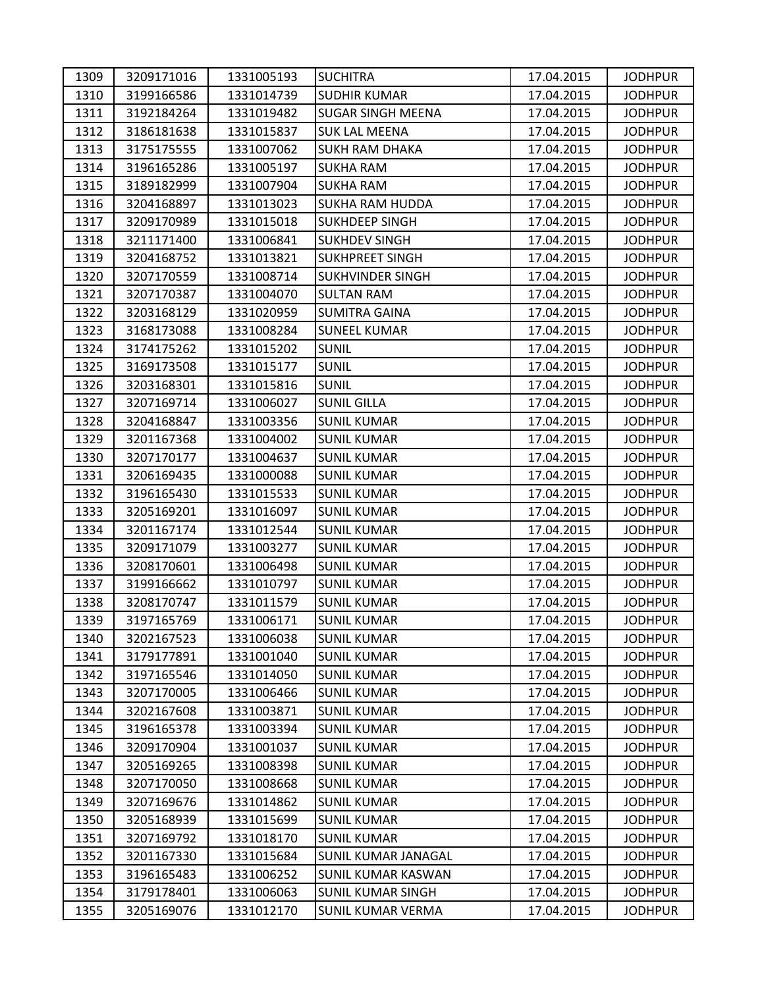| 1309 | 3209171016 | 1331005193 | <b>SUCHITRA</b>            | 17.04.2015 | <b>JODHPUR</b> |
|------|------------|------------|----------------------------|------------|----------------|
| 1310 | 3199166586 | 1331014739 | <b>SUDHIR KUMAR</b>        | 17.04.2015 | <b>JODHPUR</b> |
| 1311 | 3192184264 | 1331019482 | <b>SUGAR SINGH MEENA</b>   | 17.04.2015 | <b>JODHPUR</b> |
| 1312 | 3186181638 | 1331015837 | <b>SUK LAL MEENA</b>       | 17.04.2015 | <b>JODHPUR</b> |
| 1313 | 3175175555 | 1331007062 | <b>SUKH RAM DHAKA</b>      | 17.04.2015 | <b>JODHPUR</b> |
| 1314 | 3196165286 | 1331005197 | <b>SUKHA RAM</b>           | 17.04.2015 | <b>JODHPUR</b> |
| 1315 | 3189182999 | 1331007904 | <b>SUKHA RAM</b>           | 17.04.2015 | <b>JODHPUR</b> |
| 1316 | 3204168897 | 1331013023 | <b>SUKHA RAM HUDDA</b>     | 17.04.2015 | <b>JODHPUR</b> |
| 1317 | 3209170989 | 1331015018 | <b>SUKHDEEP SINGH</b>      | 17.04.2015 | <b>JODHPUR</b> |
| 1318 | 3211171400 | 1331006841 | <b>SUKHDEV SINGH</b>       | 17.04.2015 | <b>JODHPUR</b> |
| 1319 | 3204168752 | 1331013821 | <b>SUKHPREET SINGH</b>     | 17.04.2015 | <b>JODHPUR</b> |
| 1320 | 3207170559 | 1331008714 | <b>SUKHVINDER SINGH</b>    | 17.04.2015 | <b>JODHPUR</b> |
| 1321 | 3207170387 | 1331004070 | <b>SULTAN RAM</b>          | 17.04.2015 | <b>JODHPUR</b> |
| 1322 | 3203168129 | 1331020959 | <b>SUMITRA GAINA</b>       | 17.04.2015 | <b>JODHPUR</b> |
| 1323 | 3168173088 | 1331008284 | <b>SUNEEL KUMAR</b>        | 17.04.2015 | <b>JODHPUR</b> |
| 1324 | 3174175262 | 1331015202 | <b>SUNIL</b>               | 17.04.2015 | <b>JODHPUR</b> |
| 1325 | 3169173508 | 1331015177 | <b>SUNIL</b>               | 17.04.2015 | <b>JODHPUR</b> |
| 1326 | 3203168301 | 1331015816 | <b>SUNIL</b>               | 17.04.2015 | <b>JODHPUR</b> |
| 1327 | 3207169714 | 1331006027 | <b>SUNIL GILLA</b>         | 17.04.2015 | <b>JODHPUR</b> |
| 1328 | 3204168847 | 1331003356 | <b>SUNIL KUMAR</b>         | 17.04.2015 | <b>JODHPUR</b> |
| 1329 | 3201167368 | 1331004002 | <b>SUNIL KUMAR</b>         | 17.04.2015 | <b>JODHPUR</b> |
| 1330 | 3207170177 | 1331004637 | <b>SUNIL KUMAR</b>         | 17.04.2015 | <b>JODHPUR</b> |
| 1331 | 3206169435 | 1331000088 | <b>SUNIL KUMAR</b>         | 17.04.2015 | <b>JODHPUR</b> |
| 1332 | 3196165430 | 1331015533 | <b>SUNIL KUMAR</b>         | 17.04.2015 | <b>JODHPUR</b> |
| 1333 | 3205169201 | 1331016097 | <b>SUNIL KUMAR</b>         | 17.04.2015 | <b>JODHPUR</b> |
| 1334 | 3201167174 | 1331012544 | <b>SUNIL KUMAR</b>         | 17.04.2015 | <b>JODHPUR</b> |
| 1335 | 3209171079 | 1331003277 | <b>SUNIL KUMAR</b>         | 17.04.2015 | <b>JODHPUR</b> |
| 1336 | 3208170601 | 1331006498 | <b>SUNIL KUMAR</b>         | 17.04.2015 | <b>JODHPUR</b> |
| 1337 | 3199166662 | 1331010797 | <b>SUNIL KUMAR</b>         | 17.04.2015 | <b>JODHPUR</b> |
| 1338 | 3208170747 | 1331011579 | <b>SUNIL KUMAR</b>         | 17.04.2015 | <b>JODHPUR</b> |
| 1339 | 3197165769 | 1331006171 | <b>SUNIL KUMAR</b>         | 17.04.2015 | <b>JODHPUR</b> |
| 1340 | 3202167523 | 1331006038 | <b>SUNIL KUMAR</b>         | 17.04.2015 | <b>JODHPUR</b> |
| 1341 | 3179177891 | 1331001040 | <b>SUNIL KUMAR</b>         | 17.04.2015 | <b>JODHPUR</b> |
| 1342 | 3197165546 | 1331014050 | <b>SUNIL KUMAR</b>         | 17.04.2015 | <b>JODHPUR</b> |
| 1343 | 3207170005 | 1331006466 | <b>SUNIL KUMAR</b>         | 17.04.2015 | <b>JODHPUR</b> |
| 1344 | 3202167608 | 1331003871 | <b>SUNIL KUMAR</b>         | 17.04.2015 | <b>JODHPUR</b> |
| 1345 | 3196165378 | 1331003394 | <b>SUNIL KUMAR</b>         | 17.04.2015 | <b>JODHPUR</b> |
| 1346 | 3209170904 | 1331001037 | <b>SUNIL KUMAR</b>         | 17.04.2015 | <b>JODHPUR</b> |
| 1347 | 3205169265 | 1331008398 | <b>SUNIL KUMAR</b>         | 17.04.2015 | <b>JODHPUR</b> |
| 1348 | 3207170050 | 1331008668 | <b>SUNIL KUMAR</b>         | 17.04.2015 | <b>JODHPUR</b> |
| 1349 | 3207169676 | 1331014862 | <b>SUNIL KUMAR</b>         | 17.04.2015 | <b>JODHPUR</b> |
| 1350 | 3205168939 | 1331015699 | <b>SUNIL KUMAR</b>         | 17.04.2015 | <b>JODHPUR</b> |
| 1351 | 3207169792 | 1331018170 | <b>SUNIL KUMAR</b>         | 17.04.2015 | <b>JODHPUR</b> |
| 1352 | 3201167330 | 1331015684 | <b>SUNIL KUMAR JANAGAL</b> | 17.04.2015 | <b>JODHPUR</b> |
| 1353 | 3196165483 | 1331006252 | <b>SUNIL KUMAR KASWAN</b>  | 17.04.2015 | <b>JODHPUR</b> |
| 1354 | 3179178401 | 1331006063 | <b>SUNIL KUMAR SINGH</b>   | 17.04.2015 | <b>JODHPUR</b> |
| 1355 | 3205169076 | 1331012170 | <b>SUNIL KUMAR VERMA</b>   | 17.04.2015 | <b>JODHPUR</b> |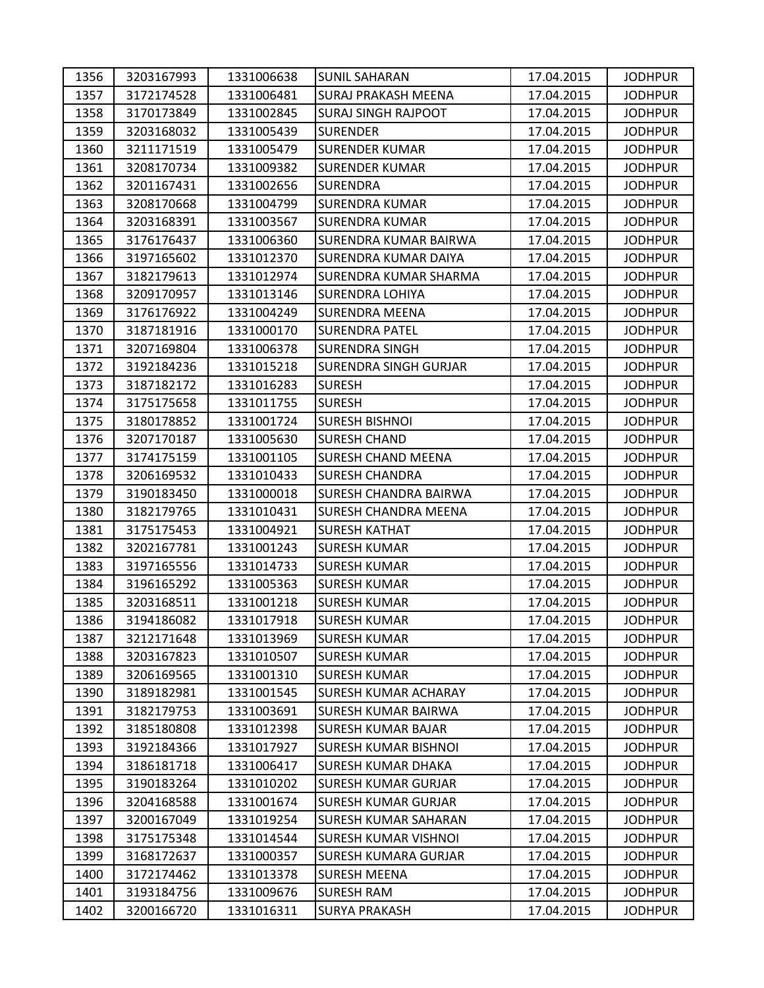| 1356 | 3203167993 | 1331006638 | <b>SUNIL SAHARAN</b>         | 17.04.2015 | <b>JODHPUR</b> |
|------|------------|------------|------------------------------|------------|----------------|
| 1357 | 3172174528 | 1331006481 | <b>SURAJ PRAKASH MEENA</b>   | 17.04.2015 | <b>JODHPUR</b> |
| 1358 | 3170173849 | 1331002845 | <b>SURAJ SINGH RAJPOOT</b>   | 17.04.2015 | <b>JODHPUR</b> |
| 1359 | 3203168032 | 1331005439 | <b>SURENDER</b>              | 17.04.2015 | <b>JODHPUR</b> |
| 1360 | 3211171519 | 1331005479 | <b>SURENDER KUMAR</b>        | 17.04.2015 | <b>JODHPUR</b> |
| 1361 | 3208170734 | 1331009382 | <b>SURENDER KUMAR</b>        | 17.04.2015 | <b>JODHPUR</b> |
| 1362 | 3201167431 | 1331002656 | <b>SURENDRA</b>              | 17.04.2015 | <b>JODHPUR</b> |
| 1363 | 3208170668 | 1331004799 | <b>SURENDRA KUMAR</b>        | 17.04.2015 | <b>JODHPUR</b> |
| 1364 | 3203168391 | 1331003567 | <b>SURENDRA KUMAR</b>        | 17.04.2015 | <b>JODHPUR</b> |
| 1365 | 3176176437 | 1331006360 | SURENDRA KUMAR BAIRWA        | 17.04.2015 | <b>JODHPUR</b> |
| 1366 | 3197165602 | 1331012370 | SURENDRA KUMAR DAIYA         | 17.04.2015 | <b>JODHPUR</b> |
| 1367 | 3182179613 | 1331012974 | SURENDRA KUMAR SHARMA        | 17.04.2015 | <b>JODHPUR</b> |
| 1368 | 3209170957 | 1331013146 | SURENDRA LOHIYA              | 17.04.2015 | <b>JODHPUR</b> |
| 1369 | 3176176922 | 1331004249 | <b>SURENDRA MEENA</b>        | 17.04.2015 | <b>JODHPUR</b> |
| 1370 | 3187181916 | 1331000170 | <b>SURENDRA PATEL</b>        | 17.04.2015 | <b>JODHPUR</b> |
| 1371 | 3207169804 | 1331006378 | <b>SURENDRA SINGH</b>        | 17.04.2015 | <b>JODHPUR</b> |
| 1372 | 3192184236 | 1331015218 | <b>SURENDRA SINGH GURJAR</b> | 17.04.2015 | <b>JODHPUR</b> |
| 1373 | 3187182172 | 1331016283 | <b>SURESH</b>                | 17.04.2015 | <b>JODHPUR</b> |
| 1374 | 3175175658 | 1331011755 | <b>SURESH</b>                | 17.04.2015 | <b>JODHPUR</b> |
| 1375 | 3180178852 | 1331001724 | <b>SURESH BISHNOI</b>        | 17.04.2015 | <b>JODHPUR</b> |
| 1376 | 3207170187 | 1331005630 | <b>SURESH CHAND</b>          | 17.04.2015 | <b>JODHPUR</b> |
| 1377 | 3174175159 | 1331001105 | <b>SURESH CHAND MEENA</b>    | 17.04.2015 | <b>JODHPUR</b> |
| 1378 | 3206169532 | 1331010433 | <b>SURESH CHANDRA</b>        | 17.04.2015 | <b>JODHPUR</b> |
| 1379 | 3190183450 | 1331000018 | <b>SURESH CHANDRA BAIRWA</b> | 17.04.2015 | <b>JODHPUR</b> |
| 1380 | 3182179765 | 1331010431 | SURESH CHANDRA MEENA         | 17.04.2015 | <b>JODHPUR</b> |
| 1381 | 3175175453 | 1331004921 | <b>SURESH KATHAT</b>         | 17.04.2015 | <b>JODHPUR</b> |
| 1382 | 3202167781 | 1331001243 | <b>SURESH KUMAR</b>          | 17.04.2015 | <b>JODHPUR</b> |
| 1383 | 3197165556 | 1331014733 | <b>SURESH KUMAR</b>          | 17.04.2015 | <b>JODHPUR</b> |
| 1384 | 3196165292 | 1331005363 | <b>SURESH KUMAR</b>          | 17.04.2015 | <b>JODHPUR</b> |
| 1385 | 3203168511 | 1331001218 | <b>SURESH KUMAR</b>          | 17.04.2015 | <b>JODHPUR</b> |
| 1386 | 3194186082 | 1331017918 | <b>SURESH KUMAR</b>          | 17.04.2015 | <b>JODHPUR</b> |
| 1387 | 3212171648 | 1331013969 | SURESH KUMAR                 | 17.04.2015 | <b>JODHPUR</b> |
| 1388 | 3203167823 | 1331010507 | <b>SURESH KUMAR</b>          | 17.04.2015 | <b>JODHPUR</b> |
| 1389 | 3206169565 | 1331001310 | <b>SURESH KUMAR</b>          | 17.04.2015 | <b>JODHPUR</b> |
| 1390 | 3189182981 | 1331001545 | <b>SURESH KUMAR ACHARAY</b>  | 17.04.2015 | <b>JODHPUR</b> |
| 1391 | 3182179753 | 1331003691 | SURESH KUMAR BAIRWA          | 17.04.2015 | <b>JODHPUR</b> |
| 1392 | 3185180808 | 1331012398 | <b>SURESH KUMAR BAJAR</b>    | 17.04.2015 | <b>JODHPUR</b> |
| 1393 | 3192184366 | 1331017927 | <b>SURESH KUMAR BISHNOI</b>  | 17.04.2015 | <b>JODHPUR</b> |
| 1394 | 3186181718 | 1331006417 | <b>SURESH KUMAR DHAKA</b>    | 17.04.2015 | <b>JODHPUR</b> |
| 1395 | 3190183264 | 1331010202 | <b>SURESH KUMAR GURJAR</b>   | 17.04.2015 | <b>JODHPUR</b> |
| 1396 | 3204168588 | 1331001674 | SURESH KUMAR GURJAR          | 17.04.2015 | <b>JODHPUR</b> |
| 1397 | 3200167049 | 1331019254 | SURESH KUMAR SAHARAN         | 17.04.2015 | <b>JODHPUR</b> |
| 1398 | 3175175348 | 1331014544 | <b>SURESH KUMAR VISHNOI</b>  | 17.04.2015 | <b>JODHPUR</b> |
| 1399 | 3168172637 | 1331000357 | <b>SURESH KUMARA GURJAR</b>  | 17.04.2015 | <b>JODHPUR</b> |
| 1400 | 3172174462 | 1331013378 | <b>SURESH MEENA</b>          | 17.04.2015 | <b>JODHPUR</b> |
| 1401 | 3193184756 | 1331009676 | <b>SURESH RAM</b>            | 17.04.2015 | <b>JODHPUR</b> |
| 1402 | 3200166720 | 1331016311 | <b>SURYA PRAKASH</b>         | 17.04.2015 | <b>JODHPUR</b> |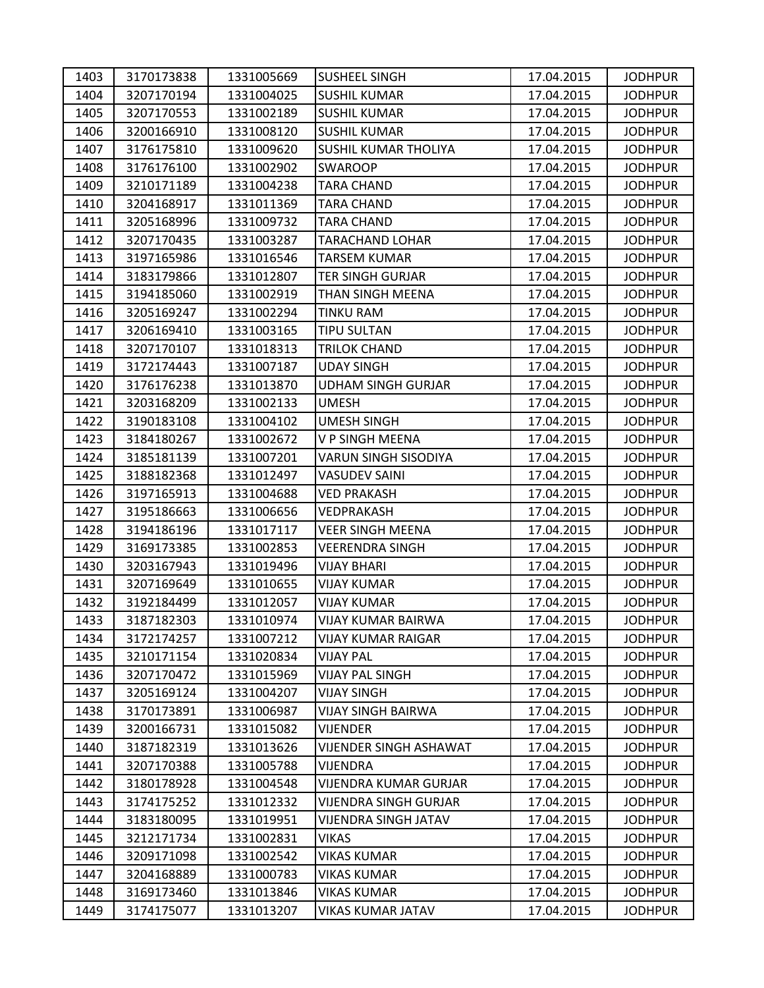| 1403 | 3170173838 | 1331005669 | <b>SUSHEEL SINGH</b>          | 17.04.2015 | <b>JODHPUR</b> |
|------|------------|------------|-------------------------------|------------|----------------|
| 1404 | 3207170194 | 1331004025 | <b>SUSHIL KUMAR</b>           | 17.04.2015 | <b>JODHPUR</b> |
| 1405 | 3207170553 | 1331002189 | <b>SUSHIL KUMAR</b>           | 17.04.2015 | <b>JODHPUR</b> |
| 1406 | 3200166910 | 1331008120 | <b>SUSHIL KUMAR</b>           | 17.04.2015 | <b>JODHPUR</b> |
| 1407 | 3176175810 | 1331009620 | <b>SUSHIL KUMAR THOLIYA</b>   | 17.04.2015 | <b>JODHPUR</b> |
| 1408 | 3176176100 | 1331002902 | <b>SWAROOP</b>                | 17.04.2015 | <b>JODHPUR</b> |
| 1409 | 3210171189 | 1331004238 | <b>TARA CHAND</b>             | 17.04.2015 | <b>JODHPUR</b> |
| 1410 | 3204168917 | 1331011369 | <b>TARA CHAND</b>             | 17.04.2015 | <b>JODHPUR</b> |
| 1411 | 3205168996 | 1331009732 | <b>TARA CHAND</b>             | 17.04.2015 | <b>JODHPUR</b> |
| 1412 | 3207170435 | 1331003287 | <b>TARACHAND LOHAR</b>        | 17.04.2015 | <b>JODHPUR</b> |
| 1413 | 3197165986 | 1331016546 | <b>TARSEM KUMAR</b>           | 17.04.2015 | <b>JODHPUR</b> |
| 1414 | 3183179866 | 1331012807 | <b>TER SINGH GURJAR</b>       | 17.04.2015 | <b>JODHPUR</b> |
| 1415 | 3194185060 | 1331002919 | THAN SINGH MEENA              | 17.04.2015 | <b>JODHPUR</b> |
| 1416 | 3205169247 | 1331002294 | <b>TINKU RAM</b>              | 17.04.2015 | <b>JODHPUR</b> |
| 1417 | 3206169410 | 1331003165 | <b>TIPU SULTAN</b>            | 17.04.2015 | <b>JODHPUR</b> |
| 1418 | 3207170107 | 1331018313 | TRILOK CHAND                  | 17.04.2015 | <b>JODHPUR</b> |
| 1419 | 3172174443 | 1331007187 | <b>UDAY SINGH</b>             | 17.04.2015 | <b>JODHPUR</b> |
| 1420 | 3176176238 | 1331013870 | <b>UDHAM SINGH GURJAR</b>     | 17.04.2015 | <b>JODHPUR</b> |
| 1421 | 3203168209 | 1331002133 | <b>UMESH</b>                  | 17.04.2015 | <b>JODHPUR</b> |
| 1422 | 3190183108 | 1331004102 | <b>UMESH SINGH</b>            | 17.04.2015 | <b>JODHPUR</b> |
| 1423 | 3184180267 | 1331002672 | V P SINGH MEENA               | 17.04.2015 | <b>JODHPUR</b> |
| 1424 | 3185181139 | 1331007201 | VARUN SINGH SISODIYA          | 17.04.2015 | <b>JODHPUR</b> |
| 1425 | 3188182368 | 1331012497 | <b>VASUDEV SAINI</b>          | 17.04.2015 | <b>JODHPUR</b> |
| 1426 | 3197165913 | 1331004688 | <b>VED PRAKASH</b>            | 17.04.2015 | <b>JODHPUR</b> |
| 1427 | 3195186663 | 1331006656 | VEDPRAKASH                    | 17.04.2015 | <b>JODHPUR</b> |
| 1428 | 3194186196 | 1331017117 | <b>VEER SINGH MEENA</b>       | 17.04.2015 | <b>JODHPUR</b> |
| 1429 | 3169173385 | 1331002853 | VEERENDRA SINGH               | 17.04.2015 | <b>JODHPUR</b> |
| 1430 | 3203167943 | 1331019496 | <b>VIJAY BHARI</b>            | 17.04.2015 | <b>JODHPUR</b> |
| 1431 | 3207169649 | 1331010655 | <b>VIJAY KUMAR</b>            | 17.04.2015 | <b>JODHPUR</b> |
| 1432 | 3192184499 | 1331012057 | <b>VIJAY KUMAR</b>            | 17.04.2015 | <b>JODHPUR</b> |
| 1433 | 3187182303 | 1331010974 | <b>VIJAY KUMAR BAIRWA</b>     | 17.04.2015 | <b>JODHPUR</b> |
| 1434 | 3172174257 | 1331007212 | VIJAY KUMAR RAIGAR            | 17.04.2015 | <b>JODHPUR</b> |
| 1435 | 3210171154 | 1331020834 | <b>VIJAY PAL</b>              | 17.04.2015 | <b>JODHPUR</b> |
| 1436 | 3207170472 | 1331015969 | <b>VIJAY PAL SINGH</b>        | 17.04.2015 | <b>JODHPUR</b> |
| 1437 | 3205169124 | 1331004207 | <b>VIJAY SINGH</b>            | 17.04.2015 | <b>JODHPUR</b> |
| 1438 | 3170173891 | 1331006987 | VIJAY SINGH BAIRWA            | 17.04.2015 | <b>JODHPUR</b> |
| 1439 | 3200166731 | 1331015082 | <b>VIJENDER</b>               | 17.04.2015 | <b>JODHPUR</b> |
| 1440 | 3187182319 | 1331013626 | <b>VIJENDER SINGH ASHAWAT</b> | 17.04.2015 | <b>JODHPUR</b> |
| 1441 | 3207170388 | 1331005788 | <b>VIJENDRA</b>               | 17.04.2015 | <b>JODHPUR</b> |
| 1442 | 3180178928 | 1331004548 | <b>VIJENDRA KUMAR GURJAR</b>  | 17.04.2015 | <b>JODHPUR</b> |
| 1443 | 3174175252 | 1331012332 | VIJENDRA SINGH GURJAR         | 17.04.2015 | <b>JODHPUR</b> |
| 1444 | 3183180095 | 1331019951 | <b>VIJENDRA SINGH JATAV</b>   | 17.04.2015 | <b>JODHPUR</b> |
| 1445 | 3212171734 | 1331002831 | <b>VIKAS</b>                  | 17.04.2015 | <b>JODHPUR</b> |
| 1446 | 3209171098 | 1331002542 | VIKAS KUMAR                   | 17.04.2015 | <b>JODHPUR</b> |
| 1447 | 3204168889 | 1331000783 | <b>VIKAS KUMAR</b>            | 17.04.2015 | <b>JODHPUR</b> |
| 1448 | 3169173460 | 1331013846 | VIKAS KUMAR                   | 17.04.2015 | <b>JODHPUR</b> |
| 1449 | 3174175077 | 1331013207 | VIKAS KUMAR JATAV             | 17.04.2015 | <b>JODHPUR</b> |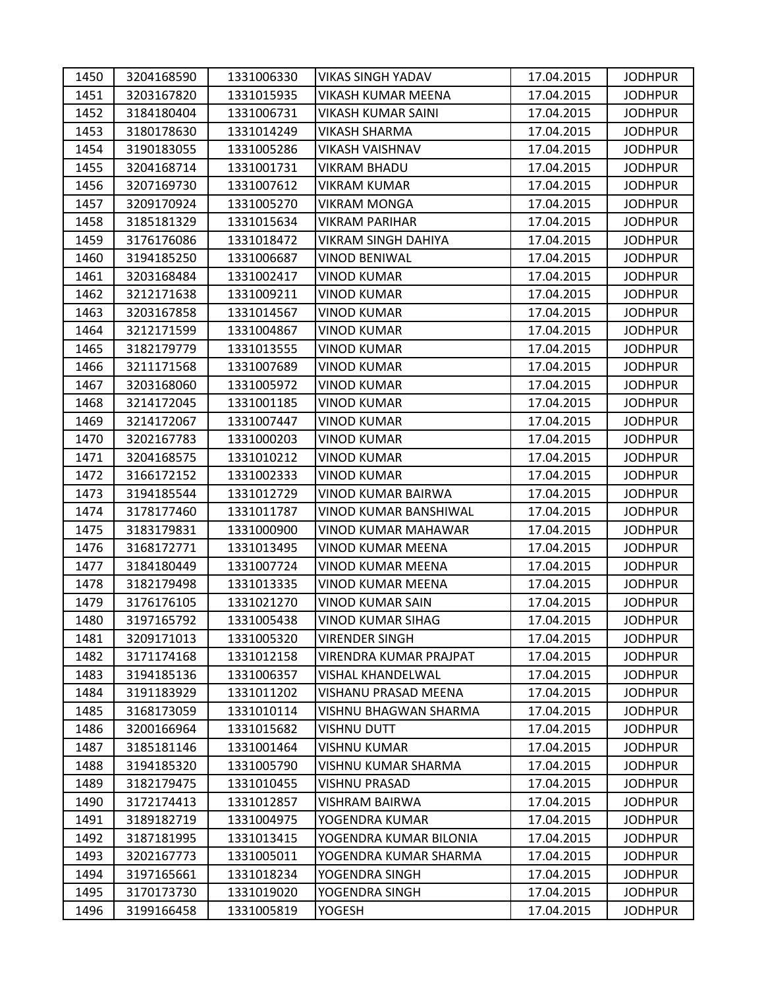| 1450 | 3204168590 | 1331006330 | <b>VIKAS SINGH YADAV</b>      | 17.04.2015 | <b>JODHPUR</b> |
|------|------------|------------|-------------------------------|------------|----------------|
| 1451 | 3203167820 | 1331015935 | <b>VIKASH KUMAR MEENA</b>     | 17.04.2015 | <b>JODHPUR</b> |
| 1452 | 3184180404 | 1331006731 | VIKASH KUMAR SAINI            | 17.04.2015 | <b>JODHPUR</b> |
| 1453 | 3180178630 | 1331014249 | <b>VIKASH SHARMA</b>          | 17.04.2015 | <b>JODHPUR</b> |
| 1454 | 3190183055 | 1331005286 | <b>VIKASH VAISHNAV</b>        | 17.04.2015 | <b>JODHPUR</b> |
| 1455 | 3204168714 | 1331001731 | VIKRAM BHADU                  | 17.04.2015 | <b>JODHPUR</b> |
| 1456 | 3207169730 | 1331007612 | <b>VIKRAM KUMAR</b>           | 17.04.2015 | <b>JODHPUR</b> |
| 1457 | 3209170924 | 1331005270 | VIKRAM MONGA                  | 17.04.2015 | <b>JODHPUR</b> |
| 1458 | 3185181329 | 1331015634 | <b>VIKRAM PARIHAR</b>         | 17.04.2015 | <b>JODHPUR</b> |
| 1459 | 3176176086 | 1331018472 | VIKRAM SINGH DAHIYA           | 17.04.2015 | <b>JODHPUR</b> |
| 1460 | 3194185250 | 1331006687 | <b>VINOD BENIWAL</b>          | 17.04.2015 | <b>JODHPUR</b> |
| 1461 | 3203168484 | 1331002417 | <b>VINOD KUMAR</b>            | 17.04.2015 | <b>JODHPUR</b> |
| 1462 | 3212171638 | 1331009211 | <b>VINOD KUMAR</b>            | 17.04.2015 | <b>JODHPUR</b> |
| 1463 | 3203167858 | 1331014567 | <b>VINOD KUMAR</b>            | 17.04.2015 | <b>JODHPUR</b> |
| 1464 | 3212171599 | 1331004867 | VINOD KUMAR                   | 17.04.2015 | <b>JODHPUR</b> |
| 1465 | 3182179779 | 1331013555 | <b>VINOD KUMAR</b>            | 17.04.2015 | <b>JODHPUR</b> |
| 1466 | 3211171568 | 1331007689 | VINOD KUMAR                   | 17.04.2015 | <b>JODHPUR</b> |
| 1467 | 3203168060 | 1331005972 | <b>VINOD KUMAR</b>            | 17.04.2015 | <b>JODHPUR</b> |
| 1468 | 3214172045 | 1331001185 | <b>VINOD KUMAR</b>            | 17.04.2015 | <b>JODHPUR</b> |
| 1469 | 3214172067 | 1331007447 | VINOD KUMAR                   | 17.04.2015 | <b>JODHPUR</b> |
| 1470 | 3202167783 | 1331000203 | <b>VINOD KUMAR</b>            | 17.04.2015 | <b>JODHPUR</b> |
| 1471 | 3204168575 | 1331010212 | <b>VINOD KUMAR</b>            | 17.04.2015 | <b>JODHPUR</b> |
| 1472 | 3166172152 | 1331002333 | <b>VINOD KUMAR</b>            | 17.04.2015 | <b>JODHPUR</b> |
| 1473 | 3194185544 | 1331012729 | <b>VINOD KUMAR BAIRWA</b>     | 17.04.2015 | <b>JODHPUR</b> |
| 1474 | 3178177460 | 1331011787 | VINOD KUMAR BANSHIWAL         | 17.04.2015 | <b>JODHPUR</b> |
| 1475 | 3183179831 | 1331000900 | <b>VINOD KUMAR MAHAWAR</b>    | 17.04.2015 | <b>JODHPUR</b> |
| 1476 | 3168172771 | 1331013495 | VINOD KUMAR MEENA             | 17.04.2015 | <b>JODHPUR</b> |
| 1477 | 3184180449 | 1331007724 | VINOD KUMAR MEENA             | 17.04.2015 | <b>JODHPUR</b> |
| 1478 | 3182179498 | 1331013335 | <b>VINOD KUMAR MEENA</b>      | 17.04.2015 | <b>JODHPUR</b> |
| 1479 | 3176176105 | 1331021270 | <b>VINOD KUMAR SAIN</b>       | 17.04.2015 | <b>JODHPUR</b> |
| 1480 | 3197165792 | 1331005438 | <b>VINOD KUMAR SIHAG</b>      | 17.04.2015 | <b>JODHPUR</b> |
| 1481 | 3209171013 | 1331005320 | <b>VIRENDER SINGH</b>         | 17.04.2015 | <b>JODHPUR</b> |
| 1482 | 3171174168 | 1331012158 | <b>VIRENDRA KUMAR PRAJPAT</b> | 17.04.2015 | <b>JODHPUR</b> |
| 1483 | 3194185136 | 1331006357 | VISHAL KHANDELWAL             | 17.04.2015 | <b>JODHPUR</b> |
| 1484 | 3191183929 | 1331011202 | VISHANU PRASAD MEENA          | 17.04.2015 | <b>JODHPUR</b> |
| 1485 | 3168173059 | 1331010114 | VISHNU BHAGWAN SHARMA         | 17.04.2015 | <b>JODHPUR</b> |
| 1486 | 3200166964 | 1331015682 | VISHNU DUTT                   | 17.04.2015 | <b>JODHPUR</b> |
| 1487 | 3185181146 | 1331001464 | <b>VISHNU KUMAR</b>           | 17.04.2015 | <b>JODHPUR</b> |
| 1488 | 3194185320 | 1331005790 | VISHNU KUMAR SHARMA           | 17.04.2015 | <b>JODHPUR</b> |
| 1489 | 3182179475 | 1331010455 | <b>VISHNU PRASAD</b>          | 17.04.2015 | <b>JODHPUR</b> |
| 1490 | 3172174413 | 1331012857 | VISHRAM BAIRWA                | 17.04.2015 | <b>JODHPUR</b> |
| 1491 | 3189182719 | 1331004975 | YOGENDRA KUMAR                | 17.04.2015 | <b>JODHPUR</b> |
| 1492 | 3187181995 | 1331013415 | YOGENDRA KUMAR BILONIA        | 17.04.2015 | <b>JODHPUR</b> |
| 1493 | 3202167773 | 1331005011 | YOGENDRA KUMAR SHARMA         | 17.04.2015 | <b>JODHPUR</b> |
| 1494 | 3197165661 | 1331018234 | YOGENDRA SINGH                | 17.04.2015 | <b>JODHPUR</b> |
| 1495 | 3170173730 | 1331019020 | YOGENDRA SINGH                | 17.04.2015 | <b>JODHPUR</b> |
| 1496 | 3199166458 | 1331005819 | YOGESH                        | 17.04.2015 | <b>JODHPUR</b> |